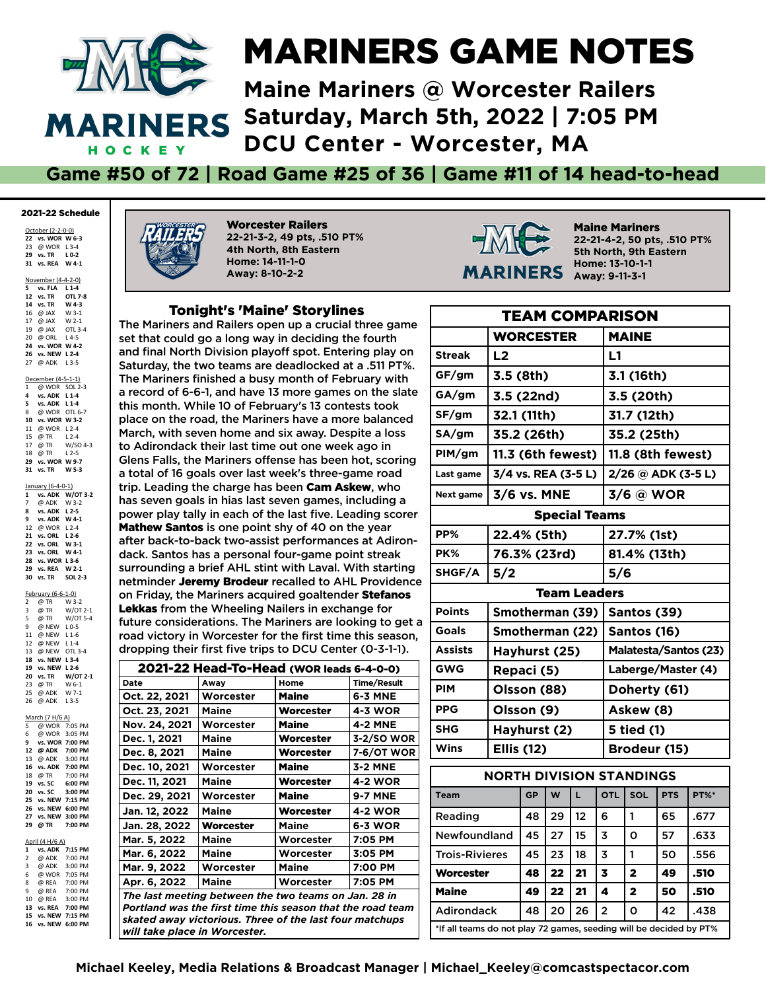

# MARINERS GAME NOTES

**Maine Mariners @ Worcester Railers Saturday, March 5th, 2022 | 7:05 PM DCU Center - Worcester, MA**

#### **Game #50 of 72 | Road Game #25 of 36 | Game #11 of 14 head-to-head**

#### 2021-22 Schedule

October (2-2-0-0) **vs. WOR W 6-3** @ WOR L 3-4 **vs. TR L 0-2 31 vs. REA W 4-1**

November (4-4-2-0)

 **vs. FLA L 1-4 vs. TR OTL 7-8 vs. TR W 4-3** @ JAX W 3-1 17 @ JAX W 2-1 @ JAX OTL 3-4 @ ORL L 4-5 **vs. WOR W 4-2 vs. NEW L 2-4** 27 @ ADK L 3-5 December (4-5-1-1) 1 @ WOR SOL 2-3 **vs. ADK L 1-4 vs. ADK L 1-4** @ WOR OTL 6-7 **vs. WOR W 3-2** @ WOR L 2-4 15 @ TR L 2-4<br>17 @ TR W/SO 4-3  $17 \quad \overline{\omega}$  TR @ TR L 2-5 **vs. WOR W 9-7 vs. WO**<br>**31 vs. TR** 

January (6-4-0-1) **1 vs. ADK W/OT 3-2** @ ADK W 3-2 **8 vs. ADK L 2-5 vs. ADK W 4-1** @ WOR L 2-4 **vs. ORL L 2-6 vs. ORL W 3-1 23 vs. ORL W 4-1 vs. WOR L 3-6 vs. REA W 2-1 vs. TR SOL 2-3**

February (6-6-1-0) 2  $\overline{\omega}$  TR  $\overline{W}$  3-2<br>3  $\overline{\omega}$  TR W/OT 2-1  $\overline{\omega}$  TR 5 @ TR W/OT 5-4 9 @ NEW L 0-5

| 11 @ NEW L1-6    |                    |
|------------------|--------------------|
| 12 @ NEW L1-4    |                    |
| 13 @ NEW OTL 3-4 |                    |
| 18 vs. NEW L 3-4 |                    |
| 19 vs. NEW L 2-6 |                    |
|                  |                    |
|                  | 20 vs. TR W/OT 2-1 |
| 23 @ TR W 6-1    |                    |
| 25 @ ADK W 7-1   |                    |
| 26 @ ADK L3-5    |                    |
|                  |                    |

|              | $N = \lfloor N \rfloor$ |         |
|--------------|-------------------------|---------|
| 5            | @ WOR 7:05 PM           |         |
| 6            | @ WOR 3:05 PM           |         |
| 9            | vs. WOR 7:00 PM         |         |
|              | 12 @ ADK 7:00 PM        |         |
|              | 13 @ ADK 3:00 PM        |         |
| 16           | vs. ADK 7:00 PM         |         |
| 18           | @ TR 7:00 PM            |         |
| 19           | vs. SC 6:00 PM          |         |
| 20           | vs. SC                  | 3:00 PM |
| 25           | vs. NEW 7:15 PM         |         |
| 26           | vs. NEW 6:00 PM         |         |
|              |                         |         |
| 27           | vs. NEW                 | 3:00 PM |
| 29           | @ TR                    | 7:00 PM |
|              |                         |         |
|              | April (4 H/6 A)         |         |
| $\mathbf{1}$ | vs. ADK 7:15 PM         |         |
| $2^{\circ}$  | @ ADK 7:00 PM           |         |
| 3            | @ ADK 3:00 PM           |         |
| 6            | @ WOR 7:05 PM           |         |
|              | 8 @ REA 7:00 PM         |         |
| 9            | @ REA 7:00 PM           |         |

**13 vs. REA 7:00 PM 15 vs. NEW 7:15 PM 16 vs. NEW 6:00 PM**

Worcester Railers **22-21-3-2, 49 pts, .510 PT% 4th North, 8th Eastern Home: 14-11-1-0 Away: 8-10-2-2**

#### Tonight's 'Maine' Storylines

The Mariners and Railers open up a crucial three game set that could go a long way in deciding the fourth and final North Division playoff spot. Entering play on Saturday, the two teams are deadlocked at a .511 PT%. The Mariners finished a busy month of February with a record of 6-6-1, and have 13 more games on the slate this month. While 10 of February's 13 contests took place on the road, the Mariners have a more balanced March, with seven home and six away. Despite a loss to Adirondack their last time out one week ago in Glens Falls, the Mariners offense has been hot, scoring a total of 16 goals over last week's three-game road trip. Leading the charge has been Cam Askew, who has seven goals in hias last seven games, including a power play tally in each of the last five. Leading scorer Mathew Santos is one point shy of 40 on the year after back-to-back two-assist performances at Adirondack. Santos has a personal four-game point streak surrounding a brief AHL stint with Laval. With starting netminder Jeremy Brodeur recalled to AHL Providence on Friday, the Mariners acquired goaltender Stefanos Lekkas from the Wheeling Nailers in exchange for future considerations. The Mariners are looking to get a road victory in Worcester for the first time this season, dropping their first five trips to DCU Center (0-3-1-1).

|                                                                                                                                                                                                                | 2021-22 Head-To-Head (WOR leads 6-4-0-0) |              |                    |  |  |  |  |  |  |
|----------------------------------------------------------------------------------------------------------------------------------------------------------------------------------------------------------------|------------------------------------------|--------------|--------------------|--|--|--|--|--|--|
| Date                                                                                                                                                                                                           | Awav                                     | Home         | <b>Time/Result</b> |  |  |  |  |  |  |
| Oct. 22, 2021                                                                                                                                                                                                  | Worcester                                | <b>Maine</b> | 6-3 MNE            |  |  |  |  |  |  |
| Oct. 23, 2021                                                                                                                                                                                                  | <b>Maine</b>                             | Worcester    | 4-3 WOR            |  |  |  |  |  |  |
| Nov. 24, 2021                                                                                                                                                                                                  | Worcester                                | <b>Maine</b> | <b>4-2 MNE</b>     |  |  |  |  |  |  |
| Dec. 1, 2021                                                                                                                                                                                                   | Maine                                    | Worcester    | 3-2/SO WOR         |  |  |  |  |  |  |
| Dec. 8, 2021                                                                                                                                                                                                   | <b>Maine</b>                             | Worcester    | 7-6/OT WOR         |  |  |  |  |  |  |
| Dec. 10, 2021                                                                                                                                                                                                  | Worcester                                | Maine        | 3-2 MNE            |  |  |  |  |  |  |
| Dec. 11, 2021                                                                                                                                                                                                  | Maine                                    | Worcester    | 4-2 WOR            |  |  |  |  |  |  |
| Dec. 29, 2021                                                                                                                                                                                                  | Worcester                                | <b>Maine</b> | <b>9-7 MNE</b>     |  |  |  |  |  |  |
| Jan. 12, 2022                                                                                                                                                                                                  | Maine                                    | Worcester    | <b>4-2 WOR</b>     |  |  |  |  |  |  |
| Jan. 28, 2022                                                                                                                                                                                                  | Worcester                                | <b>Maine</b> | 6-3 WOR            |  |  |  |  |  |  |
| Mar. 5, 2022                                                                                                                                                                                                   | Maine                                    | Worcester    | 7:05 PM            |  |  |  |  |  |  |
| Mar. 6, 2022                                                                                                                                                                                                   | <b>Maine</b>                             | Worcester    | 3:05 PM            |  |  |  |  |  |  |
| Mar. 9, 2022                                                                                                                                                                                                   | Worcester                                | <b>Maine</b> | 7:00 PM            |  |  |  |  |  |  |
| Apr. 6, 2022                                                                                                                                                                                                   | <b>Maine</b>                             | Worcester    | 7:05 PM            |  |  |  |  |  |  |
| The last meeting between the two teams on Jan. 28 in<br>Portland was the first time this season that the road team<br>skated away victorious. Three of the last four matchups<br>will take place in Worcester. |                                          |              |                    |  |  |  |  |  |  |



Maine Mariners **22-21-4-2, 50 pts, .510 PT% 5th North, 9th Eastern Home: 13-10-1-1 Away: 9-11-3-1**

| <b>TEAM COMPARISON</b>                                             |                                 |    |    |                      |   |                       |                         |            |             |
|--------------------------------------------------------------------|---------------------------------|----|----|----------------------|---|-----------------------|-------------------------|------------|-------------|
|                                                                    | <b>WORCESTER</b>                |    |    |                      |   | <b>MAINE</b>          |                         |            |             |
| <b>Streak</b>                                                      | L <sub>2</sub>                  |    |    |                      |   | L1                    |                         |            |             |
| GF/gm                                                              | 3.5 (8th)                       |    |    |                      |   |                       | 3.1 (16th)              |            |             |
| GA/gm                                                              | 3.5 (22nd)                      |    |    |                      |   |                       | 3.5 (20th)              |            |             |
| SF/gm                                                              | 32.1 (11th)                     |    |    |                      |   |                       | 31.7 (12th)             |            |             |
| SA/gm                                                              | 35.2 (26th)                     |    |    |                      |   |                       | 35.2 (25th)             |            |             |
| PIM/gm                                                             | 11.3 (6th fewest)               |    |    |                      |   |                       | 11.8 (8th fewest)       |            |             |
| Last game                                                          | 3/4 vs. REA (3-5 L)             |    |    |                      |   |                       | 2/26 @ ADK (3-5 L)      |            |             |
| Next game                                                          | 3/6 vs. MNE                     |    |    |                      |   |                       | 3/6 @ WOR               |            |             |
|                                                                    |                                 |    |    | <b>Special Teams</b> |   |                       |                         |            |             |
| PP%                                                                | 22.4% (5th)                     |    |    |                      |   |                       | 27.7% (1st)             |            |             |
| PK%                                                                | 76.3% (23rd)                    |    |    |                      |   |                       | 81.4% (13th)            |            |             |
| SHGF/A                                                             | 5/2                             |    |    |                      |   | 5/6                   |                         |            |             |
| <b>Team Leaders</b>                                                |                                 |    |    |                      |   |                       |                         |            |             |
| <b>Points</b>                                                      | Smotherman (39)                 |    |    |                      |   | Santos (39)           |                         |            |             |
| <b>Goals</b>                                                       | Smotherman (22)                 |    |    |                      |   | Santos (16)           |                         |            |             |
| <b>Assists</b>                                                     | Hayhurst (25)                   |    |    |                      |   | Malatesta/Santos (23) |                         |            |             |
| <b>GWG</b>                                                         | Repaci (5)                      |    |    |                      |   | Laberge/Master (4)    |                         |            |             |
| <b>PIM</b>                                                         | Olsson (88)                     |    |    |                      |   | Doherty (61)          |                         |            |             |
| <b>PPG</b>                                                         | Olsson (9)                      |    |    |                      |   | Askew (8)             |                         |            |             |
| <b>SHG</b>                                                         | Hayhurst (2)                    |    |    |                      |   | 5 tied (1)            |                         |            |             |
| Wins                                                               | <b>Ellis (12)</b>               |    |    |                      |   |                       | Brodeur (15)            |            |             |
|                                                                    | <b>NORTH DIVISION STANDINGS</b> |    |    |                      |   |                       |                         |            |             |
| <b>Team</b>                                                        |                                 | GP | W  | L.                   |   | <b>OTL</b>            | SOL                     | <b>PTS</b> | <b>PT%*</b> |
| Reading                                                            |                                 | 48 | 29 | 12                   | 6 |                       | 1                       | 65         | .677        |
| <b>Newfoundland</b>                                                |                                 | 45 | 27 | 15                   | 3 |                       | 0                       | 57         | .633        |
| <b>Trois-Rivieres</b>                                              |                                 | 45 | 23 | 18                   | 3 |                       | 1                       | 50         | .556        |
| <b>Worcester</b>                                                   |                                 | 48 | 22 | 21                   | 3 |                       | $\overline{\mathbf{2}}$ | 49         | .510        |
| <b>Maine</b>                                                       |                                 | 49 | 22 | 21                   | 4 |                       | $\overline{2}$          | 50         | .510        |
| <b>Adirondack</b>                                                  |                                 | 48 | 20 | 26                   | 2 |                       | o                       | 42         | .438        |
| *If all teams do not play 72 games, seeding will be decided by PT% |                                 |    |    |                      |   |                       |                         |            |             |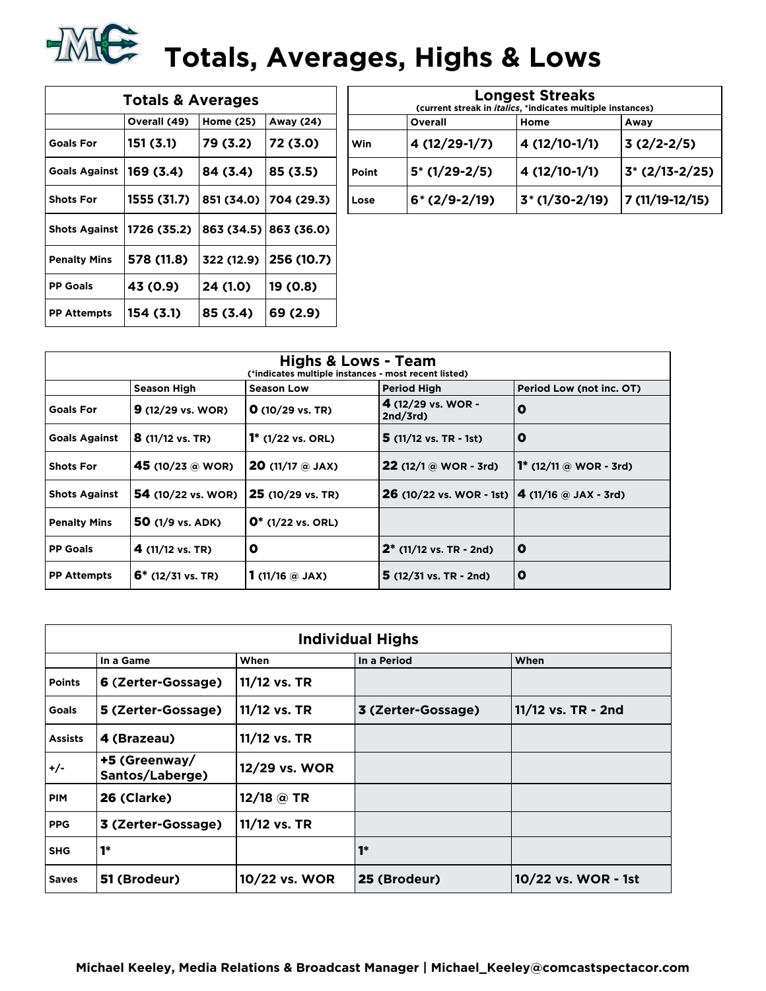

| <b>Totals &amp; Averages</b> |              |            |                       |  |  |  |  |  |  |
|------------------------------|--------------|------------|-----------------------|--|--|--|--|--|--|
|                              | Overall (49) | Home (25)  | Away (24)             |  |  |  |  |  |  |
| <b>Goals For</b>             | 151 (3.1)    | 79 (3.2)   | 72 (3.0)              |  |  |  |  |  |  |
| <b>Goals Against</b>         | 169 (3.4)    | 84 (3.4)   | 85 (3.5)              |  |  |  |  |  |  |
| <b>Shots For</b>             | 1555 (31.7)  | 851 (34.0) | 704 (29.3)            |  |  |  |  |  |  |
| <b>Shots Against</b>         | 1726 (35.2)  |            | 863 (34.5) 863 (36.0) |  |  |  |  |  |  |
| <b>Penalty Mins</b>          | 578 (11.8)   | 322 (12.9) | 256 (10.7)            |  |  |  |  |  |  |
| <b>PP Goals</b>              | 43 (0.9)     | 24 (1.0)   | 19 (0.8)              |  |  |  |  |  |  |
| <b>PP Attempts</b>           | 154 (3.1)    | 85 (3.4)   | 69 (2.9)              |  |  |  |  |  |  |

| <b>Longest Streaks</b><br>(current streak in <i>italics</i> , *indicates multiple instances) |                |                 |                 |  |  |  |  |  |  |
|----------------------------------------------------------------------------------------------|----------------|-----------------|-----------------|--|--|--|--|--|--|
|                                                                                              | Overall        | Home            | Away            |  |  |  |  |  |  |
| Win                                                                                          | 4 (12/29-1/7)  | 4 (12/10-1/1)   | $3(2/2-2/5)$    |  |  |  |  |  |  |
| Point                                                                                        | $5*(1/29-2/5)$ | 4 (12/10-1/1)   | $3*(2/13-2/25)$ |  |  |  |  |  |  |
| Lose                                                                                         | $6*(2/9-2/19)$ | $3*(1/30-2/19)$ | 7 (11/19-12/15) |  |  |  |  |  |  |

| <b>Highs &amp; Lows - Team</b><br>(*indicates multiple instances - most recent listed) |                             |                                      |                                                               |                               |  |  |  |  |  |
|----------------------------------------------------------------------------------------|-----------------------------|--------------------------------------|---------------------------------------------------------------|-------------------------------|--|--|--|--|--|
| <b>Period High</b><br>Period Low (not inc. OT)<br>Season High<br><b>Season Low</b>     |                             |                                      |                                                               |                               |  |  |  |  |  |
| <b>Goals For</b>                                                                       | $9(12/29 \text{ vs. } WOR)$ | $O(10/29 \text{ vs. TR})$            | 4 (12/29 vs. WOR -<br>2nd/3rd                                 | O                             |  |  |  |  |  |
| <b>Goals Against</b>                                                                   | $8(11/12 \text{ vs. TR})$   | $1^*$ (1/22 vs. ORL)                 | $5(11/12 \text{ vs. TR } -1st)$                               | O                             |  |  |  |  |  |
| <b>Shots For</b>                                                                       | 45 (10/23 @ WOR)            | <b>20</b> (11/17 $\circledcirc$ JAX) | <b>22</b> (12/1 @ WOR - 3rd)                                  | <b>1*</b> (12/11 @ WOR - 3rd) |  |  |  |  |  |
| <b>Shots Against</b>                                                                   | <b>54</b> (10/22 vs. WOR)   | 25 (10/29 vs. TR)                    | <b>26</b> (10/22 vs. WOR - 1st) $\vert$ 4 (11/16 @ JAX - 3rd) |                               |  |  |  |  |  |
| <b>Penalty Mins</b>                                                                    | 50 $(1/9$ vs. ADK)          | $0^*$ (1/22 vs. ORL)                 |                                                               |                               |  |  |  |  |  |
| <b>PP Goals</b>                                                                        | 4 $(11/12 \text{ vs. TR})$  | O                                    | $2^*$ (11/12 vs. TR - 2nd)                                    | O                             |  |  |  |  |  |
| <b>PP Attempts</b>                                                                     | $6*$ (12/31 vs. TR)         | 1 (11/16 $@$ JAX)                    | $5(12/31 \text{ vs. TR} - 2nd)$                               | O                             |  |  |  |  |  |

|                | <b>Individual Highs</b>                  |               |                    |                     |  |  |  |  |  |  |
|----------------|------------------------------------------|---------------|--------------------|---------------------|--|--|--|--|--|--|
|                | When<br>In a Period<br>When<br>In a Game |               |                    |                     |  |  |  |  |  |  |
| <b>Points</b>  | 6 (Zerter-Gossage)                       | 11/12 vs. TR  |                    |                     |  |  |  |  |  |  |
| <b>Goals</b>   | 5 (Zerter-Gossage)                       | 11/12 vs. TR  | 3 (Zerter-Gossage) | 11/12 vs. TR - 2nd  |  |  |  |  |  |  |
| <b>Assists</b> | 4 (Brazeau)                              | 11/12 vs. TR  |                    |                     |  |  |  |  |  |  |
| +/-            | +5 (Greenway/<br>Santos/Laberge)         | 12/29 vs. WOR |                    |                     |  |  |  |  |  |  |
| <b>PIM</b>     | 26 (Clarke)                              | 12/18 @ TR    |                    |                     |  |  |  |  |  |  |
| <b>PPG</b>     | 3 (Zerter-Gossage)                       | 11/12 vs. TR  |                    |                     |  |  |  |  |  |  |
| <b>SHG</b>     | $1*$                                     |               | $1*$               |                     |  |  |  |  |  |  |
| <b>Saves</b>   | 51 (Brodeur)                             | 10/22 vs. WOR | 25 (Brodeur)       | 10/22 vs. WOR - 1st |  |  |  |  |  |  |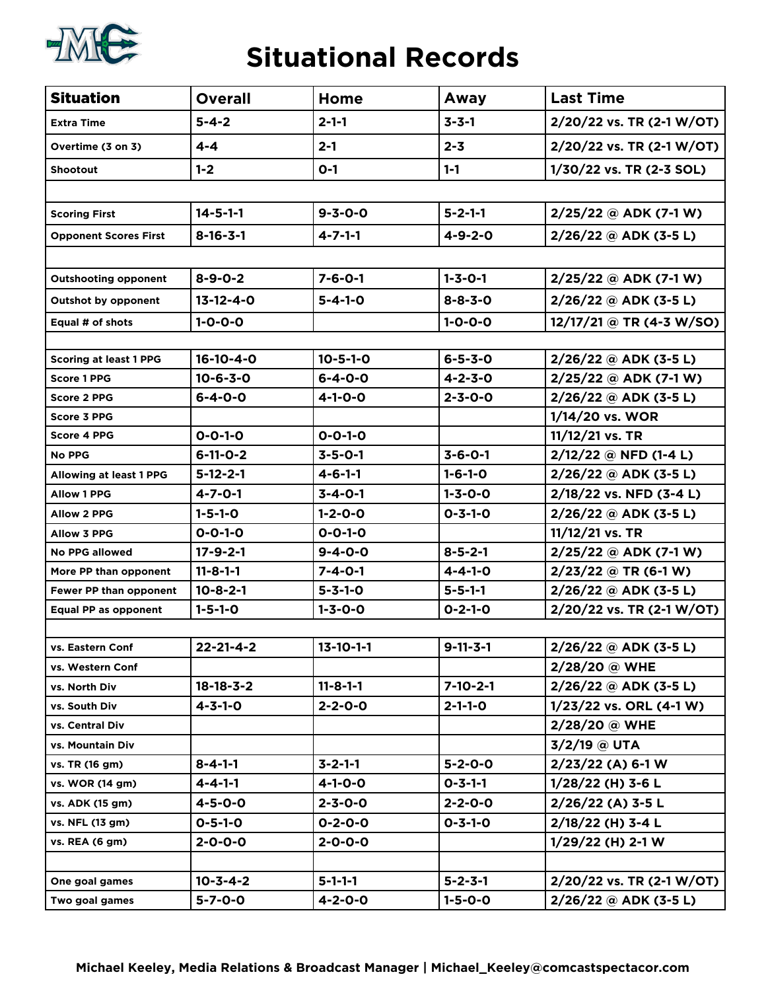

### **Situational Records**

| <b>Situation</b>               | <b>Overall</b>    | Home              | Away             | <b>Last Time</b>          |
|--------------------------------|-------------------|-------------------|------------------|---------------------------|
| <b>Extra Time</b>              | $5 - 4 - 2$       | $2 - 1 - 1$       | $3 - 3 - 1$      | 2/20/22 vs. TR (2-1 W/OT) |
| Overtime (3 on 3)              | $4 - 4$           | $2 - 1$           | $2 - 3$          | 2/20/22 vs. TR (2-1 W/OT) |
| <b>Shootout</b>                | $1 - 2$           | $O-1$             | $1 - 1$          | 1/30/22 vs. TR (2-3 SOL)  |
|                                |                   |                   |                  |                           |
| <b>Scoring First</b>           | $14 - 5 - 1 - 1$  | $9 - 3 - 0 - 0$   | $5 - 2 - 1 - 1$  | $2/25/22$ @ ADK (7-1 W)   |
| <b>Opponent Scores First</b>   | $8 - 16 - 3 - 1$  | $4 - 7 - 1 - 1$   | $4 - 9 - 2 - 0$  | $2/26/22$ @ ADK (3-5 L)   |
|                                |                   |                   |                  |                           |
| <b>Outshooting opponent</b>    | $8 - 9 - 0 - 2$   | $7 - 6 - 0 - 1$   | $1 - 3 - 0 - 1$  | $2/25/22$ @ ADK (7-1 W)   |
| <b>Outshot by opponent</b>     | $13 - 12 - 4 - 0$ | $5 - 4 - 1 - 0$   | $8 - 8 - 3 - 0$  | $2/26/22$ @ ADK (3-5 L)   |
| Equal # of shots               | $1 - 0 - 0 - 0$   |                   | $1 - 0 - 0 - 0$  | 12/17/21 @ TR (4-3 W/SO)  |
|                                |                   |                   |                  |                           |
| <b>Scoring at least 1 PPG</b>  | $16 - 10 - 4 - 0$ | $10 - 5 - 1 - 0$  | $6 - 5 - 3 - 0$  | $2/26/22$ @ ADK (3-5 L)   |
| <b>Score 1 PPG</b>             | $10 - 6 - 3 - 0$  | $6 - 4 - 0 - 0$   | $4 - 2 - 3 - 0$  | 2/25/22 @ ADK (7-1 W)     |
| <b>Score 2 PPG</b>             | $6 - 4 - 0 - 0$   | $4 - 1 - 0 - 0$   | $2 - 3 - 0 - 0$  | $2/26/22$ @ ADK (3-5 L)   |
| <b>Score 3 PPG</b>             |                   |                   |                  | 1/14/20 vs. WOR           |
| <b>Score 4 PPG</b>             | $0 - 0 - 1 - 0$   | $0 - 0 - 1 - 0$   |                  | $11/12/21$ vs. TR         |
| <b>No PPG</b>                  | $6-11-0-2$        | $3 - 5 - 0 - 1$   | $3 - 6 - 0 - 1$  | $2/12/22$ @ NFD (1-4 L)   |
| <b>Allowing at least 1 PPG</b> | $5 - 12 - 2 - 1$  | $4 - 6 - 1 - 1$   | $1 - 6 - 1 - 0$  | $2/26/22$ @ ADK (3-5 L)   |
| <b>Allow 1 PPG</b>             | $4 - 7 - 0 - 1$   | $3 - 4 - 0 - 1$   | $1 - 3 - 0 - 0$  | 2/18/22 vs. NFD (3-4 L)   |
| <b>Allow 2 PPG</b>             | $1 - 5 - 1 - 0$   | $1 - 2 - 0 - 0$   | $0 - 3 - 1 - 0$  | $2/26/22$ @ ADK (3-5 L)   |
| <b>Allow 3 PPG</b>             | $0 - 0 - 1 - 0$   | $0 - 0 - 1 - 0$   |                  | 11/12/21 vs. TR           |
| <b>No PPG allowed</b>          | $17 - 9 - 2 - 1$  | $9 - 4 - 0 - 0$   | $8 - 5 - 2 - 1$  | 2/25/22 @ ADK (7-1 W)     |
| More PP than opponent          | $11 - 8 - 1 - 1$  | $7 - 4 - 0 - 1$   | $4 - 4 - 1 - 0$  | $2/23/22$ @ TR (6-1 W)    |
| Fewer PP than opponent         | $10 - 8 - 2 - 1$  | $5 - 3 - 1 - 0$   | $5 - 5 - 1 - 1$  | $2/26/22$ @ ADK (3-5 L)   |
| Equal PP as opponent           | $1 - 5 - 1 - 0$   | $1 - 3 - 0 - 0$   | $0 - 2 - 1 - 0$  | 2/20/22 vs. TR (2-1 W/OT) |
|                                |                   |                   |                  |                           |
| vs. Eastern Conf               | $22 - 21 - 4 - 2$ | $13 - 10 - 1 - 1$ | $9 - 11 - 3 - 1$ | 2/26/22 @ ADK (3-5 L)     |
| vs. Western Conf               |                   |                   |                  | 2/28/20 @ WHE             |
| vs. North Div                  | $18 - 18 - 3 - 2$ | $11 - 8 - 1 - 1$  | $7 - 10 - 2 - 1$ | $2/26/22$ @ ADK (3-5 L)   |
| vs. South Div                  | $4 - 3 - 1 - 0$   | $2 - 2 - 0 - 0$   | $2 - 1 - 1 - 0$  | 1/23/22 vs. ORL (4-1 W)   |
| vs. Central Div                |                   |                   |                  | 2/28/20 @ WHE             |
| vs. Mountain Div               |                   |                   |                  | 3/2/19 @ UTA              |
| vs. TR (16 gm)                 | $8 - 4 - 1 - 1$   | $3 - 2 - 1 - 1$   | $5 - 2 - 0 - 0$  | $2/23/22$ (A) 6-1 W       |
| vs. WOR (14 gm)                | $4 - 4 - 1 - 1$   | $4 - 1 - 0 - 0$   | $0 - 3 - 1 - 1$  | 1/28/22 (H) 3-6 L         |
| vs. ADK (15 gm)                | $4 - 5 - 0 - 0$   | $2 - 3 - 0 - 0$   | $2 - 2 - 0 - 0$  | $2/26/22$ (A) 3-5 L       |
| vs. NFL (13 gm)                | $0 - 5 - 1 - 0$   | $0 - 2 - 0 - 0$   | $0 - 3 - 1 - 0$  | 2/18/22 (H) 3-4 L         |
| vs. REA (6 gm)                 | $2 - 0 - 0 - 0$   | $2 - 0 - 0 - 0$   |                  | $1/29/22$ (H) 2-1 W       |
|                                |                   |                   |                  |                           |
| One goal games                 | $10 - 3 - 4 - 2$  | $5 - 1 - 1 - 1$   | $5 - 2 - 3 - 1$  | 2/20/22 vs. TR (2-1 W/OT) |
| Two goal games                 | $5 - 7 - 0 - 0$   | $4 - 2 - 0 - 0$   | $1 - 5 - 0 - 0$  | $2/26/22$ @ ADK (3-5 L)   |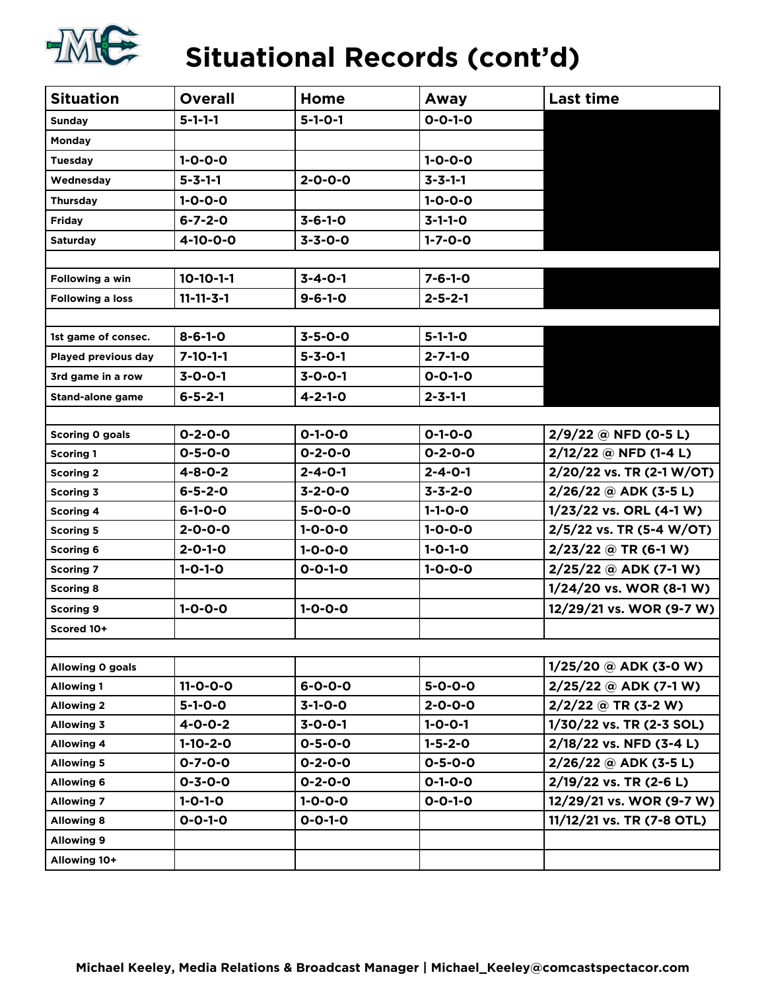

# **Situational Records (cont'd)**

| <b>Situation</b>        | <b>Overall</b>    | Home            | Away            | <b>Last time</b>          |
|-------------------------|-------------------|-----------------|-----------------|---------------------------|
| <b>Sunday</b>           | $5 - 1 - 1 - 1$   | $5 - 1 - 0 - 1$ | $0 - 0 - 1 - 0$ |                           |
| Monday                  |                   |                 |                 |                           |
| <b>Tuesday</b>          | $1 - 0 - 0 - 0$   |                 | $1 - 0 - 0 - 0$ |                           |
| Wednesday               | $5 - 3 - 1 - 1$   | $2 - 0 - 0 - 0$ | $3 - 3 - 1 - 1$ |                           |
| Thursday                | $1 - 0 - 0 - 0$   |                 | $1 - 0 - 0 - 0$ |                           |
| <b>Friday</b>           | $6 - 7 - 2 - 0$   | $3 - 6 - 1 - 0$ | $3 - 1 - 1 - 0$ |                           |
| <b>Saturday</b>         | $4 - 10 - 0 - 0$  | $3 - 3 - 0 - 0$ | $1 - 7 - 0 - 0$ |                           |
|                         |                   |                 |                 |                           |
| Following a win         | $10-10-1-1$       | $3 - 4 - 0 - 1$ | $7 - 6 - 1 - 0$ |                           |
| <b>Following a loss</b> | $11 - 11 - 3 - 1$ | $9 - 6 - 1 - 0$ | $2 - 5 - 2 - 1$ |                           |
|                         |                   |                 |                 |                           |
| 1st game of consec.     | $8 - 6 - 1 - 0$   | $3 - 5 - 0 - 0$ | $5 - 1 - 1 - 0$ |                           |
| Played previous day     | $7 - 10 - 1 - 1$  | $5 - 3 - 0 - 1$ | $2 - 7 - 1 - 0$ |                           |
| 3rd game in a row       | $3 - 0 - 0 - 1$   | $3 - 0 - 0 - 1$ | $0 - 0 - 1 - 0$ |                           |
| <b>Stand-alone game</b> | $6 - 5 - 2 - 1$   | $4 - 2 - 1 - 0$ | $2 - 3 - 1 - 1$ |                           |
|                         |                   |                 |                 |                           |
| Scoring 0 goals         | $0 - 2 - 0 - 0$   | $0 - 1 - 0 - 0$ | $0 - 1 - 0 - 0$ | $2/9/22$ @ NFD (0-5 L)    |
| <b>Scoring 1</b>        | $0 - 5 - 0 - 0$   | $0 - 2 - 0 - 0$ | $0 - 2 - 0 - 0$ | 2/12/22 @ NFD (1-4 L)     |
| <b>Scoring 2</b>        | $4 - 8 - 0 - 2$   | $2 - 4 - 0 - 1$ | $2 - 4 - 0 - 1$ | 2/20/22 vs. TR (2-1 W/OT) |
| <b>Scoring 3</b>        | $6 - 5 - 2 - 0$   | $3 - 2 - 0 - 0$ | $3 - 3 - 2 - 0$ | 2/26/22 @ ADK (3-5 L)     |
| <b>Scoring 4</b>        | $6 - 1 - 0 - 0$   | $5 - 0 - 0 - 0$ | $1 - 1 - 0 - 0$ | 1/23/22 vs. ORL (4-1 W)   |
| <b>Scoring 5</b>        | $2 - 0 - 0 - 0$   | $1 - 0 - 0 - 0$ | $1 - 0 - 0 - 0$ | 2/5/22 vs. TR (5-4 W/OT)  |
| <b>Scoring 6</b>        | $2 - 0 - 1 - 0$   | $1 - 0 - 0 - 0$ | $1 - 0 - 1 - 0$ | $2/23/22$ @ TR (6-1 W)    |
| <b>Scoring 7</b>        | $1 - 0 - 1 - 0$   | $0 - 0 - 1 - 0$ | $1 - 0 - 0 - 0$ | $2/25/22$ @ ADK (7-1 W)   |
| <b>Scoring 8</b>        |                   |                 |                 | 1/24/20 vs. WOR (8-1 W)   |
| <b>Scoring 9</b>        | $1 - 0 - 0 - 0$   | $1 - 0 - 0 - 0$ |                 | 12/29/21 vs. WOR (9-7 W)  |
| Scored 10+              |                   |                 |                 |                           |
|                         |                   |                 |                 |                           |
| Allowing 0 goals        |                   |                 |                 | $1/25/20$ @ ADK (3-0 W)   |
| <b>Allowing 1</b>       | $11 - 0 - 0 - 0$  | $6 - 0 - 0 - 0$ | $5 - 0 - 0 - 0$ | $2/25/22$ @ ADK (7-1 W)   |
| <b>Allowing 2</b>       | $5 - 1 - 0 - 0$   | $3-1-0-0$       | $2 - 0 - 0 - 0$ | $2/2/22$ @ TR (3-2 W)     |
| <b>Allowing 3</b>       | $4 - 0 - 0 - 2$   | $3 - 0 - 0 - 1$ | $1 - 0 - 0 - 1$ | 1/30/22 vs. TR (2-3 SOL)  |
| <b>Allowing 4</b>       | $1-10-2-0$        | $0 - 5 - 0 - 0$ | $1 - 5 - 2 - 0$ | 2/18/22 vs. NFD (3-4 L)   |
| <b>Allowing 5</b>       | $0 - 7 - 0 - 0$   | $0 - 2 - 0 - 0$ | $0 - 5 - 0 - 0$ | $2/26/22$ @ ADK (3-5 L)   |
| <b>Allowing 6</b>       | $0 - 3 - 0 - 0$   | $0 - 2 - 0 - 0$ | $0 - 1 - 0 - 0$ | 2/19/22 vs. TR (2-6 L)    |
| <b>Allowing 7</b>       | $1 - 0 - 1 - 0$   | $1 - 0 - 0 - 0$ | $0 - 0 - 1 - 0$ | 12/29/21 vs. WOR (9-7 W)  |
| <b>Allowing 8</b>       | $0 - 0 - 1 - 0$   | $0 - 0 - 1 - 0$ |                 | 11/12/21 vs. TR (7-8 OTL) |
| <b>Allowing 9</b>       |                   |                 |                 |                           |
| Allowing 10+            |                   |                 |                 |                           |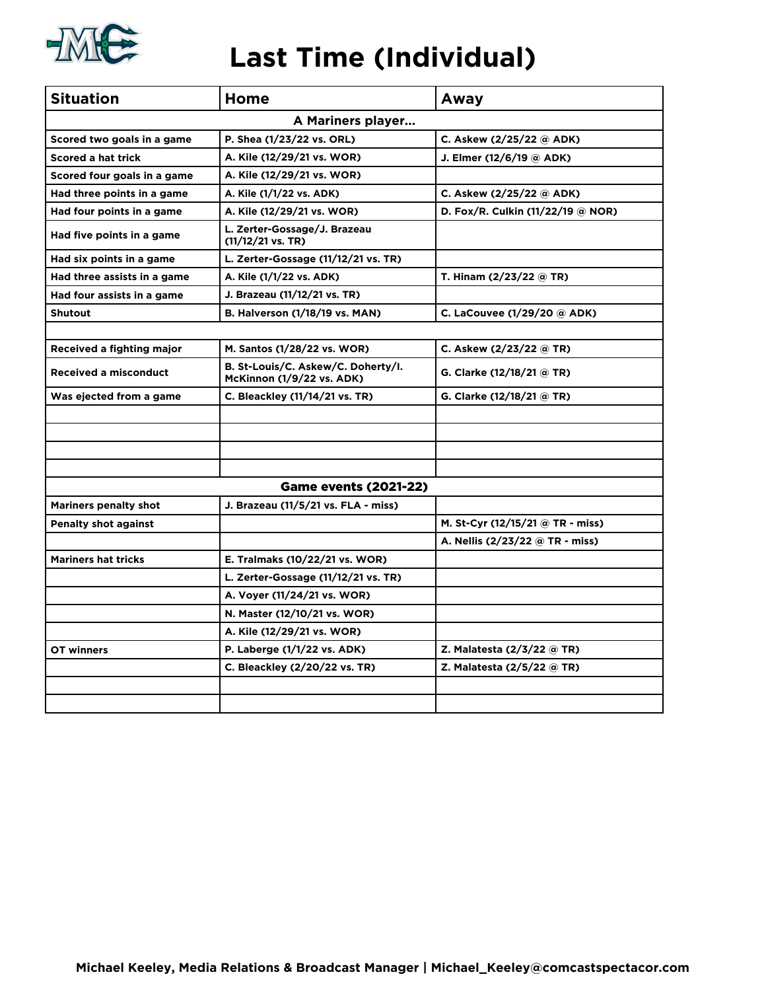

## **Last Time (Individual)**

| <b>Situation</b>             | Home                                                                   | Away                              |
|------------------------------|------------------------------------------------------------------------|-----------------------------------|
|                              | A Mariners player                                                      |                                   |
| Scored two goals in a game   | P. Shea (1/23/22 vs. ORL)                                              | C. Askew (2/25/22 @ ADK)          |
| <b>Scored a hat trick</b>    | A. Kile (12/29/21 vs. WOR)                                             | J. Elmer (12/6/19 @ ADK)          |
| Scored four goals in a game  | A. Kile (12/29/21 vs. WOR)                                             |                                   |
| Had three points in a game   | A. Kile (1/1/22 vs. ADK)                                               | C. Askew (2/25/22 @ ADK)          |
| Had four points in a game    | A. Kile (12/29/21 vs. WOR)                                             | D. Fox/R. Culkin (11/22/19 @ NOR) |
| Had five points in a game    | L. Zerter-Gossage/J. Brazeau<br>$(11/12/21 \text{ vs. TR})$            |                                   |
| Had six points in a game     | L. Zerter-Gossage (11/12/21 vs. TR)                                    |                                   |
| Had three assists in a game  | A. Kile (1/1/22 vs. ADK)                                               | T. Hinam (2/23/22 @ TR)           |
| Had four assists in a game   | J. Brazeau (11/12/21 vs. TR)                                           |                                   |
| <b>Shutout</b>               | <b>B. Halverson (1/18/19 vs. MAN)</b>                                  | C. LaCouvee (1/29/20 @ ADK)       |
|                              |                                                                        |                                   |
| Received a fighting major    | M. Santos (1/28/22 vs. WOR)                                            | C. Askew (2/23/22 @ TR)           |
| <b>Received a misconduct</b> | B. St-Louis/C. Askew/C. Doherty/I.<br><b>McKinnon (1/9/22 vs. ADK)</b> | G. Clarke (12/18/21 @ TR)         |
| Was ejected from a game      | C. Bleackley (11/14/21 vs. TR)                                         | G. Clarke (12/18/21 @ TR)         |
|                              |                                                                        |                                   |
|                              |                                                                        |                                   |
|                              |                                                                        |                                   |
|                              |                                                                        |                                   |
|                              | <b>Game events (2021-22)</b>                                           |                                   |
| <b>Mariners penalty shot</b> | J. Brazeau (11/5/21 vs. FLA - miss)                                    |                                   |
| <b>Penalty shot against</b>  |                                                                        | M. St-Cyr (12/15/21 @ TR - miss)  |
|                              |                                                                        | A. Nellis (2/23/22 @ TR - miss)   |
| <b>Mariners hat tricks</b>   | E. Tralmaks (10/22/21 vs. WOR)                                         |                                   |
|                              | L. Zerter-Gossage (11/12/21 vs. TR)                                    |                                   |
|                              | A. Voyer (11/24/21 vs. WOR)                                            |                                   |
|                              | N. Master (12/10/21 vs. WOR)                                           |                                   |
|                              | A. Kile (12/29/21 vs. WOR)                                             |                                   |
| OT winners                   | P. Laberge (1/1/22 vs. ADK)                                            | Z. Malatesta (2/3/22 @ TR)        |
|                              | C. Bleackley (2/20/22 vs. TR)                                          | Z. Malatesta (2/5/22 @ TR)        |
|                              |                                                                        |                                   |
|                              |                                                                        |                                   |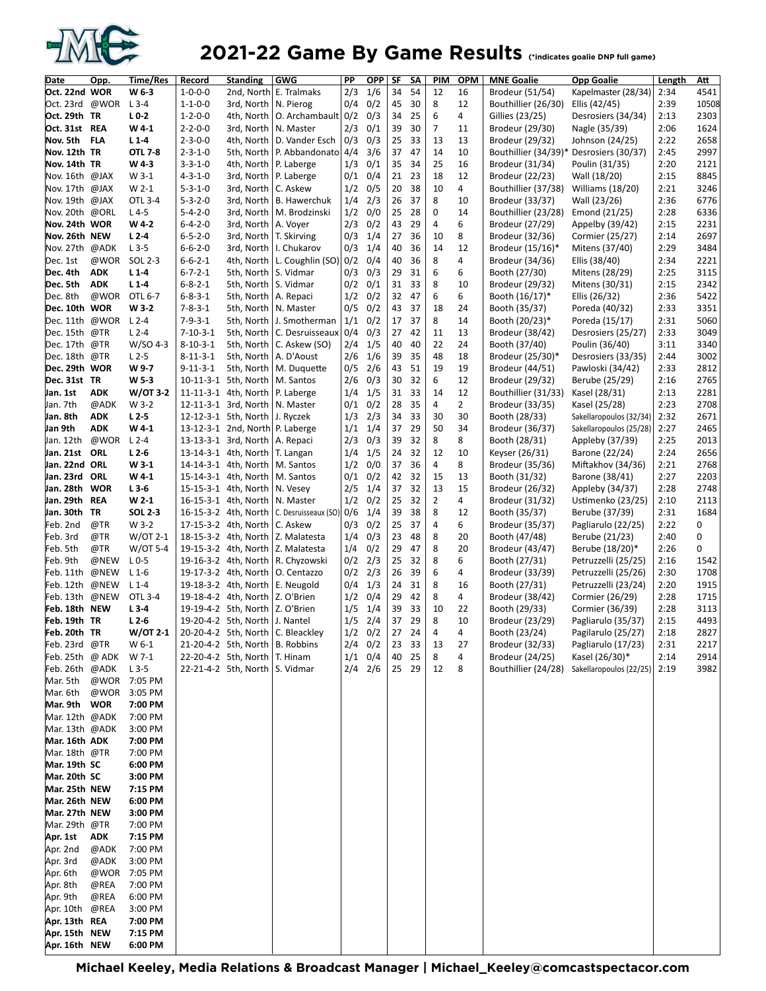

## 2021-22 Game By Game Results (\*indicates goalie DNP full game)

| 2/3<br>1/6<br>Oct. 22nd WOR<br>34<br>54<br>12<br>16<br>Kapelmaster (28/34)<br>W 6-3<br>$1 - 0 - 0 - 0$<br>2nd, North E. Tralmaks<br>Brodeur (51/54)<br>2:34<br>Oct. 23rd @WOR<br>$L$ 3-4<br>0/4<br>0/2<br>45<br>8<br>12<br>2:39<br>$1 - 1 - 0 - 0$<br>3rd, North<br>N. Pierog<br>30<br>Bouthillier (26/30)<br>Ellis (42/45)<br>Oct. 29th TR<br>$L0-2$<br>$1 - 2 - 0 - 0$<br>O. Archambault 0/2<br>0/3<br>34<br>25<br>6<br>4<br>Gillies (23/25)<br>2:13<br>4th, North<br>Desrosiers (34/34)<br>$\overline{7}$<br>Oct. 31st REA<br>$2 - 2 - 0 - 0$<br>2/3<br>0/1<br>39<br>30<br>2:06<br>W4-1<br>3rd, North<br>N. Master<br>11<br>Brodeur (29/30)<br>Nagle (35/39)<br>Nov. 5th<br><b>FLA</b><br>$2 - 3 - 0 - 0$<br>4th, North<br>D. Vander Esch<br>0/3<br>0/3<br>25<br>33<br>13<br>2:22<br>$L1-4$<br>13<br>Brodeur (29/32)<br>Johnson (24/25)<br>Nov. 12th TR<br><b>OTL 7-8</b><br>$2 - 3 - 1 - 0$<br>P. Abbandonato 4/4<br>3/6<br>37<br>47<br>14<br>10<br>5th, North<br>Bouthillier (34/39)*<br>Desrosiers (30/37)<br>2:45<br>Nov. 14th TR<br>W 4-3<br>$3 - 3 - 1 - 0$<br>1/3<br>0/1<br>35<br>34<br>25<br>16<br>4th, North<br>P. Laberge<br>Brodeur (31/34)<br>Poulin (31/35)<br>2:20<br>$W$ 3-1<br>$4 - 3 - 1 - 0$<br>P. Laberge<br>0/1<br>0/4<br>21<br>23<br>18<br>12<br>2:15<br>Nov. 16th @JAX<br>3rd, North<br>Brodeur (22/23)<br>Wall (18/20)<br>10<br>$5 - 3 - 1 - 0$<br>C. Askew<br>0/5<br>20<br>38<br>4<br>Bouthillier (37/38)<br>2:21<br>Nov. 17th @JAX<br>W 2-1<br>3rd, North<br>1/2<br><b>Williams (18/20)</b><br>8<br>Nov. 19th @JAX<br>OTL 3-4<br>$5 - 3 - 2 - 0$<br>1/4<br>2/3<br>26<br>37<br>2:36<br>3rd, North<br><b>B.</b> Hawerchuk<br>10<br>Brodeur (33/37)<br>Wall (23/26)<br>0<br>Nov. 20th @ORL<br>$L4-5$<br>$5 - 4 - 2 - 0$<br>1/2<br>0/0<br>25<br>14<br>Bouthillier (23/28)<br>3rd, North<br>M. Brodzinski<br>28<br>Emond (21/25)<br>2:28<br>$\overline{4}$<br>Nov. 24th WOR<br>$6 - 4 - 2 - 0$<br>2/3<br>0/2<br>43<br>29<br>6<br>W 4-2<br>3rd, North<br>A. Voyer<br>Brodeur (27/29)<br>Appelby (39/42)<br>2:15<br>Nov. 26th NEW<br>$L2-4$<br>$6 - 5 - 2 - 0$<br>T. Skirving<br>0/3<br>1/4<br>27<br>10<br>8<br>2:14<br>3rd, North<br>36<br>Brodeur (32/36)<br>Cormier (25/27)<br>Nov. 27th @ADK<br>$6 - 6 - 2 - 0$<br>1/4<br>40<br>36<br>14<br>12<br>2:29<br>$L$ 3-5<br>3rd, North<br>I. Chukarov<br>0/3<br>Brodeur (15/16)*<br>Mitens (37/40)<br>Dec. 1st<br>@WOR<br>SOL 2-3<br>$6 - 6 - 2 - 1$<br>4th, North<br>L. Coughlin (SO) 0/2<br>0/4<br>40<br>36<br>8<br>4<br>Brodeur (34/36)<br>Ellis (38/40)<br>2:34<br>6<br>Dec. 4th<br><b>ADK</b><br>S. Vidmar<br>0/3<br>29<br>31<br>6<br>2:25<br>$L1-4$<br>$6 - 7 - 2 - 1$<br>5th, North<br>0/3<br>Booth (27/30)<br>Mitens (28/29)<br>8<br>Dec. 5th<br><b>ADK</b><br>$L1-4$<br>$6 - 8 - 2 - 1$<br>33<br>5th, North<br>S. Vidmar<br>0/2<br>0/1<br>31<br>10<br>Brodeur (29/32)<br>Mitens (30/31)<br>2:15<br>Dec. 8th<br>@WOR<br>$6 - 8 - 3 - 1$<br>5th, North<br>1/2<br>0/2<br>32<br>6<br>6<br>Booth (16/17)*<br>2:36<br>OTL 6-7<br>A. Repaci<br>47<br>Ellis (26/32)<br>18<br>Dec. 10th WOR<br>W 3-2<br>$7 - 8 - 3 - 1$<br>0/5<br>0/2<br>43<br>37<br>24<br>2:33<br>5th, North   N. Master<br>Booth (35/37)<br>Poreda (40/32)<br>8<br>Dec. 11th @WOR<br>$L2-4$<br>$7 - 9 - 3 - 1$<br>5th, North<br>1/1<br>0/2<br>17<br>37<br>2:31<br>J. Smotherman<br>14<br>Booth (20/23)*<br>Poreda (15/17)<br>Dec. 15th<br>0/4<br>0/3<br>27<br>13<br>@TR<br>$L2-4$<br>$7 - 10 - 3 - 1$<br>5th, North<br>C. Desruisseaux<br>42<br>11<br>Brodeur (38/42)<br>Desrosiers (25/27)<br>2:33<br>22<br>Dec. 17th @TR<br>W/SO 4-3<br>2/4<br>1/5<br>40<br>24<br>$8 - 10 - 3 - 1$<br>5th, North<br>C. Askew (SO)<br>40<br>Booth (37/40)<br>Poulin (36/40)<br>3:11<br>Dec. 18th @TR<br>5th, North<br>2/6<br>1/6<br>39<br>35<br>48<br>18<br>2:44<br>$L2-5$<br>$8 - 11 - 3 - 1$<br>A. D'Aoust<br>Brodeur (25/30)*<br>Desrosiers (33/35)<br>19<br>Dec. 29th WOR<br>W 9-7<br>5th, North<br>2/6<br>43<br>51<br>19<br>2:33<br>$9 - 11 - 3 - 1$<br>M. Duquette<br>0/5<br>Brodeur (44/51)<br>Pawloski (34/42)<br>Dec. 31st TR<br>W <sub>5</sub> -3<br>10-11-3-1 5th, North<br>2/6<br>0/3<br>30<br>32<br>6<br>12<br>M. Santos<br>Brodeur (29/32)<br>Berube (25/29)<br>2:16<br>1/5<br>Jan. 1st<br>W/OT 3-2<br>11-11-3-1 4th, North<br>31<br>33<br>12<br><b>ADK</b><br>P. Laberge<br>1/4<br>14<br>Bouthillier (31/33)<br>Kasel (28/31)<br>2:13<br>W 3-2<br>12-11-3-1 3rd, North<br>0/2<br>28<br>35<br>4<br>$\overline{2}$<br>Jan. 7th<br>@ADK<br>N. Master<br>0/1<br>Brodeur (33/35)<br>Kasel (25/28)<br>2:23<br>Jan. 8th<br><b>ADK</b><br>$L2-5$<br>12-12-3-1 5th, North<br>2/3<br>34<br>33<br>30<br>30<br>Booth (28/33)<br>2:32<br>J. Ryczek<br>1/3<br>Sakellaropoulos (32/34)<br>50<br>Jan 9th<br><b>ADK</b><br>$W4-1$<br>37<br>29<br>34<br>2:27<br>13-12-3-1 2nd, North P. Laberge<br>1/1<br>1/4<br>Brodeur (36/37)<br>Sakellaropoulos (25/28)<br>Jan. 12th<br>@WOR<br>$L2-4$<br>13-13-3-1 3rd, North<br>2/3<br>0/3<br>39<br>32<br>8<br>8<br>2:25<br>A. Repaci<br>Booth (28/31)<br>Appleby (37/39)<br>1/5<br>Jan. 21st<br>ORL<br>$L2-6$<br>24<br>32<br>10<br>13-14-3-1 4th, North<br>T. Langan<br>1/4<br>12<br>Keyser (26/31)<br>Barone (22/24)<br>2:24<br>Jan. 22nd ORL<br>0/0<br>37<br>36<br>4<br>8<br>W 3-1<br>14-14-3-1 4th, North<br>M. Santos<br>1/2<br>Brodeur (35/36)<br>Miftakhov (34/36)<br>2:21<br>Jan. 23rd<br>$W4-1$<br>0/1<br>0/2<br>42<br>32<br>15<br>13<br>2:27<br>ORL<br>15-14-3-1 4th, North<br>M. Santos<br>Booth (31/32)<br>Barone (38/41)<br>37<br>32<br>13<br>Jan. 28th WOR<br>$L3-6$<br>2/5<br>15<br>2:28<br>15-15-3-1 4th, North<br>N. Vesey<br>1/4<br>Brodeur (26/32)<br>Appleby (34/37)<br>$\overline{2}$<br>Jan. 29th REA<br>$W 2-1$<br>1/2<br>0/2<br>25<br>32<br>4<br>2:10<br>16-15-3-1 4th, North<br>N. Master<br>Brodeur (31/32)<br>Ustimenko (23/25)<br>Jan. 30th TR<br><b>SOL 2-3</b><br>1/4<br>39<br>38<br>8<br>12<br>2:31<br>16-15-3-2 4th, North<br>C. Desruisseaux (SO) 0/6<br>Booth (35/37)<br>Berube (37/39)<br>4<br>W 3-2<br>0/2<br>25<br>37<br>6<br>Feb. 2nd<br>@TR<br>17-15-3-2 4th, North<br>C. Askew<br>0/3<br>Brodeur (35/37)<br>Pagliarulo (22/25)<br>2:22<br>8<br>Feb. 3rd<br>@TR<br>$W$ /OT 2-1<br>1/4<br>0/3<br>23<br>20<br>2:40<br>18-15-3-2 4th, North<br>Z. Malatesta<br>48<br>Booth (47/48)<br>Berube (21/23)<br>8<br>Z. Malatesta<br>1/4<br>0/2<br>29<br>47<br>20<br>2:26<br>Feb. 5th<br>@TR<br>W/OT 5-4<br>19-15-3-2 4th, North<br>Brodeur (43/47)<br>Berube (18/20)*<br>8<br>Feb. 9th<br>@NEW<br>$L0-5$<br>$0/2$ $2/3$<br>25<br>32<br>6<br>19-16-3-2 4th, North<br>R. Chyzowski<br>Booth (27/31)<br>Petruzzelli (25/25)<br>2:16<br>6<br>@NEW<br>2/3<br>26<br>Feb. 11th<br>$L_1$ -6<br>19-17-3-2 4th, North<br>O. Centazzo<br>0/2<br>39<br>4<br>Brodeur (33/39)<br>Petruzzelli (25/26)<br>2:30<br>8<br>Feb. 12th<br>0/4<br>1/3<br>@NEW<br>$L_1 - 4$<br>19-18-3-2 4th, North<br>E. Neugold<br>24<br>31<br>16<br>Booth (27/31)<br>Petruzzelli (23/24)<br>2:20<br>8<br>Feb. 13th<br>@NEW<br>OTL 3-4<br>19-18-4-2 4th, North<br>Z. O'Brien<br>1/2<br>0/4<br>29<br>42<br>2:28<br>4<br>Brodeur (38/42)<br>Cormier (26/29)<br>33<br>10<br>Feb. 18th NEW<br>$L3-4$<br>19-19-4-2 5th, North   Z. O'Brien<br>39<br>22<br>2:28<br>1/5<br>1/4<br>Booth (29/33)<br>Cormier (36/39)<br>8<br>Feb. 19th TR<br>$L2-6$<br>19-20-4-2 5th, North<br>1/5<br>2/4<br>37<br>29<br>10<br>2:15<br>Brodeur (23/29)<br>Pagliarulo (35/37)<br>  J. Nantel<br> Feb. 20th TR<br>W/OT 2-1<br>20-20-4-2 5th, North   C. Bleackley<br>$1/2$ 0/2<br>27<br>24<br>4<br>4<br>Booth (23/24)<br>Pagilarulo (25/27)<br>2:18<br>Feb. 23rd @TR<br>W 6-1<br>21-20-4-2 5th, North   B. Robbins<br>$2/4$ 0/2<br>23<br>13<br>27<br>Brodeur (32/33)<br>Pagliarulo (17/23)<br>2:31<br>33<br>Feb. 25th @ ADK<br>W 7-1<br>22-20-4-2 5th, North   T. Hinam<br>$1/1$ 0/4<br>Kasel (26/30)*<br>40<br>25<br>8<br>4<br>Brodeur (24/25)<br>2:14<br>22-21-4-2 5th, North   S. Vidmar<br>$2/4$ $2/6$<br>25 29<br>12<br>8<br>Bouthillier (24/28) Sakellaropoulos (22/25)   2:19<br>Feb. 26th @ADK<br>$L$ 3-5<br>Mar. 5th<br>@WOR 7:05 PM<br>Mar. 6th<br>@WOR 3:05 PM<br>Mar. 9th WOR<br>7:00 PM<br>Mar. 12th @ADK<br>7:00 PM<br>Mar. 13th @ADK<br>3:00 PM<br>Mar. 16th ADK<br>7:00 PM<br>Mar. 18th @TR<br>7:00 PM<br>Mar. 19th SC<br>6:00 PM<br>Mar. 20th SC<br>3:00 PM<br>Mar. 25th NEW<br>7:15 PM<br>Mar. 26th NEW<br>6:00 PM<br>Mar. 27th NEW<br>3:00 PM<br>Mar. 29th @TR<br>7:00 PM<br>Apr. 1st<br>ADK<br>7:15 PM<br>Apr. 2nd<br>@ADK<br>7:00 PM<br>Apr. 3rd<br>@ADK<br>3:00 PM<br>Apr. 6th<br>@WOR<br>7:05 PM<br>Apr. 8th<br>@REA<br>7:00 PM<br>Apr. 9th<br>@REA<br>6:00 PM<br>Apr. 10th @REA<br>3:00 PM<br>Apr. 13th REA<br>7:00 PM<br>Apr. 15th NEW<br>7:15 PM<br>Apr. 16th NEW<br>6:00 PM | Date | Opp. | Time/Res | Record | <b>Standing</b> | <b>GWG</b> | ΡP | <b>OPP</b> | SF | SΑ | <b>PIM</b> | <b>OPM</b> | <b>MNE Goalie</b> | <b>Opp Goalie</b> | Length | Att   |
|----------------------------------------------------------------------------------------------------------------------------------------------------------------------------------------------------------------------------------------------------------------------------------------------------------------------------------------------------------------------------------------------------------------------------------------------------------------------------------------------------------------------------------------------------------------------------------------------------------------------------------------------------------------------------------------------------------------------------------------------------------------------------------------------------------------------------------------------------------------------------------------------------------------------------------------------------------------------------------------------------------------------------------------------------------------------------------------------------------------------------------------------------------------------------------------------------------------------------------------------------------------------------------------------------------------------------------------------------------------------------------------------------------------------------------------------------------------------------------------------------------------------------------------------------------------------------------------------------------------------------------------------------------------------------------------------------------------------------------------------------------------------------------------------------------------------------------------------------------------------------------------------------------------------------------------------------------------------------------------------------------------------------------------------------------------------------------------------------------------------------------------------------------------------------------------------------------------------------------------------------------------------------------------------------------------------------------------------------------------------------------------------------------------------------------------------------------------------------------------------------------------------------------------------------------------------------------------------------------------------------------------------------------------------------------------------------------------------------------------------------------------------------------------------------------------------------------------------------------------------------------------------------------------------------------------------------------------------------------------------------------------------------------------------------------------------------------------------------------------------------------------------------------------------------------------------------------------------------------------------------------------------------------------------------------------------------------------------------------------------------------------------------------------------------------------------------------------------------------------------------------------------------------------------------------------------------------------------------------------------------------------------------------------------------------------------------------------------------------------------------------------------------------------------------------------------------------------------------------------------------------------------------------------------------------------------------------------------------------------------------------------------------------------------------------------------------------------------------------------------------------------------------------------------------------------------------------------------------------------------------------------------------------------------------------------------------------------------------------------------------------------------------------------------------------------------------------------------------------------------------------------------------------------------------------------------------------------------------------------------------------------------------------------------------------------------------------------------------------------------------------------------------------------------------------------------------------------------------------------------------------------------------------------------------------------------------------------------------------------------------------------------------------------------------------------------------------------------------------------------------------------------------------------------------------------------------------------------------------------------------------------------------------------------------------------------------------------------------------------------------------------------------------------------------------------------------------------------------------------------------------------------------------------------------------------------------------------------------------------------------------------------------------------------------------------------------------------------------------------------------------------------------------------------------------------------------------------------------------------------------------------------------------------------------------------------------------------------------------------------------------------------------------------------------------------------------------------------------------------------------------------------------------------------------------------------------------------------------------------------------------------------------------------------------------------------------------------------------------------------------------------------------------------------------------------------------------------------------------------------------------------------------------------------------------------------------------------------------------------------------------------------------------------------------------------------------------------------------------------------------------------------------------------------------------------------------------------------------------------------------------------------------------------------------------------------------------------------------------------------------------------------------------------------------------------------------------------------------------------------------------------------------------------------------------------------------------------------------------------------------------------------------------------------------------------------------------------------------------------------------------------------------------------------------------------------------------------------------------------------------------------------------------------------------------------------------------------------------------------------------------------------------------------------------------------------------------------------------------------------------------------------------------------------------------------------------------------------------------------------------------------------------------------------------------------------------------------------------------------------------------------------------------------------------------------------------------------------------------------------------------------------------------------------------------------------------------------------------------------------------------------------------------------------------------------------------------------------------------------------------------------------------------------------------------------------------------------------------------------------------------------------------------------------------------------------------------------------------------------------------------------------------------------------------------------------------------------------------|------|------|----------|--------|-----------------|------------|----|------------|----|----|------------|------------|-------------------|-------------------|--------|-------|
|                                                                                                                                                                                                                                                                                                                                                                                                                                                                                                                                                                                                                                                                                                                                                                                                                                                                                                                                                                                                                                                                                                                                                                                                                                                                                                                                                                                                                                                                                                                                                                                                                                                                                                                                                                                                                                                                                                                                                                                                                                                                                                                                                                                                                                                                                                                                                                                                                                                                                                                                                                                                                                                                                                                                                                                                                                                                                                                                                                                                                                                                                                                                                                                                                                                                                                                                                                                                                                                                                                                                                                                                                                                                                                                                                                                                                                                                                                                                                                                                                                                                                                                                                                                                                                                                                                                                                                                                                                                                                                                                                                                                                                                                                                                                                                                                                                                                                                                                                                                                                                                                                                                                                                                                                                                                                                                                                                                                                                                                                                                                                                                                                                                                                                                                                                                                                                                                                                                                                                                                                                                                                                                                                                                                                                                                                                                                                                                                                                                                                                                                                                                                                                                                                                                                                                                                                                                                                                                                                                                                                                                                                                                                                                                                                                                                                                                                                                                                                                                                                                                                                                                                                                                                                                                                                                                                                                                                                                                                                                                                                                                                                                                                                                                                                                                                                                                                                                                                                                                                                                                                                                                                                                                                                                                            |      |      |          |        |                 |            |    |            |    |    |            |            |                   |                   |        | 4541  |
|                                                                                                                                                                                                                                                                                                                                                                                                                                                                                                                                                                                                                                                                                                                                                                                                                                                                                                                                                                                                                                                                                                                                                                                                                                                                                                                                                                                                                                                                                                                                                                                                                                                                                                                                                                                                                                                                                                                                                                                                                                                                                                                                                                                                                                                                                                                                                                                                                                                                                                                                                                                                                                                                                                                                                                                                                                                                                                                                                                                                                                                                                                                                                                                                                                                                                                                                                                                                                                                                                                                                                                                                                                                                                                                                                                                                                                                                                                                                                                                                                                                                                                                                                                                                                                                                                                                                                                                                                                                                                                                                                                                                                                                                                                                                                                                                                                                                                                                                                                                                                                                                                                                                                                                                                                                                                                                                                                                                                                                                                                                                                                                                                                                                                                                                                                                                                                                                                                                                                                                                                                                                                                                                                                                                                                                                                                                                                                                                                                                                                                                                                                                                                                                                                                                                                                                                                                                                                                                                                                                                                                                                                                                                                                                                                                                                                                                                                                                                                                                                                                                                                                                                                                                                                                                                                                                                                                                                                                                                                                                                                                                                                                                                                                                                                                                                                                                                                                                                                                                                                                                                                                                                                                                                                                                            |      |      |          |        |                 |            |    |            |    |    |            |            |                   |                   |        | 10508 |
|                                                                                                                                                                                                                                                                                                                                                                                                                                                                                                                                                                                                                                                                                                                                                                                                                                                                                                                                                                                                                                                                                                                                                                                                                                                                                                                                                                                                                                                                                                                                                                                                                                                                                                                                                                                                                                                                                                                                                                                                                                                                                                                                                                                                                                                                                                                                                                                                                                                                                                                                                                                                                                                                                                                                                                                                                                                                                                                                                                                                                                                                                                                                                                                                                                                                                                                                                                                                                                                                                                                                                                                                                                                                                                                                                                                                                                                                                                                                                                                                                                                                                                                                                                                                                                                                                                                                                                                                                                                                                                                                                                                                                                                                                                                                                                                                                                                                                                                                                                                                                                                                                                                                                                                                                                                                                                                                                                                                                                                                                                                                                                                                                                                                                                                                                                                                                                                                                                                                                                                                                                                                                                                                                                                                                                                                                                                                                                                                                                                                                                                                                                                                                                                                                                                                                                                                                                                                                                                                                                                                                                                                                                                                                                                                                                                                                                                                                                                                                                                                                                                                                                                                                                                                                                                                                                                                                                                                                                                                                                                                                                                                                                                                                                                                                                                                                                                                                                                                                                                                                                                                                                                                                                                                                                                            |      |      |          |        |                 |            |    |            |    |    |            |            |                   |                   |        |       |
|                                                                                                                                                                                                                                                                                                                                                                                                                                                                                                                                                                                                                                                                                                                                                                                                                                                                                                                                                                                                                                                                                                                                                                                                                                                                                                                                                                                                                                                                                                                                                                                                                                                                                                                                                                                                                                                                                                                                                                                                                                                                                                                                                                                                                                                                                                                                                                                                                                                                                                                                                                                                                                                                                                                                                                                                                                                                                                                                                                                                                                                                                                                                                                                                                                                                                                                                                                                                                                                                                                                                                                                                                                                                                                                                                                                                                                                                                                                                                                                                                                                                                                                                                                                                                                                                                                                                                                                                                                                                                                                                                                                                                                                                                                                                                                                                                                                                                                                                                                                                                                                                                                                                                                                                                                                                                                                                                                                                                                                                                                                                                                                                                                                                                                                                                                                                                                                                                                                                                                                                                                                                                                                                                                                                                                                                                                                                                                                                                                                                                                                                                                                                                                                                                                                                                                                                                                                                                                                                                                                                                                                                                                                                                                                                                                                                                                                                                                                                                                                                                                                                                                                                                                                                                                                                                                                                                                                                                                                                                                                                                                                                                                                                                                                                                                                                                                                                                                                                                                                                                                                                                                                                                                                                                                                            |      |      |          |        |                 |            |    |            |    |    |            |            |                   |                   |        | 2303  |
|                                                                                                                                                                                                                                                                                                                                                                                                                                                                                                                                                                                                                                                                                                                                                                                                                                                                                                                                                                                                                                                                                                                                                                                                                                                                                                                                                                                                                                                                                                                                                                                                                                                                                                                                                                                                                                                                                                                                                                                                                                                                                                                                                                                                                                                                                                                                                                                                                                                                                                                                                                                                                                                                                                                                                                                                                                                                                                                                                                                                                                                                                                                                                                                                                                                                                                                                                                                                                                                                                                                                                                                                                                                                                                                                                                                                                                                                                                                                                                                                                                                                                                                                                                                                                                                                                                                                                                                                                                                                                                                                                                                                                                                                                                                                                                                                                                                                                                                                                                                                                                                                                                                                                                                                                                                                                                                                                                                                                                                                                                                                                                                                                                                                                                                                                                                                                                                                                                                                                                                                                                                                                                                                                                                                                                                                                                                                                                                                                                                                                                                                                                                                                                                                                                                                                                                                                                                                                                                                                                                                                                                                                                                                                                                                                                                                                                                                                                                                                                                                                                                                                                                                                                                                                                                                                                                                                                                                                                                                                                                                                                                                                                                                                                                                                                                                                                                                                                                                                                                                                                                                                                                                                                                                                                                            |      |      |          |        |                 |            |    |            |    |    |            |            |                   |                   |        | 1624  |
|                                                                                                                                                                                                                                                                                                                                                                                                                                                                                                                                                                                                                                                                                                                                                                                                                                                                                                                                                                                                                                                                                                                                                                                                                                                                                                                                                                                                                                                                                                                                                                                                                                                                                                                                                                                                                                                                                                                                                                                                                                                                                                                                                                                                                                                                                                                                                                                                                                                                                                                                                                                                                                                                                                                                                                                                                                                                                                                                                                                                                                                                                                                                                                                                                                                                                                                                                                                                                                                                                                                                                                                                                                                                                                                                                                                                                                                                                                                                                                                                                                                                                                                                                                                                                                                                                                                                                                                                                                                                                                                                                                                                                                                                                                                                                                                                                                                                                                                                                                                                                                                                                                                                                                                                                                                                                                                                                                                                                                                                                                                                                                                                                                                                                                                                                                                                                                                                                                                                                                                                                                                                                                                                                                                                                                                                                                                                                                                                                                                                                                                                                                                                                                                                                                                                                                                                                                                                                                                                                                                                                                                                                                                                                                                                                                                                                                                                                                                                                                                                                                                                                                                                                                                                                                                                                                                                                                                                                                                                                                                                                                                                                                                                                                                                                                                                                                                                                                                                                                                                                                                                                                                                                                                                                                                            |      |      |          |        |                 |            |    |            |    |    |            |            |                   |                   |        | 2658  |
|                                                                                                                                                                                                                                                                                                                                                                                                                                                                                                                                                                                                                                                                                                                                                                                                                                                                                                                                                                                                                                                                                                                                                                                                                                                                                                                                                                                                                                                                                                                                                                                                                                                                                                                                                                                                                                                                                                                                                                                                                                                                                                                                                                                                                                                                                                                                                                                                                                                                                                                                                                                                                                                                                                                                                                                                                                                                                                                                                                                                                                                                                                                                                                                                                                                                                                                                                                                                                                                                                                                                                                                                                                                                                                                                                                                                                                                                                                                                                                                                                                                                                                                                                                                                                                                                                                                                                                                                                                                                                                                                                                                                                                                                                                                                                                                                                                                                                                                                                                                                                                                                                                                                                                                                                                                                                                                                                                                                                                                                                                                                                                                                                                                                                                                                                                                                                                                                                                                                                                                                                                                                                                                                                                                                                                                                                                                                                                                                                                                                                                                                                                                                                                                                                                                                                                                                                                                                                                                                                                                                                                                                                                                                                                                                                                                                                                                                                                                                                                                                                                                                                                                                                                                                                                                                                                                                                                                                                                                                                                                                                                                                                                                                                                                                                                                                                                                                                                                                                                                                                                                                                                                                                                                                                                                            |      |      |          |        |                 |            |    |            |    |    |            |            |                   |                   |        | 2997  |
|                                                                                                                                                                                                                                                                                                                                                                                                                                                                                                                                                                                                                                                                                                                                                                                                                                                                                                                                                                                                                                                                                                                                                                                                                                                                                                                                                                                                                                                                                                                                                                                                                                                                                                                                                                                                                                                                                                                                                                                                                                                                                                                                                                                                                                                                                                                                                                                                                                                                                                                                                                                                                                                                                                                                                                                                                                                                                                                                                                                                                                                                                                                                                                                                                                                                                                                                                                                                                                                                                                                                                                                                                                                                                                                                                                                                                                                                                                                                                                                                                                                                                                                                                                                                                                                                                                                                                                                                                                                                                                                                                                                                                                                                                                                                                                                                                                                                                                                                                                                                                                                                                                                                                                                                                                                                                                                                                                                                                                                                                                                                                                                                                                                                                                                                                                                                                                                                                                                                                                                                                                                                                                                                                                                                                                                                                                                                                                                                                                                                                                                                                                                                                                                                                                                                                                                                                                                                                                                                                                                                                                                                                                                                                                                                                                                                                                                                                                                                                                                                                                                                                                                                                                                                                                                                                                                                                                                                                                                                                                                                                                                                                                                                                                                                                                                                                                                                                                                                                                                                                                                                                                                                                                                                                                                            |      |      |          |        |                 |            |    |            |    |    |            |            |                   |                   |        | 2121  |
|                                                                                                                                                                                                                                                                                                                                                                                                                                                                                                                                                                                                                                                                                                                                                                                                                                                                                                                                                                                                                                                                                                                                                                                                                                                                                                                                                                                                                                                                                                                                                                                                                                                                                                                                                                                                                                                                                                                                                                                                                                                                                                                                                                                                                                                                                                                                                                                                                                                                                                                                                                                                                                                                                                                                                                                                                                                                                                                                                                                                                                                                                                                                                                                                                                                                                                                                                                                                                                                                                                                                                                                                                                                                                                                                                                                                                                                                                                                                                                                                                                                                                                                                                                                                                                                                                                                                                                                                                                                                                                                                                                                                                                                                                                                                                                                                                                                                                                                                                                                                                                                                                                                                                                                                                                                                                                                                                                                                                                                                                                                                                                                                                                                                                                                                                                                                                                                                                                                                                                                                                                                                                                                                                                                                                                                                                                                                                                                                                                                                                                                                                                                                                                                                                                                                                                                                                                                                                                                                                                                                                                                                                                                                                                                                                                                                                                                                                                                                                                                                                                                                                                                                                                                                                                                                                                                                                                                                                                                                                                                                                                                                                                                                                                                                                                                                                                                                                                                                                                                                                                                                                                                                                                                                                                                            |      |      |          |        |                 |            |    |            |    |    |            |            |                   |                   |        | 8845  |
|                                                                                                                                                                                                                                                                                                                                                                                                                                                                                                                                                                                                                                                                                                                                                                                                                                                                                                                                                                                                                                                                                                                                                                                                                                                                                                                                                                                                                                                                                                                                                                                                                                                                                                                                                                                                                                                                                                                                                                                                                                                                                                                                                                                                                                                                                                                                                                                                                                                                                                                                                                                                                                                                                                                                                                                                                                                                                                                                                                                                                                                                                                                                                                                                                                                                                                                                                                                                                                                                                                                                                                                                                                                                                                                                                                                                                                                                                                                                                                                                                                                                                                                                                                                                                                                                                                                                                                                                                                                                                                                                                                                                                                                                                                                                                                                                                                                                                                                                                                                                                                                                                                                                                                                                                                                                                                                                                                                                                                                                                                                                                                                                                                                                                                                                                                                                                                                                                                                                                                                                                                                                                                                                                                                                                                                                                                                                                                                                                                                                                                                                                                                                                                                                                                                                                                                                                                                                                                                                                                                                                                                                                                                                                                                                                                                                                                                                                                                                                                                                                                                                                                                                                                                                                                                                                                                                                                                                                                                                                                                                                                                                                                                                                                                                                                                                                                                                                                                                                                                                                                                                                                                                                                                                                                                            |      |      |          |        |                 |            |    |            |    |    |            |            |                   |                   |        | 3246  |
|                                                                                                                                                                                                                                                                                                                                                                                                                                                                                                                                                                                                                                                                                                                                                                                                                                                                                                                                                                                                                                                                                                                                                                                                                                                                                                                                                                                                                                                                                                                                                                                                                                                                                                                                                                                                                                                                                                                                                                                                                                                                                                                                                                                                                                                                                                                                                                                                                                                                                                                                                                                                                                                                                                                                                                                                                                                                                                                                                                                                                                                                                                                                                                                                                                                                                                                                                                                                                                                                                                                                                                                                                                                                                                                                                                                                                                                                                                                                                                                                                                                                                                                                                                                                                                                                                                                                                                                                                                                                                                                                                                                                                                                                                                                                                                                                                                                                                                                                                                                                                                                                                                                                                                                                                                                                                                                                                                                                                                                                                                                                                                                                                                                                                                                                                                                                                                                                                                                                                                                                                                                                                                                                                                                                                                                                                                                                                                                                                                                                                                                                                                                                                                                                                                                                                                                                                                                                                                                                                                                                                                                                                                                                                                                                                                                                                                                                                                                                                                                                                                                                                                                                                                                                                                                                                                                                                                                                                                                                                                                                                                                                                                                                                                                                                                                                                                                                                                                                                                                                                                                                                                                                                                                                                                                            |      |      |          |        |                 |            |    |            |    |    |            |            |                   |                   |        | 6776  |
|                                                                                                                                                                                                                                                                                                                                                                                                                                                                                                                                                                                                                                                                                                                                                                                                                                                                                                                                                                                                                                                                                                                                                                                                                                                                                                                                                                                                                                                                                                                                                                                                                                                                                                                                                                                                                                                                                                                                                                                                                                                                                                                                                                                                                                                                                                                                                                                                                                                                                                                                                                                                                                                                                                                                                                                                                                                                                                                                                                                                                                                                                                                                                                                                                                                                                                                                                                                                                                                                                                                                                                                                                                                                                                                                                                                                                                                                                                                                                                                                                                                                                                                                                                                                                                                                                                                                                                                                                                                                                                                                                                                                                                                                                                                                                                                                                                                                                                                                                                                                                                                                                                                                                                                                                                                                                                                                                                                                                                                                                                                                                                                                                                                                                                                                                                                                                                                                                                                                                                                                                                                                                                                                                                                                                                                                                                                                                                                                                                                                                                                                                                                                                                                                                                                                                                                                                                                                                                                                                                                                                                                                                                                                                                                                                                                                                                                                                                                                                                                                                                                                                                                                                                                                                                                                                                                                                                                                                                                                                                                                                                                                                                                                                                                                                                                                                                                                                                                                                                                                                                                                                                                                                                                                                                                            |      |      |          |        |                 |            |    |            |    |    |            |            |                   |                   |        | 6336  |
|                                                                                                                                                                                                                                                                                                                                                                                                                                                                                                                                                                                                                                                                                                                                                                                                                                                                                                                                                                                                                                                                                                                                                                                                                                                                                                                                                                                                                                                                                                                                                                                                                                                                                                                                                                                                                                                                                                                                                                                                                                                                                                                                                                                                                                                                                                                                                                                                                                                                                                                                                                                                                                                                                                                                                                                                                                                                                                                                                                                                                                                                                                                                                                                                                                                                                                                                                                                                                                                                                                                                                                                                                                                                                                                                                                                                                                                                                                                                                                                                                                                                                                                                                                                                                                                                                                                                                                                                                                                                                                                                                                                                                                                                                                                                                                                                                                                                                                                                                                                                                                                                                                                                                                                                                                                                                                                                                                                                                                                                                                                                                                                                                                                                                                                                                                                                                                                                                                                                                                                                                                                                                                                                                                                                                                                                                                                                                                                                                                                                                                                                                                                                                                                                                                                                                                                                                                                                                                                                                                                                                                                                                                                                                                                                                                                                                                                                                                                                                                                                                                                                                                                                                                                                                                                                                                                                                                                                                                                                                                                                                                                                                                                                                                                                                                                                                                                                                                                                                                                                                                                                                                                                                                                                                                                            |      |      |          |        |                 |            |    |            |    |    |            |            |                   |                   |        | 2231  |
|                                                                                                                                                                                                                                                                                                                                                                                                                                                                                                                                                                                                                                                                                                                                                                                                                                                                                                                                                                                                                                                                                                                                                                                                                                                                                                                                                                                                                                                                                                                                                                                                                                                                                                                                                                                                                                                                                                                                                                                                                                                                                                                                                                                                                                                                                                                                                                                                                                                                                                                                                                                                                                                                                                                                                                                                                                                                                                                                                                                                                                                                                                                                                                                                                                                                                                                                                                                                                                                                                                                                                                                                                                                                                                                                                                                                                                                                                                                                                                                                                                                                                                                                                                                                                                                                                                                                                                                                                                                                                                                                                                                                                                                                                                                                                                                                                                                                                                                                                                                                                                                                                                                                                                                                                                                                                                                                                                                                                                                                                                                                                                                                                                                                                                                                                                                                                                                                                                                                                                                                                                                                                                                                                                                                                                                                                                                                                                                                                                                                                                                                                                                                                                                                                                                                                                                                                                                                                                                                                                                                                                                                                                                                                                                                                                                                                                                                                                                                                                                                                                                                                                                                                                                                                                                                                                                                                                                                                                                                                                                                                                                                                                                                                                                                                                                                                                                                                                                                                                                                                                                                                                                                                                                                                                                            |      |      |          |        |                 |            |    |            |    |    |            |            |                   |                   |        | 2697  |
|                                                                                                                                                                                                                                                                                                                                                                                                                                                                                                                                                                                                                                                                                                                                                                                                                                                                                                                                                                                                                                                                                                                                                                                                                                                                                                                                                                                                                                                                                                                                                                                                                                                                                                                                                                                                                                                                                                                                                                                                                                                                                                                                                                                                                                                                                                                                                                                                                                                                                                                                                                                                                                                                                                                                                                                                                                                                                                                                                                                                                                                                                                                                                                                                                                                                                                                                                                                                                                                                                                                                                                                                                                                                                                                                                                                                                                                                                                                                                                                                                                                                                                                                                                                                                                                                                                                                                                                                                                                                                                                                                                                                                                                                                                                                                                                                                                                                                                                                                                                                                                                                                                                                                                                                                                                                                                                                                                                                                                                                                                                                                                                                                                                                                                                                                                                                                                                                                                                                                                                                                                                                                                                                                                                                                                                                                                                                                                                                                                                                                                                                                                                                                                                                                                                                                                                                                                                                                                                                                                                                                                                                                                                                                                                                                                                                                                                                                                                                                                                                                                                                                                                                                                                                                                                                                                                                                                                                                                                                                                                                                                                                                                                                                                                                                                                                                                                                                                                                                                                                                                                                                                                                                                                                                                                            |      |      |          |        |                 |            |    |            |    |    |            |            |                   |                   |        | 3484  |
|                                                                                                                                                                                                                                                                                                                                                                                                                                                                                                                                                                                                                                                                                                                                                                                                                                                                                                                                                                                                                                                                                                                                                                                                                                                                                                                                                                                                                                                                                                                                                                                                                                                                                                                                                                                                                                                                                                                                                                                                                                                                                                                                                                                                                                                                                                                                                                                                                                                                                                                                                                                                                                                                                                                                                                                                                                                                                                                                                                                                                                                                                                                                                                                                                                                                                                                                                                                                                                                                                                                                                                                                                                                                                                                                                                                                                                                                                                                                                                                                                                                                                                                                                                                                                                                                                                                                                                                                                                                                                                                                                                                                                                                                                                                                                                                                                                                                                                                                                                                                                                                                                                                                                                                                                                                                                                                                                                                                                                                                                                                                                                                                                                                                                                                                                                                                                                                                                                                                                                                                                                                                                                                                                                                                                                                                                                                                                                                                                                                                                                                                                                                                                                                                                                                                                                                                                                                                                                                                                                                                                                                                                                                                                                                                                                                                                                                                                                                                                                                                                                                                                                                                                                                                                                                                                                                                                                                                                                                                                                                                                                                                                                                                                                                                                                                                                                                                                                                                                                                                                                                                                                                                                                                                                                                            |      |      |          |        |                 |            |    |            |    |    |            |            |                   |                   |        | 2221  |
|                                                                                                                                                                                                                                                                                                                                                                                                                                                                                                                                                                                                                                                                                                                                                                                                                                                                                                                                                                                                                                                                                                                                                                                                                                                                                                                                                                                                                                                                                                                                                                                                                                                                                                                                                                                                                                                                                                                                                                                                                                                                                                                                                                                                                                                                                                                                                                                                                                                                                                                                                                                                                                                                                                                                                                                                                                                                                                                                                                                                                                                                                                                                                                                                                                                                                                                                                                                                                                                                                                                                                                                                                                                                                                                                                                                                                                                                                                                                                                                                                                                                                                                                                                                                                                                                                                                                                                                                                                                                                                                                                                                                                                                                                                                                                                                                                                                                                                                                                                                                                                                                                                                                                                                                                                                                                                                                                                                                                                                                                                                                                                                                                                                                                                                                                                                                                                                                                                                                                                                                                                                                                                                                                                                                                                                                                                                                                                                                                                                                                                                                                                                                                                                                                                                                                                                                                                                                                                                                                                                                                                                                                                                                                                                                                                                                                                                                                                                                                                                                                                                                                                                                                                                                                                                                                                                                                                                                                                                                                                                                                                                                                                                                                                                                                                                                                                                                                                                                                                                                                                                                                                                                                                                                                                                            |      |      |          |        |                 |            |    |            |    |    |            |            |                   |                   |        |       |
|                                                                                                                                                                                                                                                                                                                                                                                                                                                                                                                                                                                                                                                                                                                                                                                                                                                                                                                                                                                                                                                                                                                                                                                                                                                                                                                                                                                                                                                                                                                                                                                                                                                                                                                                                                                                                                                                                                                                                                                                                                                                                                                                                                                                                                                                                                                                                                                                                                                                                                                                                                                                                                                                                                                                                                                                                                                                                                                                                                                                                                                                                                                                                                                                                                                                                                                                                                                                                                                                                                                                                                                                                                                                                                                                                                                                                                                                                                                                                                                                                                                                                                                                                                                                                                                                                                                                                                                                                                                                                                                                                                                                                                                                                                                                                                                                                                                                                                                                                                                                                                                                                                                                                                                                                                                                                                                                                                                                                                                                                                                                                                                                                                                                                                                                                                                                                                                                                                                                                                                                                                                                                                                                                                                                                                                                                                                                                                                                                                                                                                                                                                                                                                                                                                                                                                                                                                                                                                                                                                                                                                                                                                                                                                                                                                                                                                                                                                                                                                                                                                                                                                                                                                                                                                                                                                                                                                                                                                                                                                                                                                                                                                                                                                                                                                                                                                                                                                                                                                                                                                                                                                                                                                                                                                                            |      |      |          |        |                 |            |    |            |    |    |            |            |                   |                   |        | 3115  |
|                                                                                                                                                                                                                                                                                                                                                                                                                                                                                                                                                                                                                                                                                                                                                                                                                                                                                                                                                                                                                                                                                                                                                                                                                                                                                                                                                                                                                                                                                                                                                                                                                                                                                                                                                                                                                                                                                                                                                                                                                                                                                                                                                                                                                                                                                                                                                                                                                                                                                                                                                                                                                                                                                                                                                                                                                                                                                                                                                                                                                                                                                                                                                                                                                                                                                                                                                                                                                                                                                                                                                                                                                                                                                                                                                                                                                                                                                                                                                                                                                                                                                                                                                                                                                                                                                                                                                                                                                                                                                                                                                                                                                                                                                                                                                                                                                                                                                                                                                                                                                                                                                                                                                                                                                                                                                                                                                                                                                                                                                                                                                                                                                                                                                                                                                                                                                                                                                                                                                                                                                                                                                                                                                                                                                                                                                                                                                                                                                                                                                                                                                                                                                                                                                                                                                                                                                                                                                                                                                                                                                                                                                                                                                                                                                                                                                                                                                                                                                                                                                                                                                                                                                                                                                                                                                                                                                                                                                                                                                                                                                                                                                                                                                                                                                                                                                                                                                                                                                                                                                                                                                                                                                                                                                                                            |      |      |          |        |                 |            |    |            |    |    |            |            |                   |                   |        | 2342  |
|                                                                                                                                                                                                                                                                                                                                                                                                                                                                                                                                                                                                                                                                                                                                                                                                                                                                                                                                                                                                                                                                                                                                                                                                                                                                                                                                                                                                                                                                                                                                                                                                                                                                                                                                                                                                                                                                                                                                                                                                                                                                                                                                                                                                                                                                                                                                                                                                                                                                                                                                                                                                                                                                                                                                                                                                                                                                                                                                                                                                                                                                                                                                                                                                                                                                                                                                                                                                                                                                                                                                                                                                                                                                                                                                                                                                                                                                                                                                                                                                                                                                                                                                                                                                                                                                                                                                                                                                                                                                                                                                                                                                                                                                                                                                                                                                                                                                                                                                                                                                                                                                                                                                                                                                                                                                                                                                                                                                                                                                                                                                                                                                                                                                                                                                                                                                                                                                                                                                                                                                                                                                                                                                                                                                                                                                                                                                                                                                                                                                                                                                                                                                                                                                                                                                                                                                                                                                                                                                                                                                                                                                                                                                                                                                                                                                                                                                                                                                                                                                                                                                                                                                                                                                                                                                                                                                                                                                                                                                                                                                                                                                                                                                                                                                                                                                                                                                                                                                                                                                                                                                                                                                                                                                                                                            |      |      |          |        |                 |            |    |            |    |    |            |            |                   |                   |        | 5422  |
|                                                                                                                                                                                                                                                                                                                                                                                                                                                                                                                                                                                                                                                                                                                                                                                                                                                                                                                                                                                                                                                                                                                                                                                                                                                                                                                                                                                                                                                                                                                                                                                                                                                                                                                                                                                                                                                                                                                                                                                                                                                                                                                                                                                                                                                                                                                                                                                                                                                                                                                                                                                                                                                                                                                                                                                                                                                                                                                                                                                                                                                                                                                                                                                                                                                                                                                                                                                                                                                                                                                                                                                                                                                                                                                                                                                                                                                                                                                                                                                                                                                                                                                                                                                                                                                                                                                                                                                                                                                                                                                                                                                                                                                                                                                                                                                                                                                                                                                                                                                                                                                                                                                                                                                                                                                                                                                                                                                                                                                                                                                                                                                                                                                                                                                                                                                                                                                                                                                                                                                                                                                                                                                                                                                                                                                                                                                                                                                                                                                                                                                                                                                                                                                                                                                                                                                                                                                                                                                                                                                                                                                                                                                                                                                                                                                                                                                                                                                                                                                                                                                                                                                                                                                                                                                                                                                                                                                                                                                                                                                                                                                                                                                                                                                                                                                                                                                                                                                                                                                                                                                                                                                                                                                                                                                            |      |      |          |        |                 |            |    |            |    |    |            |            |                   |                   |        | 3351  |
|                                                                                                                                                                                                                                                                                                                                                                                                                                                                                                                                                                                                                                                                                                                                                                                                                                                                                                                                                                                                                                                                                                                                                                                                                                                                                                                                                                                                                                                                                                                                                                                                                                                                                                                                                                                                                                                                                                                                                                                                                                                                                                                                                                                                                                                                                                                                                                                                                                                                                                                                                                                                                                                                                                                                                                                                                                                                                                                                                                                                                                                                                                                                                                                                                                                                                                                                                                                                                                                                                                                                                                                                                                                                                                                                                                                                                                                                                                                                                                                                                                                                                                                                                                                                                                                                                                                                                                                                                                                                                                                                                                                                                                                                                                                                                                                                                                                                                                                                                                                                                                                                                                                                                                                                                                                                                                                                                                                                                                                                                                                                                                                                                                                                                                                                                                                                                                                                                                                                                                                                                                                                                                                                                                                                                                                                                                                                                                                                                                                                                                                                                                                                                                                                                                                                                                                                                                                                                                                                                                                                                                                                                                                                                                                                                                                                                                                                                                                                                                                                                                                                                                                                                                                                                                                                                                                                                                                                                                                                                                                                                                                                                                                                                                                                                                                                                                                                                                                                                                                                                                                                                                                                                                                                                                                            |      |      |          |        |                 |            |    |            |    |    |            |            |                   |                   |        | 5060  |
|                                                                                                                                                                                                                                                                                                                                                                                                                                                                                                                                                                                                                                                                                                                                                                                                                                                                                                                                                                                                                                                                                                                                                                                                                                                                                                                                                                                                                                                                                                                                                                                                                                                                                                                                                                                                                                                                                                                                                                                                                                                                                                                                                                                                                                                                                                                                                                                                                                                                                                                                                                                                                                                                                                                                                                                                                                                                                                                                                                                                                                                                                                                                                                                                                                                                                                                                                                                                                                                                                                                                                                                                                                                                                                                                                                                                                                                                                                                                                                                                                                                                                                                                                                                                                                                                                                                                                                                                                                                                                                                                                                                                                                                                                                                                                                                                                                                                                                                                                                                                                                                                                                                                                                                                                                                                                                                                                                                                                                                                                                                                                                                                                                                                                                                                                                                                                                                                                                                                                                                                                                                                                                                                                                                                                                                                                                                                                                                                                                                                                                                                                                                                                                                                                                                                                                                                                                                                                                                                                                                                                                                                                                                                                                                                                                                                                                                                                                                                                                                                                                                                                                                                                                                                                                                                                                                                                                                                                                                                                                                                                                                                                                                                                                                                                                                                                                                                                                                                                                                                                                                                                                                                                                                                                                                            |      |      |          |        |                 |            |    |            |    |    |            |            |                   |                   |        | 3049  |
|                                                                                                                                                                                                                                                                                                                                                                                                                                                                                                                                                                                                                                                                                                                                                                                                                                                                                                                                                                                                                                                                                                                                                                                                                                                                                                                                                                                                                                                                                                                                                                                                                                                                                                                                                                                                                                                                                                                                                                                                                                                                                                                                                                                                                                                                                                                                                                                                                                                                                                                                                                                                                                                                                                                                                                                                                                                                                                                                                                                                                                                                                                                                                                                                                                                                                                                                                                                                                                                                                                                                                                                                                                                                                                                                                                                                                                                                                                                                                                                                                                                                                                                                                                                                                                                                                                                                                                                                                                                                                                                                                                                                                                                                                                                                                                                                                                                                                                                                                                                                                                                                                                                                                                                                                                                                                                                                                                                                                                                                                                                                                                                                                                                                                                                                                                                                                                                                                                                                                                                                                                                                                                                                                                                                                                                                                                                                                                                                                                                                                                                                                                                                                                                                                                                                                                                                                                                                                                                                                                                                                                                                                                                                                                                                                                                                                                                                                                                                                                                                                                                                                                                                                                                                                                                                                                                                                                                                                                                                                                                                                                                                                                                                                                                                                                                                                                                                                                                                                                                                                                                                                                                                                                                                                                                            |      |      |          |        |                 |            |    |            |    |    |            |            |                   |                   |        | 3340  |
|                                                                                                                                                                                                                                                                                                                                                                                                                                                                                                                                                                                                                                                                                                                                                                                                                                                                                                                                                                                                                                                                                                                                                                                                                                                                                                                                                                                                                                                                                                                                                                                                                                                                                                                                                                                                                                                                                                                                                                                                                                                                                                                                                                                                                                                                                                                                                                                                                                                                                                                                                                                                                                                                                                                                                                                                                                                                                                                                                                                                                                                                                                                                                                                                                                                                                                                                                                                                                                                                                                                                                                                                                                                                                                                                                                                                                                                                                                                                                                                                                                                                                                                                                                                                                                                                                                                                                                                                                                                                                                                                                                                                                                                                                                                                                                                                                                                                                                                                                                                                                                                                                                                                                                                                                                                                                                                                                                                                                                                                                                                                                                                                                                                                                                                                                                                                                                                                                                                                                                                                                                                                                                                                                                                                                                                                                                                                                                                                                                                                                                                                                                                                                                                                                                                                                                                                                                                                                                                                                                                                                                                                                                                                                                                                                                                                                                                                                                                                                                                                                                                                                                                                                                                                                                                                                                                                                                                                                                                                                                                                                                                                                                                                                                                                                                                                                                                                                                                                                                                                                                                                                                                                                                                                                                                            |      |      |          |        |                 |            |    |            |    |    |            |            |                   |                   |        | 3002  |
|                                                                                                                                                                                                                                                                                                                                                                                                                                                                                                                                                                                                                                                                                                                                                                                                                                                                                                                                                                                                                                                                                                                                                                                                                                                                                                                                                                                                                                                                                                                                                                                                                                                                                                                                                                                                                                                                                                                                                                                                                                                                                                                                                                                                                                                                                                                                                                                                                                                                                                                                                                                                                                                                                                                                                                                                                                                                                                                                                                                                                                                                                                                                                                                                                                                                                                                                                                                                                                                                                                                                                                                                                                                                                                                                                                                                                                                                                                                                                                                                                                                                                                                                                                                                                                                                                                                                                                                                                                                                                                                                                                                                                                                                                                                                                                                                                                                                                                                                                                                                                                                                                                                                                                                                                                                                                                                                                                                                                                                                                                                                                                                                                                                                                                                                                                                                                                                                                                                                                                                                                                                                                                                                                                                                                                                                                                                                                                                                                                                                                                                                                                                                                                                                                                                                                                                                                                                                                                                                                                                                                                                                                                                                                                                                                                                                                                                                                                                                                                                                                                                                                                                                                                                                                                                                                                                                                                                                                                                                                                                                                                                                                                                                                                                                                                                                                                                                                                                                                                                                                                                                                                                                                                                                                                                            |      |      |          |        |                 |            |    |            |    |    |            |            |                   |                   |        | 2812  |
|                                                                                                                                                                                                                                                                                                                                                                                                                                                                                                                                                                                                                                                                                                                                                                                                                                                                                                                                                                                                                                                                                                                                                                                                                                                                                                                                                                                                                                                                                                                                                                                                                                                                                                                                                                                                                                                                                                                                                                                                                                                                                                                                                                                                                                                                                                                                                                                                                                                                                                                                                                                                                                                                                                                                                                                                                                                                                                                                                                                                                                                                                                                                                                                                                                                                                                                                                                                                                                                                                                                                                                                                                                                                                                                                                                                                                                                                                                                                                                                                                                                                                                                                                                                                                                                                                                                                                                                                                                                                                                                                                                                                                                                                                                                                                                                                                                                                                                                                                                                                                                                                                                                                                                                                                                                                                                                                                                                                                                                                                                                                                                                                                                                                                                                                                                                                                                                                                                                                                                                                                                                                                                                                                                                                                                                                                                                                                                                                                                                                                                                                                                                                                                                                                                                                                                                                                                                                                                                                                                                                                                                                                                                                                                                                                                                                                                                                                                                                                                                                                                                                                                                                                                                                                                                                                                                                                                                                                                                                                                                                                                                                                                                                                                                                                                                                                                                                                                                                                                                                                                                                                                                                                                                                                                                            |      |      |          |        |                 |            |    |            |    |    |            |            |                   |                   |        | 2765  |
|                                                                                                                                                                                                                                                                                                                                                                                                                                                                                                                                                                                                                                                                                                                                                                                                                                                                                                                                                                                                                                                                                                                                                                                                                                                                                                                                                                                                                                                                                                                                                                                                                                                                                                                                                                                                                                                                                                                                                                                                                                                                                                                                                                                                                                                                                                                                                                                                                                                                                                                                                                                                                                                                                                                                                                                                                                                                                                                                                                                                                                                                                                                                                                                                                                                                                                                                                                                                                                                                                                                                                                                                                                                                                                                                                                                                                                                                                                                                                                                                                                                                                                                                                                                                                                                                                                                                                                                                                                                                                                                                                                                                                                                                                                                                                                                                                                                                                                                                                                                                                                                                                                                                                                                                                                                                                                                                                                                                                                                                                                                                                                                                                                                                                                                                                                                                                                                                                                                                                                                                                                                                                                                                                                                                                                                                                                                                                                                                                                                                                                                                                                                                                                                                                                                                                                                                                                                                                                                                                                                                                                                                                                                                                                                                                                                                                                                                                                                                                                                                                                                                                                                                                                                                                                                                                                                                                                                                                                                                                                                                                                                                                                                                                                                                                                                                                                                                                                                                                                                                                                                                                                                                                                                                                                                            |      |      |          |        |                 |            |    |            |    |    |            |            |                   |                   |        | 2281  |
|                                                                                                                                                                                                                                                                                                                                                                                                                                                                                                                                                                                                                                                                                                                                                                                                                                                                                                                                                                                                                                                                                                                                                                                                                                                                                                                                                                                                                                                                                                                                                                                                                                                                                                                                                                                                                                                                                                                                                                                                                                                                                                                                                                                                                                                                                                                                                                                                                                                                                                                                                                                                                                                                                                                                                                                                                                                                                                                                                                                                                                                                                                                                                                                                                                                                                                                                                                                                                                                                                                                                                                                                                                                                                                                                                                                                                                                                                                                                                                                                                                                                                                                                                                                                                                                                                                                                                                                                                                                                                                                                                                                                                                                                                                                                                                                                                                                                                                                                                                                                                                                                                                                                                                                                                                                                                                                                                                                                                                                                                                                                                                                                                                                                                                                                                                                                                                                                                                                                                                                                                                                                                                                                                                                                                                                                                                                                                                                                                                                                                                                                                                                                                                                                                                                                                                                                                                                                                                                                                                                                                                                                                                                                                                                                                                                                                                                                                                                                                                                                                                                                                                                                                                                                                                                                                                                                                                                                                                                                                                                                                                                                                                                                                                                                                                                                                                                                                                                                                                                                                                                                                                                                                                                                                                                            |      |      |          |        |                 |            |    |            |    |    |            |            |                   |                   |        | 2708  |
|                                                                                                                                                                                                                                                                                                                                                                                                                                                                                                                                                                                                                                                                                                                                                                                                                                                                                                                                                                                                                                                                                                                                                                                                                                                                                                                                                                                                                                                                                                                                                                                                                                                                                                                                                                                                                                                                                                                                                                                                                                                                                                                                                                                                                                                                                                                                                                                                                                                                                                                                                                                                                                                                                                                                                                                                                                                                                                                                                                                                                                                                                                                                                                                                                                                                                                                                                                                                                                                                                                                                                                                                                                                                                                                                                                                                                                                                                                                                                                                                                                                                                                                                                                                                                                                                                                                                                                                                                                                                                                                                                                                                                                                                                                                                                                                                                                                                                                                                                                                                                                                                                                                                                                                                                                                                                                                                                                                                                                                                                                                                                                                                                                                                                                                                                                                                                                                                                                                                                                                                                                                                                                                                                                                                                                                                                                                                                                                                                                                                                                                                                                                                                                                                                                                                                                                                                                                                                                                                                                                                                                                                                                                                                                                                                                                                                                                                                                                                                                                                                                                                                                                                                                                                                                                                                                                                                                                                                                                                                                                                                                                                                                                                                                                                                                                                                                                                                                                                                                                                                                                                                                                                                                                                                                                            |      |      |          |        |                 |            |    |            |    |    |            |            |                   |                   |        | 2671  |
|                                                                                                                                                                                                                                                                                                                                                                                                                                                                                                                                                                                                                                                                                                                                                                                                                                                                                                                                                                                                                                                                                                                                                                                                                                                                                                                                                                                                                                                                                                                                                                                                                                                                                                                                                                                                                                                                                                                                                                                                                                                                                                                                                                                                                                                                                                                                                                                                                                                                                                                                                                                                                                                                                                                                                                                                                                                                                                                                                                                                                                                                                                                                                                                                                                                                                                                                                                                                                                                                                                                                                                                                                                                                                                                                                                                                                                                                                                                                                                                                                                                                                                                                                                                                                                                                                                                                                                                                                                                                                                                                                                                                                                                                                                                                                                                                                                                                                                                                                                                                                                                                                                                                                                                                                                                                                                                                                                                                                                                                                                                                                                                                                                                                                                                                                                                                                                                                                                                                                                                                                                                                                                                                                                                                                                                                                                                                                                                                                                                                                                                                                                                                                                                                                                                                                                                                                                                                                                                                                                                                                                                                                                                                                                                                                                                                                                                                                                                                                                                                                                                                                                                                                                                                                                                                                                                                                                                                                                                                                                                                                                                                                                                                                                                                                                                                                                                                                                                                                                                                                                                                                                                                                                                                                                                            |      |      |          |        |                 |            |    |            |    |    |            |            |                   |                   |        | 2465  |
|                                                                                                                                                                                                                                                                                                                                                                                                                                                                                                                                                                                                                                                                                                                                                                                                                                                                                                                                                                                                                                                                                                                                                                                                                                                                                                                                                                                                                                                                                                                                                                                                                                                                                                                                                                                                                                                                                                                                                                                                                                                                                                                                                                                                                                                                                                                                                                                                                                                                                                                                                                                                                                                                                                                                                                                                                                                                                                                                                                                                                                                                                                                                                                                                                                                                                                                                                                                                                                                                                                                                                                                                                                                                                                                                                                                                                                                                                                                                                                                                                                                                                                                                                                                                                                                                                                                                                                                                                                                                                                                                                                                                                                                                                                                                                                                                                                                                                                                                                                                                                                                                                                                                                                                                                                                                                                                                                                                                                                                                                                                                                                                                                                                                                                                                                                                                                                                                                                                                                                                                                                                                                                                                                                                                                                                                                                                                                                                                                                                                                                                                                                                                                                                                                                                                                                                                                                                                                                                                                                                                                                                                                                                                                                                                                                                                                                                                                                                                                                                                                                                                                                                                                                                                                                                                                                                                                                                                                                                                                                                                                                                                                                                                                                                                                                                                                                                                                                                                                                                                                                                                                                                                                                                                                                                            |      |      |          |        |                 |            |    |            |    |    |            |            |                   |                   |        | 2013  |
|                                                                                                                                                                                                                                                                                                                                                                                                                                                                                                                                                                                                                                                                                                                                                                                                                                                                                                                                                                                                                                                                                                                                                                                                                                                                                                                                                                                                                                                                                                                                                                                                                                                                                                                                                                                                                                                                                                                                                                                                                                                                                                                                                                                                                                                                                                                                                                                                                                                                                                                                                                                                                                                                                                                                                                                                                                                                                                                                                                                                                                                                                                                                                                                                                                                                                                                                                                                                                                                                                                                                                                                                                                                                                                                                                                                                                                                                                                                                                                                                                                                                                                                                                                                                                                                                                                                                                                                                                                                                                                                                                                                                                                                                                                                                                                                                                                                                                                                                                                                                                                                                                                                                                                                                                                                                                                                                                                                                                                                                                                                                                                                                                                                                                                                                                                                                                                                                                                                                                                                                                                                                                                                                                                                                                                                                                                                                                                                                                                                                                                                                                                                                                                                                                                                                                                                                                                                                                                                                                                                                                                                                                                                                                                                                                                                                                                                                                                                                                                                                                                                                                                                                                                                                                                                                                                                                                                                                                                                                                                                                                                                                                                                                                                                                                                                                                                                                                                                                                                                                                                                                                                                                                                                                                                                            |      |      |          |        |                 |            |    |            |    |    |            |            |                   |                   |        |       |
|                                                                                                                                                                                                                                                                                                                                                                                                                                                                                                                                                                                                                                                                                                                                                                                                                                                                                                                                                                                                                                                                                                                                                                                                                                                                                                                                                                                                                                                                                                                                                                                                                                                                                                                                                                                                                                                                                                                                                                                                                                                                                                                                                                                                                                                                                                                                                                                                                                                                                                                                                                                                                                                                                                                                                                                                                                                                                                                                                                                                                                                                                                                                                                                                                                                                                                                                                                                                                                                                                                                                                                                                                                                                                                                                                                                                                                                                                                                                                                                                                                                                                                                                                                                                                                                                                                                                                                                                                                                                                                                                                                                                                                                                                                                                                                                                                                                                                                                                                                                                                                                                                                                                                                                                                                                                                                                                                                                                                                                                                                                                                                                                                                                                                                                                                                                                                                                                                                                                                                                                                                                                                                                                                                                                                                                                                                                                                                                                                                                                                                                                                                                                                                                                                                                                                                                                                                                                                                                                                                                                                                                                                                                                                                                                                                                                                                                                                                                                                                                                                                                                                                                                                                                                                                                                                                                                                                                                                                                                                                                                                                                                                                                                                                                                                                                                                                                                                                                                                                                                                                                                                                                                                                                                                                                            |      |      |          |        |                 |            |    |            |    |    |            |            |                   |                   |        | 2656  |
|                                                                                                                                                                                                                                                                                                                                                                                                                                                                                                                                                                                                                                                                                                                                                                                                                                                                                                                                                                                                                                                                                                                                                                                                                                                                                                                                                                                                                                                                                                                                                                                                                                                                                                                                                                                                                                                                                                                                                                                                                                                                                                                                                                                                                                                                                                                                                                                                                                                                                                                                                                                                                                                                                                                                                                                                                                                                                                                                                                                                                                                                                                                                                                                                                                                                                                                                                                                                                                                                                                                                                                                                                                                                                                                                                                                                                                                                                                                                                                                                                                                                                                                                                                                                                                                                                                                                                                                                                                                                                                                                                                                                                                                                                                                                                                                                                                                                                                                                                                                                                                                                                                                                                                                                                                                                                                                                                                                                                                                                                                                                                                                                                                                                                                                                                                                                                                                                                                                                                                                                                                                                                                                                                                                                                                                                                                                                                                                                                                                                                                                                                                                                                                                                                                                                                                                                                                                                                                                                                                                                                                                                                                                                                                                                                                                                                                                                                                                                                                                                                                                                                                                                                                                                                                                                                                                                                                                                                                                                                                                                                                                                                                                                                                                                                                                                                                                                                                                                                                                                                                                                                                                                                                                                                                                            |      |      |          |        |                 |            |    |            |    |    |            |            |                   |                   |        | 2768  |
|                                                                                                                                                                                                                                                                                                                                                                                                                                                                                                                                                                                                                                                                                                                                                                                                                                                                                                                                                                                                                                                                                                                                                                                                                                                                                                                                                                                                                                                                                                                                                                                                                                                                                                                                                                                                                                                                                                                                                                                                                                                                                                                                                                                                                                                                                                                                                                                                                                                                                                                                                                                                                                                                                                                                                                                                                                                                                                                                                                                                                                                                                                                                                                                                                                                                                                                                                                                                                                                                                                                                                                                                                                                                                                                                                                                                                                                                                                                                                                                                                                                                                                                                                                                                                                                                                                                                                                                                                                                                                                                                                                                                                                                                                                                                                                                                                                                                                                                                                                                                                                                                                                                                                                                                                                                                                                                                                                                                                                                                                                                                                                                                                                                                                                                                                                                                                                                                                                                                                                                                                                                                                                                                                                                                                                                                                                                                                                                                                                                                                                                                                                                                                                                                                                                                                                                                                                                                                                                                                                                                                                                                                                                                                                                                                                                                                                                                                                                                                                                                                                                                                                                                                                                                                                                                                                                                                                                                                                                                                                                                                                                                                                                                                                                                                                                                                                                                                                                                                                                                                                                                                                                                                                                                                                                            |      |      |          |        |                 |            |    |            |    |    |            |            |                   |                   |        | 2203  |
|                                                                                                                                                                                                                                                                                                                                                                                                                                                                                                                                                                                                                                                                                                                                                                                                                                                                                                                                                                                                                                                                                                                                                                                                                                                                                                                                                                                                                                                                                                                                                                                                                                                                                                                                                                                                                                                                                                                                                                                                                                                                                                                                                                                                                                                                                                                                                                                                                                                                                                                                                                                                                                                                                                                                                                                                                                                                                                                                                                                                                                                                                                                                                                                                                                                                                                                                                                                                                                                                                                                                                                                                                                                                                                                                                                                                                                                                                                                                                                                                                                                                                                                                                                                                                                                                                                                                                                                                                                                                                                                                                                                                                                                                                                                                                                                                                                                                                                                                                                                                                                                                                                                                                                                                                                                                                                                                                                                                                                                                                                                                                                                                                                                                                                                                                                                                                                                                                                                                                                                                                                                                                                                                                                                                                                                                                                                                                                                                                                                                                                                                                                                                                                                                                                                                                                                                                                                                                                                                                                                                                                                                                                                                                                                                                                                                                                                                                                                                                                                                                                                                                                                                                                                                                                                                                                                                                                                                                                                                                                                                                                                                                                                                                                                                                                                                                                                                                                                                                                                                                                                                                                                                                                                                                                                            |      |      |          |        |                 |            |    |            |    |    |            |            |                   |                   |        | 2748  |
|                                                                                                                                                                                                                                                                                                                                                                                                                                                                                                                                                                                                                                                                                                                                                                                                                                                                                                                                                                                                                                                                                                                                                                                                                                                                                                                                                                                                                                                                                                                                                                                                                                                                                                                                                                                                                                                                                                                                                                                                                                                                                                                                                                                                                                                                                                                                                                                                                                                                                                                                                                                                                                                                                                                                                                                                                                                                                                                                                                                                                                                                                                                                                                                                                                                                                                                                                                                                                                                                                                                                                                                                                                                                                                                                                                                                                                                                                                                                                                                                                                                                                                                                                                                                                                                                                                                                                                                                                                                                                                                                                                                                                                                                                                                                                                                                                                                                                                                                                                                                                                                                                                                                                                                                                                                                                                                                                                                                                                                                                                                                                                                                                                                                                                                                                                                                                                                                                                                                                                                                                                                                                                                                                                                                                                                                                                                                                                                                                                                                                                                                                                                                                                                                                                                                                                                                                                                                                                                                                                                                                                                                                                                                                                                                                                                                                                                                                                                                                                                                                                                                                                                                                                                                                                                                                                                                                                                                                                                                                                                                                                                                                                                                                                                                                                                                                                                                                                                                                                                                                                                                                                                                                                                                                                                            |      |      |          |        |                 |            |    |            |    |    |            |            |                   |                   |        | 2113  |
|                                                                                                                                                                                                                                                                                                                                                                                                                                                                                                                                                                                                                                                                                                                                                                                                                                                                                                                                                                                                                                                                                                                                                                                                                                                                                                                                                                                                                                                                                                                                                                                                                                                                                                                                                                                                                                                                                                                                                                                                                                                                                                                                                                                                                                                                                                                                                                                                                                                                                                                                                                                                                                                                                                                                                                                                                                                                                                                                                                                                                                                                                                                                                                                                                                                                                                                                                                                                                                                                                                                                                                                                                                                                                                                                                                                                                                                                                                                                                                                                                                                                                                                                                                                                                                                                                                                                                                                                                                                                                                                                                                                                                                                                                                                                                                                                                                                                                                                                                                                                                                                                                                                                                                                                                                                                                                                                                                                                                                                                                                                                                                                                                                                                                                                                                                                                                                                                                                                                                                                                                                                                                                                                                                                                                                                                                                                                                                                                                                                                                                                                                                                                                                                                                                                                                                                                                                                                                                                                                                                                                                                                                                                                                                                                                                                                                                                                                                                                                                                                                                                                                                                                                                                                                                                                                                                                                                                                                                                                                                                                                                                                                                                                                                                                                                                                                                                                                                                                                                                                                                                                                                                                                                                                                                                            |      |      |          |        |                 |            |    |            |    |    |            |            |                   |                   |        | 1684  |
|                                                                                                                                                                                                                                                                                                                                                                                                                                                                                                                                                                                                                                                                                                                                                                                                                                                                                                                                                                                                                                                                                                                                                                                                                                                                                                                                                                                                                                                                                                                                                                                                                                                                                                                                                                                                                                                                                                                                                                                                                                                                                                                                                                                                                                                                                                                                                                                                                                                                                                                                                                                                                                                                                                                                                                                                                                                                                                                                                                                                                                                                                                                                                                                                                                                                                                                                                                                                                                                                                                                                                                                                                                                                                                                                                                                                                                                                                                                                                                                                                                                                                                                                                                                                                                                                                                                                                                                                                                                                                                                                                                                                                                                                                                                                                                                                                                                                                                                                                                                                                                                                                                                                                                                                                                                                                                                                                                                                                                                                                                                                                                                                                                                                                                                                                                                                                                                                                                                                                                                                                                                                                                                                                                                                                                                                                                                                                                                                                                                                                                                                                                                                                                                                                                                                                                                                                                                                                                                                                                                                                                                                                                                                                                                                                                                                                                                                                                                                                                                                                                                                                                                                                                                                                                                                                                                                                                                                                                                                                                                                                                                                                                                                                                                                                                                                                                                                                                                                                                                                                                                                                                                                                                                                                                                            |      |      |          |        |                 |            |    |            |    |    |            |            |                   |                   |        | 0     |
|                                                                                                                                                                                                                                                                                                                                                                                                                                                                                                                                                                                                                                                                                                                                                                                                                                                                                                                                                                                                                                                                                                                                                                                                                                                                                                                                                                                                                                                                                                                                                                                                                                                                                                                                                                                                                                                                                                                                                                                                                                                                                                                                                                                                                                                                                                                                                                                                                                                                                                                                                                                                                                                                                                                                                                                                                                                                                                                                                                                                                                                                                                                                                                                                                                                                                                                                                                                                                                                                                                                                                                                                                                                                                                                                                                                                                                                                                                                                                                                                                                                                                                                                                                                                                                                                                                                                                                                                                                                                                                                                                                                                                                                                                                                                                                                                                                                                                                                                                                                                                                                                                                                                                                                                                                                                                                                                                                                                                                                                                                                                                                                                                                                                                                                                                                                                                                                                                                                                                                                                                                                                                                                                                                                                                                                                                                                                                                                                                                                                                                                                                                                                                                                                                                                                                                                                                                                                                                                                                                                                                                                                                                                                                                                                                                                                                                                                                                                                                                                                                                                                                                                                                                                                                                                                                                                                                                                                                                                                                                                                                                                                                                                                                                                                                                                                                                                                                                                                                                                                                                                                                                                                                                                                                                                            |      |      |          |        |                 |            |    |            |    |    |            |            |                   |                   |        | 0     |
|                                                                                                                                                                                                                                                                                                                                                                                                                                                                                                                                                                                                                                                                                                                                                                                                                                                                                                                                                                                                                                                                                                                                                                                                                                                                                                                                                                                                                                                                                                                                                                                                                                                                                                                                                                                                                                                                                                                                                                                                                                                                                                                                                                                                                                                                                                                                                                                                                                                                                                                                                                                                                                                                                                                                                                                                                                                                                                                                                                                                                                                                                                                                                                                                                                                                                                                                                                                                                                                                                                                                                                                                                                                                                                                                                                                                                                                                                                                                                                                                                                                                                                                                                                                                                                                                                                                                                                                                                                                                                                                                                                                                                                                                                                                                                                                                                                                                                                                                                                                                                                                                                                                                                                                                                                                                                                                                                                                                                                                                                                                                                                                                                                                                                                                                                                                                                                                                                                                                                                                                                                                                                                                                                                                                                                                                                                                                                                                                                                                                                                                                                                                                                                                                                                                                                                                                                                                                                                                                                                                                                                                                                                                                                                                                                                                                                                                                                                                                                                                                                                                                                                                                                                                                                                                                                                                                                                                                                                                                                                                                                                                                                                                                                                                                                                                                                                                                                                                                                                                                                                                                                                                                                                                                                                                            |      |      |          |        |                 |            |    |            |    |    |            |            |                   |                   |        | 0     |
|                                                                                                                                                                                                                                                                                                                                                                                                                                                                                                                                                                                                                                                                                                                                                                                                                                                                                                                                                                                                                                                                                                                                                                                                                                                                                                                                                                                                                                                                                                                                                                                                                                                                                                                                                                                                                                                                                                                                                                                                                                                                                                                                                                                                                                                                                                                                                                                                                                                                                                                                                                                                                                                                                                                                                                                                                                                                                                                                                                                                                                                                                                                                                                                                                                                                                                                                                                                                                                                                                                                                                                                                                                                                                                                                                                                                                                                                                                                                                                                                                                                                                                                                                                                                                                                                                                                                                                                                                                                                                                                                                                                                                                                                                                                                                                                                                                                                                                                                                                                                                                                                                                                                                                                                                                                                                                                                                                                                                                                                                                                                                                                                                                                                                                                                                                                                                                                                                                                                                                                                                                                                                                                                                                                                                                                                                                                                                                                                                                                                                                                                                                                                                                                                                                                                                                                                                                                                                                                                                                                                                                                                                                                                                                                                                                                                                                                                                                                                                                                                                                                                                                                                                                                                                                                                                                                                                                                                                                                                                                                                                                                                                                                                                                                                                                                                                                                                                                                                                                                                                                                                                                                                                                                                                                                            |      |      |          |        |                 |            |    |            |    |    |            |            |                   |                   |        | 1542  |
|                                                                                                                                                                                                                                                                                                                                                                                                                                                                                                                                                                                                                                                                                                                                                                                                                                                                                                                                                                                                                                                                                                                                                                                                                                                                                                                                                                                                                                                                                                                                                                                                                                                                                                                                                                                                                                                                                                                                                                                                                                                                                                                                                                                                                                                                                                                                                                                                                                                                                                                                                                                                                                                                                                                                                                                                                                                                                                                                                                                                                                                                                                                                                                                                                                                                                                                                                                                                                                                                                                                                                                                                                                                                                                                                                                                                                                                                                                                                                                                                                                                                                                                                                                                                                                                                                                                                                                                                                                                                                                                                                                                                                                                                                                                                                                                                                                                                                                                                                                                                                                                                                                                                                                                                                                                                                                                                                                                                                                                                                                                                                                                                                                                                                                                                                                                                                                                                                                                                                                                                                                                                                                                                                                                                                                                                                                                                                                                                                                                                                                                                                                                                                                                                                                                                                                                                                                                                                                                                                                                                                                                                                                                                                                                                                                                                                                                                                                                                                                                                                                                                                                                                                                                                                                                                                                                                                                                                                                                                                                                                                                                                                                                                                                                                                                                                                                                                                                                                                                                                                                                                                                                                                                                                                                                            |      |      |          |        |                 |            |    |            |    |    |            |            |                   |                   |        | 1708  |
|                                                                                                                                                                                                                                                                                                                                                                                                                                                                                                                                                                                                                                                                                                                                                                                                                                                                                                                                                                                                                                                                                                                                                                                                                                                                                                                                                                                                                                                                                                                                                                                                                                                                                                                                                                                                                                                                                                                                                                                                                                                                                                                                                                                                                                                                                                                                                                                                                                                                                                                                                                                                                                                                                                                                                                                                                                                                                                                                                                                                                                                                                                                                                                                                                                                                                                                                                                                                                                                                                                                                                                                                                                                                                                                                                                                                                                                                                                                                                                                                                                                                                                                                                                                                                                                                                                                                                                                                                                                                                                                                                                                                                                                                                                                                                                                                                                                                                                                                                                                                                                                                                                                                                                                                                                                                                                                                                                                                                                                                                                                                                                                                                                                                                                                                                                                                                                                                                                                                                                                                                                                                                                                                                                                                                                                                                                                                                                                                                                                                                                                                                                                                                                                                                                                                                                                                                                                                                                                                                                                                                                                                                                                                                                                                                                                                                                                                                                                                                                                                                                                                                                                                                                                                                                                                                                                                                                                                                                                                                                                                                                                                                                                                                                                                                                                                                                                                                                                                                                                                                                                                                                                                                                                                                                                            |      |      |          |        |                 |            |    |            |    |    |            |            |                   |                   |        | 1915  |
|                                                                                                                                                                                                                                                                                                                                                                                                                                                                                                                                                                                                                                                                                                                                                                                                                                                                                                                                                                                                                                                                                                                                                                                                                                                                                                                                                                                                                                                                                                                                                                                                                                                                                                                                                                                                                                                                                                                                                                                                                                                                                                                                                                                                                                                                                                                                                                                                                                                                                                                                                                                                                                                                                                                                                                                                                                                                                                                                                                                                                                                                                                                                                                                                                                                                                                                                                                                                                                                                                                                                                                                                                                                                                                                                                                                                                                                                                                                                                                                                                                                                                                                                                                                                                                                                                                                                                                                                                                                                                                                                                                                                                                                                                                                                                                                                                                                                                                                                                                                                                                                                                                                                                                                                                                                                                                                                                                                                                                                                                                                                                                                                                                                                                                                                                                                                                                                                                                                                                                                                                                                                                                                                                                                                                                                                                                                                                                                                                                                                                                                                                                                                                                                                                                                                                                                                                                                                                                                                                                                                                                                                                                                                                                                                                                                                                                                                                                                                                                                                                                                                                                                                                                                                                                                                                                                                                                                                                                                                                                                                                                                                                                                                                                                                                                                                                                                                                                                                                                                                                                                                                                                                                                                                                                                            |      |      |          |        |                 |            |    |            |    |    |            |            |                   |                   |        | 1715  |
|                                                                                                                                                                                                                                                                                                                                                                                                                                                                                                                                                                                                                                                                                                                                                                                                                                                                                                                                                                                                                                                                                                                                                                                                                                                                                                                                                                                                                                                                                                                                                                                                                                                                                                                                                                                                                                                                                                                                                                                                                                                                                                                                                                                                                                                                                                                                                                                                                                                                                                                                                                                                                                                                                                                                                                                                                                                                                                                                                                                                                                                                                                                                                                                                                                                                                                                                                                                                                                                                                                                                                                                                                                                                                                                                                                                                                                                                                                                                                                                                                                                                                                                                                                                                                                                                                                                                                                                                                                                                                                                                                                                                                                                                                                                                                                                                                                                                                                                                                                                                                                                                                                                                                                                                                                                                                                                                                                                                                                                                                                                                                                                                                                                                                                                                                                                                                                                                                                                                                                                                                                                                                                                                                                                                                                                                                                                                                                                                                                                                                                                                                                                                                                                                                                                                                                                                                                                                                                                                                                                                                                                                                                                                                                                                                                                                                                                                                                                                                                                                                                                                                                                                                                                                                                                                                                                                                                                                                                                                                                                                                                                                                                                                                                                                                                                                                                                                                                                                                                                                                                                                                                                                                                                                                                                            |      |      |          |        |                 |            |    |            |    |    |            |            |                   |                   |        | 3113  |
|                                                                                                                                                                                                                                                                                                                                                                                                                                                                                                                                                                                                                                                                                                                                                                                                                                                                                                                                                                                                                                                                                                                                                                                                                                                                                                                                                                                                                                                                                                                                                                                                                                                                                                                                                                                                                                                                                                                                                                                                                                                                                                                                                                                                                                                                                                                                                                                                                                                                                                                                                                                                                                                                                                                                                                                                                                                                                                                                                                                                                                                                                                                                                                                                                                                                                                                                                                                                                                                                                                                                                                                                                                                                                                                                                                                                                                                                                                                                                                                                                                                                                                                                                                                                                                                                                                                                                                                                                                                                                                                                                                                                                                                                                                                                                                                                                                                                                                                                                                                                                                                                                                                                                                                                                                                                                                                                                                                                                                                                                                                                                                                                                                                                                                                                                                                                                                                                                                                                                                                                                                                                                                                                                                                                                                                                                                                                                                                                                                                                                                                                                                                                                                                                                                                                                                                                                                                                                                                                                                                                                                                                                                                                                                                                                                                                                                                                                                                                                                                                                                                                                                                                                                                                                                                                                                                                                                                                                                                                                                                                                                                                                                                                                                                                                                                                                                                                                                                                                                                                                                                                                                                                                                                                                                                            |      |      |          |        |                 |            |    |            |    |    |            |            |                   |                   |        | 4493  |
|                                                                                                                                                                                                                                                                                                                                                                                                                                                                                                                                                                                                                                                                                                                                                                                                                                                                                                                                                                                                                                                                                                                                                                                                                                                                                                                                                                                                                                                                                                                                                                                                                                                                                                                                                                                                                                                                                                                                                                                                                                                                                                                                                                                                                                                                                                                                                                                                                                                                                                                                                                                                                                                                                                                                                                                                                                                                                                                                                                                                                                                                                                                                                                                                                                                                                                                                                                                                                                                                                                                                                                                                                                                                                                                                                                                                                                                                                                                                                                                                                                                                                                                                                                                                                                                                                                                                                                                                                                                                                                                                                                                                                                                                                                                                                                                                                                                                                                                                                                                                                                                                                                                                                                                                                                                                                                                                                                                                                                                                                                                                                                                                                                                                                                                                                                                                                                                                                                                                                                                                                                                                                                                                                                                                                                                                                                                                                                                                                                                                                                                                                                                                                                                                                                                                                                                                                                                                                                                                                                                                                                                                                                                                                                                                                                                                                                                                                                                                                                                                                                                                                                                                                                                                                                                                                                                                                                                                                                                                                                                                                                                                                                                                                                                                                                                                                                                                                                                                                                                                                                                                                                                                                                                                                                                            |      |      |          |        |                 |            |    |            |    |    |            |            |                   |                   |        | 2827  |
|                                                                                                                                                                                                                                                                                                                                                                                                                                                                                                                                                                                                                                                                                                                                                                                                                                                                                                                                                                                                                                                                                                                                                                                                                                                                                                                                                                                                                                                                                                                                                                                                                                                                                                                                                                                                                                                                                                                                                                                                                                                                                                                                                                                                                                                                                                                                                                                                                                                                                                                                                                                                                                                                                                                                                                                                                                                                                                                                                                                                                                                                                                                                                                                                                                                                                                                                                                                                                                                                                                                                                                                                                                                                                                                                                                                                                                                                                                                                                                                                                                                                                                                                                                                                                                                                                                                                                                                                                                                                                                                                                                                                                                                                                                                                                                                                                                                                                                                                                                                                                                                                                                                                                                                                                                                                                                                                                                                                                                                                                                                                                                                                                                                                                                                                                                                                                                                                                                                                                                                                                                                                                                                                                                                                                                                                                                                                                                                                                                                                                                                                                                                                                                                                                                                                                                                                                                                                                                                                                                                                                                                                                                                                                                                                                                                                                                                                                                                                                                                                                                                                                                                                                                                                                                                                                                                                                                                                                                                                                                                                                                                                                                                                                                                                                                                                                                                                                                                                                                                                                                                                                                                                                                                                                                                            |      |      |          |        |                 |            |    |            |    |    |            |            |                   |                   |        | 2217  |
|                                                                                                                                                                                                                                                                                                                                                                                                                                                                                                                                                                                                                                                                                                                                                                                                                                                                                                                                                                                                                                                                                                                                                                                                                                                                                                                                                                                                                                                                                                                                                                                                                                                                                                                                                                                                                                                                                                                                                                                                                                                                                                                                                                                                                                                                                                                                                                                                                                                                                                                                                                                                                                                                                                                                                                                                                                                                                                                                                                                                                                                                                                                                                                                                                                                                                                                                                                                                                                                                                                                                                                                                                                                                                                                                                                                                                                                                                                                                                                                                                                                                                                                                                                                                                                                                                                                                                                                                                                                                                                                                                                                                                                                                                                                                                                                                                                                                                                                                                                                                                                                                                                                                                                                                                                                                                                                                                                                                                                                                                                                                                                                                                                                                                                                                                                                                                                                                                                                                                                                                                                                                                                                                                                                                                                                                                                                                                                                                                                                                                                                                                                                                                                                                                                                                                                                                                                                                                                                                                                                                                                                                                                                                                                                                                                                                                                                                                                                                                                                                                                                                                                                                                                                                                                                                                                                                                                                                                                                                                                                                                                                                                                                                                                                                                                                                                                                                                                                                                                                                                                                                                                                                                                                                                                                            |      |      |          |        |                 |            |    |            |    |    |            |            |                   |                   |        |       |
|                                                                                                                                                                                                                                                                                                                                                                                                                                                                                                                                                                                                                                                                                                                                                                                                                                                                                                                                                                                                                                                                                                                                                                                                                                                                                                                                                                                                                                                                                                                                                                                                                                                                                                                                                                                                                                                                                                                                                                                                                                                                                                                                                                                                                                                                                                                                                                                                                                                                                                                                                                                                                                                                                                                                                                                                                                                                                                                                                                                                                                                                                                                                                                                                                                                                                                                                                                                                                                                                                                                                                                                                                                                                                                                                                                                                                                                                                                                                                                                                                                                                                                                                                                                                                                                                                                                                                                                                                                                                                                                                                                                                                                                                                                                                                                                                                                                                                                                                                                                                                                                                                                                                                                                                                                                                                                                                                                                                                                                                                                                                                                                                                                                                                                                                                                                                                                                                                                                                                                                                                                                                                                                                                                                                                                                                                                                                                                                                                                                                                                                                                                                                                                                                                                                                                                                                                                                                                                                                                                                                                                                                                                                                                                                                                                                                                                                                                                                                                                                                                                                                                                                                                                                                                                                                                                                                                                                                                                                                                                                                                                                                                                                                                                                                                                                                                                                                                                                                                                                                                                                                                                                                                                                                                                                            |      |      |          |        |                 |            |    |            |    |    |            |            |                   |                   |        | 2914  |
|                                                                                                                                                                                                                                                                                                                                                                                                                                                                                                                                                                                                                                                                                                                                                                                                                                                                                                                                                                                                                                                                                                                                                                                                                                                                                                                                                                                                                                                                                                                                                                                                                                                                                                                                                                                                                                                                                                                                                                                                                                                                                                                                                                                                                                                                                                                                                                                                                                                                                                                                                                                                                                                                                                                                                                                                                                                                                                                                                                                                                                                                                                                                                                                                                                                                                                                                                                                                                                                                                                                                                                                                                                                                                                                                                                                                                                                                                                                                                                                                                                                                                                                                                                                                                                                                                                                                                                                                                                                                                                                                                                                                                                                                                                                                                                                                                                                                                                                                                                                                                                                                                                                                                                                                                                                                                                                                                                                                                                                                                                                                                                                                                                                                                                                                                                                                                                                                                                                                                                                                                                                                                                                                                                                                                                                                                                                                                                                                                                                                                                                                                                                                                                                                                                                                                                                                                                                                                                                                                                                                                                                                                                                                                                                                                                                                                                                                                                                                                                                                                                                                                                                                                                                                                                                                                                                                                                                                                                                                                                                                                                                                                                                                                                                                                                                                                                                                                                                                                                                                                                                                                                                                                                                                                                                            |      |      |          |        |                 |            |    |            |    |    |            |            |                   |                   |        | 3982  |
|                                                                                                                                                                                                                                                                                                                                                                                                                                                                                                                                                                                                                                                                                                                                                                                                                                                                                                                                                                                                                                                                                                                                                                                                                                                                                                                                                                                                                                                                                                                                                                                                                                                                                                                                                                                                                                                                                                                                                                                                                                                                                                                                                                                                                                                                                                                                                                                                                                                                                                                                                                                                                                                                                                                                                                                                                                                                                                                                                                                                                                                                                                                                                                                                                                                                                                                                                                                                                                                                                                                                                                                                                                                                                                                                                                                                                                                                                                                                                                                                                                                                                                                                                                                                                                                                                                                                                                                                                                                                                                                                                                                                                                                                                                                                                                                                                                                                                                                                                                                                                                                                                                                                                                                                                                                                                                                                                                                                                                                                                                                                                                                                                                                                                                                                                                                                                                                                                                                                                                                                                                                                                                                                                                                                                                                                                                                                                                                                                                                                                                                                                                                                                                                                                                                                                                                                                                                                                                                                                                                                                                                                                                                                                                                                                                                                                                                                                                                                                                                                                                                                                                                                                                                                                                                                                                                                                                                                                                                                                                                                                                                                                                                                                                                                                                                                                                                                                                                                                                                                                                                                                                                                                                                                                                                            |      |      |          |        |                 |            |    |            |    |    |            |            |                   |                   |        |       |
|                                                                                                                                                                                                                                                                                                                                                                                                                                                                                                                                                                                                                                                                                                                                                                                                                                                                                                                                                                                                                                                                                                                                                                                                                                                                                                                                                                                                                                                                                                                                                                                                                                                                                                                                                                                                                                                                                                                                                                                                                                                                                                                                                                                                                                                                                                                                                                                                                                                                                                                                                                                                                                                                                                                                                                                                                                                                                                                                                                                                                                                                                                                                                                                                                                                                                                                                                                                                                                                                                                                                                                                                                                                                                                                                                                                                                                                                                                                                                                                                                                                                                                                                                                                                                                                                                                                                                                                                                                                                                                                                                                                                                                                                                                                                                                                                                                                                                                                                                                                                                                                                                                                                                                                                                                                                                                                                                                                                                                                                                                                                                                                                                                                                                                                                                                                                                                                                                                                                                                                                                                                                                                                                                                                                                                                                                                                                                                                                                                                                                                                                                                                                                                                                                                                                                                                                                                                                                                                                                                                                                                                                                                                                                                                                                                                                                                                                                                                                                                                                                                                                                                                                                                                                                                                                                                                                                                                                                                                                                                                                                                                                                                                                                                                                                                                                                                                                                                                                                                                                                                                                                                                                                                                                                                                            |      |      |          |        |                 |            |    |            |    |    |            |            |                   |                   |        |       |
|                                                                                                                                                                                                                                                                                                                                                                                                                                                                                                                                                                                                                                                                                                                                                                                                                                                                                                                                                                                                                                                                                                                                                                                                                                                                                                                                                                                                                                                                                                                                                                                                                                                                                                                                                                                                                                                                                                                                                                                                                                                                                                                                                                                                                                                                                                                                                                                                                                                                                                                                                                                                                                                                                                                                                                                                                                                                                                                                                                                                                                                                                                                                                                                                                                                                                                                                                                                                                                                                                                                                                                                                                                                                                                                                                                                                                                                                                                                                                                                                                                                                                                                                                                                                                                                                                                                                                                                                                                                                                                                                                                                                                                                                                                                                                                                                                                                                                                                                                                                                                                                                                                                                                                                                                                                                                                                                                                                                                                                                                                                                                                                                                                                                                                                                                                                                                                                                                                                                                                                                                                                                                                                                                                                                                                                                                                                                                                                                                                                                                                                                                                                                                                                                                                                                                                                                                                                                                                                                                                                                                                                                                                                                                                                                                                                                                                                                                                                                                                                                                                                                                                                                                                                                                                                                                                                                                                                                                                                                                                                                                                                                                                                                                                                                                                                                                                                                                                                                                                                                                                                                                                                                                                                                                                                            |      |      |          |        |                 |            |    |            |    |    |            |            |                   |                   |        |       |
|                                                                                                                                                                                                                                                                                                                                                                                                                                                                                                                                                                                                                                                                                                                                                                                                                                                                                                                                                                                                                                                                                                                                                                                                                                                                                                                                                                                                                                                                                                                                                                                                                                                                                                                                                                                                                                                                                                                                                                                                                                                                                                                                                                                                                                                                                                                                                                                                                                                                                                                                                                                                                                                                                                                                                                                                                                                                                                                                                                                                                                                                                                                                                                                                                                                                                                                                                                                                                                                                                                                                                                                                                                                                                                                                                                                                                                                                                                                                                                                                                                                                                                                                                                                                                                                                                                                                                                                                                                                                                                                                                                                                                                                                                                                                                                                                                                                                                                                                                                                                                                                                                                                                                                                                                                                                                                                                                                                                                                                                                                                                                                                                                                                                                                                                                                                                                                                                                                                                                                                                                                                                                                                                                                                                                                                                                                                                                                                                                                                                                                                                                                                                                                                                                                                                                                                                                                                                                                                                                                                                                                                                                                                                                                                                                                                                                                                                                                                                                                                                                                                                                                                                                                                                                                                                                                                                                                                                                                                                                                                                                                                                                                                                                                                                                                                                                                                                                                                                                                                                                                                                                                                                                                                                                                                            |      |      |          |        |                 |            |    |            |    |    |            |            |                   |                   |        |       |
|                                                                                                                                                                                                                                                                                                                                                                                                                                                                                                                                                                                                                                                                                                                                                                                                                                                                                                                                                                                                                                                                                                                                                                                                                                                                                                                                                                                                                                                                                                                                                                                                                                                                                                                                                                                                                                                                                                                                                                                                                                                                                                                                                                                                                                                                                                                                                                                                                                                                                                                                                                                                                                                                                                                                                                                                                                                                                                                                                                                                                                                                                                                                                                                                                                                                                                                                                                                                                                                                                                                                                                                                                                                                                                                                                                                                                                                                                                                                                                                                                                                                                                                                                                                                                                                                                                                                                                                                                                                                                                                                                                                                                                                                                                                                                                                                                                                                                                                                                                                                                                                                                                                                                                                                                                                                                                                                                                                                                                                                                                                                                                                                                                                                                                                                                                                                                                                                                                                                                                                                                                                                                                                                                                                                                                                                                                                                                                                                                                                                                                                                                                                                                                                                                                                                                                                                                                                                                                                                                                                                                                                                                                                                                                                                                                                                                                                                                                                                                                                                                                                                                                                                                                                                                                                                                                                                                                                                                                                                                                                                                                                                                                                                                                                                                                                                                                                                                                                                                                                                                                                                                                                                                                                                                                                            |      |      |          |        |                 |            |    |            |    |    |            |            |                   |                   |        |       |
|                                                                                                                                                                                                                                                                                                                                                                                                                                                                                                                                                                                                                                                                                                                                                                                                                                                                                                                                                                                                                                                                                                                                                                                                                                                                                                                                                                                                                                                                                                                                                                                                                                                                                                                                                                                                                                                                                                                                                                                                                                                                                                                                                                                                                                                                                                                                                                                                                                                                                                                                                                                                                                                                                                                                                                                                                                                                                                                                                                                                                                                                                                                                                                                                                                                                                                                                                                                                                                                                                                                                                                                                                                                                                                                                                                                                                                                                                                                                                                                                                                                                                                                                                                                                                                                                                                                                                                                                                                                                                                                                                                                                                                                                                                                                                                                                                                                                                                                                                                                                                                                                                                                                                                                                                                                                                                                                                                                                                                                                                                                                                                                                                                                                                                                                                                                                                                                                                                                                                                                                                                                                                                                                                                                                                                                                                                                                                                                                                                                                                                                                                                                                                                                                                                                                                                                                                                                                                                                                                                                                                                                                                                                                                                                                                                                                                                                                                                                                                                                                                                                                                                                                                                                                                                                                                                                                                                                                                                                                                                                                                                                                                                                                                                                                                                                                                                                                                                                                                                                                                                                                                                                                                                                                                                                            |      |      |          |        |                 |            |    |            |    |    |            |            |                   |                   |        |       |
|                                                                                                                                                                                                                                                                                                                                                                                                                                                                                                                                                                                                                                                                                                                                                                                                                                                                                                                                                                                                                                                                                                                                                                                                                                                                                                                                                                                                                                                                                                                                                                                                                                                                                                                                                                                                                                                                                                                                                                                                                                                                                                                                                                                                                                                                                                                                                                                                                                                                                                                                                                                                                                                                                                                                                                                                                                                                                                                                                                                                                                                                                                                                                                                                                                                                                                                                                                                                                                                                                                                                                                                                                                                                                                                                                                                                                                                                                                                                                                                                                                                                                                                                                                                                                                                                                                                                                                                                                                                                                                                                                                                                                                                                                                                                                                                                                                                                                                                                                                                                                                                                                                                                                                                                                                                                                                                                                                                                                                                                                                                                                                                                                                                                                                                                                                                                                                                                                                                                                                                                                                                                                                                                                                                                                                                                                                                                                                                                                                                                                                                                                                                                                                                                                                                                                                                                                                                                                                                                                                                                                                                                                                                                                                                                                                                                                                                                                                                                                                                                                                                                                                                                                                                                                                                                                                                                                                                                                                                                                                                                                                                                                                                                                                                                                                                                                                                                                                                                                                                                                                                                                                                                                                                                                                                            |      |      |          |        |                 |            |    |            |    |    |            |            |                   |                   |        |       |
|                                                                                                                                                                                                                                                                                                                                                                                                                                                                                                                                                                                                                                                                                                                                                                                                                                                                                                                                                                                                                                                                                                                                                                                                                                                                                                                                                                                                                                                                                                                                                                                                                                                                                                                                                                                                                                                                                                                                                                                                                                                                                                                                                                                                                                                                                                                                                                                                                                                                                                                                                                                                                                                                                                                                                                                                                                                                                                                                                                                                                                                                                                                                                                                                                                                                                                                                                                                                                                                                                                                                                                                                                                                                                                                                                                                                                                                                                                                                                                                                                                                                                                                                                                                                                                                                                                                                                                                                                                                                                                                                                                                                                                                                                                                                                                                                                                                                                                                                                                                                                                                                                                                                                                                                                                                                                                                                                                                                                                                                                                                                                                                                                                                                                                                                                                                                                                                                                                                                                                                                                                                                                                                                                                                                                                                                                                                                                                                                                                                                                                                                                                                                                                                                                                                                                                                                                                                                                                                                                                                                                                                                                                                                                                                                                                                                                                                                                                                                                                                                                                                                                                                                                                                                                                                                                                                                                                                                                                                                                                                                                                                                                                                                                                                                                                                                                                                                                                                                                                                                                                                                                                                                                                                                                                                            |      |      |          |        |                 |            |    |            |    |    |            |            |                   |                   |        |       |
|                                                                                                                                                                                                                                                                                                                                                                                                                                                                                                                                                                                                                                                                                                                                                                                                                                                                                                                                                                                                                                                                                                                                                                                                                                                                                                                                                                                                                                                                                                                                                                                                                                                                                                                                                                                                                                                                                                                                                                                                                                                                                                                                                                                                                                                                                                                                                                                                                                                                                                                                                                                                                                                                                                                                                                                                                                                                                                                                                                                                                                                                                                                                                                                                                                                                                                                                                                                                                                                                                                                                                                                                                                                                                                                                                                                                                                                                                                                                                                                                                                                                                                                                                                                                                                                                                                                                                                                                                                                                                                                                                                                                                                                                                                                                                                                                                                                                                                                                                                                                                                                                                                                                                                                                                                                                                                                                                                                                                                                                                                                                                                                                                                                                                                                                                                                                                                                                                                                                                                                                                                                                                                                                                                                                                                                                                                                                                                                                                                                                                                                                                                                                                                                                                                                                                                                                                                                                                                                                                                                                                                                                                                                                                                                                                                                                                                                                                                                                                                                                                                                                                                                                                                                                                                                                                                                                                                                                                                                                                                                                                                                                                                                                                                                                                                                                                                                                                                                                                                                                                                                                                                                                                                                                                                                            |      |      |          |        |                 |            |    |            |    |    |            |            |                   |                   |        |       |
|                                                                                                                                                                                                                                                                                                                                                                                                                                                                                                                                                                                                                                                                                                                                                                                                                                                                                                                                                                                                                                                                                                                                                                                                                                                                                                                                                                                                                                                                                                                                                                                                                                                                                                                                                                                                                                                                                                                                                                                                                                                                                                                                                                                                                                                                                                                                                                                                                                                                                                                                                                                                                                                                                                                                                                                                                                                                                                                                                                                                                                                                                                                                                                                                                                                                                                                                                                                                                                                                                                                                                                                                                                                                                                                                                                                                                                                                                                                                                                                                                                                                                                                                                                                                                                                                                                                                                                                                                                                                                                                                                                                                                                                                                                                                                                                                                                                                                                                                                                                                                                                                                                                                                                                                                                                                                                                                                                                                                                                                                                                                                                                                                                                                                                                                                                                                                                                                                                                                                                                                                                                                                                                                                                                                                                                                                                                                                                                                                                                                                                                                                                                                                                                                                                                                                                                                                                                                                                                                                                                                                                                                                                                                                                                                                                                                                                                                                                                                                                                                                                                                                                                                                                                                                                                                                                                                                                                                                                                                                                                                                                                                                                                                                                                                                                                                                                                                                                                                                                                                                                                                                                                                                                                                                                                            |      |      |          |        |                 |            |    |            |    |    |            |            |                   |                   |        |       |
|                                                                                                                                                                                                                                                                                                                                                                                                                                                                                                                                                                                                                                                                                                                                                                                                                                                                                                                                                                                                                                                                                                                                                                                                                                                                                                                                                                                                                                                                                                                                                                                                                                                                                                                                                                                                                                                                                                                                                                                                                                                                                                                                                                                                                                                                                                                                                                                                                                                                                                                                                                                                                                                                                                                                                                                                                                                                                                                                                                                                                                                                                                                                                                                                                                                                                                                                                                                                                                                                                                                                                                                                                                                                                                                                                                                                                                                                                                                                                                                                                                                                                                                                                                                                                                                                                                                                                                                                                                                                                                                                                                                                                                                                                                                                                                                                                                                                                                                                                                                                                                                                                                                                                                                                                                                                                                                                                                                                                                                                                                                                                                                                                                                                                                                                                                                                                                                                                                                                                                                                                                                                                                                                                                                                                                                                                                                                                                                                                                                                                                                                                                                                                                                                                                                                                                                                                                                                                                                                                                                                                                                                                                                                                                                                                                                                                                                                                                                                                                                                                                                                                                                                                                                                                                                                                                                                                                                                                                                                                                                                                                                                                                                                                                                                                                                                                                                                                                                                                                                                                                                                                                                                                                                                                                                            |      |      |          |        |                 |            |    |            |    |    |            |            |                   |                   |        |       |
|                                                                                                                                                                                                                                                                                                                                                                                                                                                                                                                                                                                                                                                                                                                                                                                                                                                                                                                                                                                                                                                                                                                                                                                                                                                                                                                                                                                                                                                                                                                                                                                                                                                                                                                                                                                                                                                                                                                                                                                                                                                                                                                                                                                                                                                                                                                                                                                                                                                                                                                                                                                                                                                                                                                                                                                                                                                                                                                                                                                                                                                                                                                                                                                                                                                                                                                                                                                                                                                                                                                                                                                                                                                                                                                                                                                                                                                                                                                                                                                                                                                                                                                                                                                                                                                                                                                                                                                                                                                                                                                                                                                                                                                                                                                                                                                                                                                                                                                                                                                                                                                                                                                                                                                                                                                                                                                                                                                                                                                                                                                                                                                                                                                                                                                                                                                                                                                                                                                                                                                                                                                                                                                                                                                                                                                                                                                                                                                                                                                                                                                                                                                                                                                                                                                                                                                                                                                                                                                                                                                                                                                                                                                                                                                                                                                                                                                                                                                                                                                                                                                                                                                                                                                                                                                                                                                                                                                                                                                                                                                                                                                                                                                                                                                                                                                                                                                                                                                                                                                                                                                                                                                                                                                                                                                            |      |      |          |        |                 |            |    |            |    |    |            |            |                   |                   |        |       |
|                                                                                                                                                                                                                                                                                                                                                                                                                                                                                                                                                                                                                                                                                                                                                                                                                                                                                                                                                                                                                                                                                                                                                                                                                                                                                                                                                                                                                                                                                                                                                                                                                                                                                                                                                                                                                                                                                                                                                                                                                                                                                                                                                                                                                                                                                                                                                                                                                                                                                                                                                                                                                                                                                                                                                                                                                                                                                                                                                                                                                                                                                                                                                                                                                                                                                                                                                                                                                                                                                                                                                                                                                                                                                                                                                                                                                                                                                                                                                                                                                                                                                                                                                                                                                                                                                                                                                                                                                                                                                                                                                                                                                                                                                                                                                                                                                                                                                                                                                                                                                                                                                                                                                                                                                                                                                                                                                                                                                                                                                                                                                                                                                                                                                                                                                                                                                                                                                                                                                                                                                                                                                                                                                                                                                                                                                                                                                                                                                                                                                                                                                                                                                                                                                                                                                                                                                                                                                                                                                                                                                                                                                                                                                                                                                                                                                                                                                                                                                                                                                                                                                                                                                                                                                                                                                                                                                                                                                                                                                                                                                                                                                                                                                                                                                                                                                                                                                                                                                                                                                                                                                                                                                                                                                                                            |      |      |          |        |                 |            |    |            |    |    |            |            |                   |                   |        |       |
|                                                                                                                                                                                                                                                                                                                                                                                                                                                                                                                                                                                                                                                                                                                                                                                                                                                                                                                                                                                                                                                                                                                                                                                                                                                                                                                                                                                                                                                                                                                                                                                                                                                                                                                                                                                                                                                                                                                                                                                                                                                                                                                                                                                                                                                                                                                                                                                                                                                                                                                                                                                                                                                                                                                                                                                                                                                                                                                                                                                                                                                                                                                                                                                                                                                                                                                                                                                                                                                                                                                                                                                                                                                                                                                                                                                                                                                                                                                                                                                                                                                                                                                                                                                                                                                                                                                                                                                                                                                                                                                                                                                                                                                                                                                                                                                                                                                                                                                                                                                                                                                                                                                                                                                                                                                                                                                                                                                                                                                                                                                                                                                                                                                                                                                                                                                                                                                                                                                                                                                                                                                                                                                                                                                                                                                                                                                                                                                                                                                                                                                                                                                                                                                                                                                                                                                                                                                                                                                                                                                                                                                                                                                                                                                                                                                                                                                                                                                                                                                                                                                                                                                                                                                                                                                                                                                                                                                                                                                                                                                                                                                                                                                                                                                                                                                                                                                                                                                                                                                                                                                                                                                                                                                                                                                            |      |      |          |        |                 |            |    |            |    |    |            |            |                   |                   |        |       |
|                                                                                                                                                                                                                                                                                                                                                                                                                                                                                                                                                                                                                                                                                                                                                                                                                                                                                                                                                                                                                                                                                                                                                                                                                                                                                                                                                                                                                                                                                                                                                                                                                                                                                                                                                                                                                                                                                                                                                                                                                                                                                                                                                                                                                                                                                                                                                                                                                                                                                                                                                                                                                                                                                                                                                                                                                                                                                                                                                                                                                                                                                                                                                                                                                                                                                                                                                                                                                                                                                                                                                                                                                                                                                                                                                                                                                                                                                                                                                                                                                                                                                                                                                                                                                                                                                                                                                                                                                                                                                                                                                                                                                                                                                                                                                                                                                                                                                                                                                                                                                                                                                                                                                                                                                                                                                                                                                                                                                                                                                                                                                                                                                                                                                                                                                                                                                                                                                                                                                                                                                                                                                                                                                                                                                                                                                                                                                                                                                                                                                                                                                                                                                                                                                                                                                                                                                                                                                                                                                                                                                                                                                                                                                                                                                                                                                                                                                                                                                                                                                                                                                                                                                                                                                                                                                                                                                                                                                                                                                                                                                                                                                                                                                                                                                                                                                                                                                                                                                                                                                                                                                                                                                                                                                                                            |      |      |          |        |                 |            |    |            |    |    |            |            |                   |                   |        |       |
|                                                                                                                                                                                                                                                                                                                                                                                                                                                                                                                                                                                                                                                                                                                                                                                                                                                                                                                                                                                                                                                                                                                                                                                                                                                                                                                                                                                                                                                                                                                                                                                                                                                                                                                                                                                                                                                                                                                                                                                                                                                                                                                                                                                                                                                                                                                                                                                                                                                                                                                                                                                                                                                                                                                                                                                                                                                                                                                                                                                                                                                                                                                                                                                                                                                                                                                                                                                                                                                                                                                                                                                                                                                                                                                                                                                                                                                                                                                                                                                                                                                                                                                                                                                                                                                                                                                                                                                                                                                                                                                                                                                                                                                                                                                                                                                                                                                                                                                                                                                                                                                                                                                                                                                                                                                                                                                                                                                                                                                                                                                                                                                                                                                                                                                                                                                                                                                                                                                                                                                                                                                                                                                                                                                                                                                                                                                                                                                                                                                                                                                                                                                                                                                                                                                                                                                                                                                                                                                                                                                                                                                                                                                                                                                                                                                                                                                                                                                                                                                                                                                                                                                                                                                                                                                                                                                                                                                                                                                                                                                                                                                                                                                                                                                                                                                                                                                                                                                                                                                                                                                                                                                                                                                                                                                            |      |      |          |        |                 |            |    |            |    |    |            |            |                   |                   |        |       |
|                                                                                                                                                                                                                                                                                                                                                                                                                                                                                                                                                                                                                                                                                                                                                                                                                                                                                                                                                                                                                                                                                                                                                                                                                                                                                                                                                                                                                                                                                                                                                                                                                                                                                                                                                                                                                                                                                                                                                                                                                                                                                                                                                                                                                                                                                                                                                                                                                                                                                                                                                                                                                                                                                                                                                                                                                                                                                                                                                                                                                                                                                                                                                                                                                                                                                                                                                                                                                                                                                                                                                                                                                                                                                                                                                                                                                                                                                                                                                                                                                                                                                                                                                                                                                                                                                                                                                                                                                                                                                                                                                                                                                                                                                                                                                                                                                                                                                                                                                                                                                                                                                                                                                                                                                                                                                                                                                                                                                                                                                                                                                                                                                                                                                                                                                                                                                                                                                                                                                                                                                                                                                                                                                                                                                                                                                                                                                                                                                                                                                                                                                                                                                                                                                                                                                                                                                                                                                                                                                                                                                                                                                                                                                                                                                                                                                                                                                                                                                                                                                                                                                                                                                                                                                                                                                                                                                                                                                                                                                                                                                                                                                                                                                                                                                                                                                                                                                                                                                                                                                                                                                                                                                                                                                                                            |      |      |          |        |                 |            |    |            |    |    |            |            |                   |                   |        |       |
|                                                                                                                                                                                                                                                                                                                                                                                                                                                                                                                                                                                                                                                                                                                                                                                                                                                                                                                                                                                                                                                                                                                                                                                                                                                                                                                                                                                                                                                                                                                                                                                                                                                                                                                                                                                                                                                                                                                                                                                                                                                                                                                                                                                                                                                                                                                                                                                                                                                                                                                                                                                                                                                                                                                                                                                                                                                                                                                                                                                                                                                                                                                                                                                                                                                                                                                                                                                                                                                                                                                                                                                                                                                                                                                                                                                                                                                                                                                                                                                                                                                                                                                                                                                                                                                                                                                                                                                                                                                                                                                                                                                                                                                                                                                                                                                                                                                                                                                                                                                                                                                                                                                                                                                                                                                                                                                                                                                                                                                                                                                                                                                                                                                                                                                                                                                                                                                                                                                                                                                                                                                                                                                                                                                                                                                                                                                                                                                                                                                                                                                                                                                                                                                                                                                                                                                                                                                                                                                                                                                                                                                                                                                                                                                                                                                                                                                                                                                                                                                                                                                                                                                                                                                                                                                                                                                                                                                                                                                                                                                                                                                                                                                                                                                                                                                                                                                                                                                                                                                                                                                                                                                                                                                                                                                            |      |      |          |        |                 |            |    |            |    |    |            |            |                   |                   |        |       |
|                                                                                                                                                                                                                                                                                                                                                                                                                                                                                                                                                                                                                                                                                                                                                                                                                                                                                                                                                                                                                                                                                                                                                                                                                                                                                                                                                                                                                                                                                                                                                                                                                                                                                                                                                                                                                                                                                                                                                                                                                                                                                                                                                                                                                                                                                                                                                                                                                                                                                                                                                                                                                                                                                                                                                                                                                                                                                                                                                                                                                                                                                                                                                                                                                                                                                                                                                                                                                                                                                                                                                                                                                                                                                                                                                                                                                                                                                                                                                                                                                                                                                                                                                                                                                                                                                                                                                                                                                                                                                                                                                                                                                                                                                                                                                                                                                                                                                                                                                                                                                                                                                                                                                                                                                                                                                                                                                                                                                                                                                                                                                                                                                                                                                                                                                                                                                                                                                                                                                                                                                                                                                                                                                                                                                                                                                                                                                                                                                                                                                                                                                                                                                                                                                                                                                                                                                                                                                                                                                                                                                                                                                                                                                                                                                                                                                                                                                                                                                                                                                                                                                                                                                                                                                                                                                                                                                                                                                                                                                                                                                                                                                                                                                                                                                                                                                                                                                                                                                                                                                                                                                                                                                                                                                                                            |      |      |          |        |                 |            |    |            |    |    |            |            |                   |                   |        |       |
|                                                                                                                                                                                                                                                                                                                                                                                                                                                                                                                                                                                                                                                                                                                                                                                                                                                                                                                                                                                                                                                                                                                                                                                                                                                                                                                                                                                                                                                                                                                                                                                                                                                                                                                                                                                                                                                                                                                                                                                                                                                                                                                                                                                                                                                                                                                                                                                                                                                                                                                                                                                                                                                                                                                                                                                                                                                                                                                                                                                                                                                                                                                                                                                                                                                                                                                                                                                                                                                                                                                                                                                                                                                                                                                                                                                                                                                                                                                                                                                                                                                                                                                                                                                                                                                                                                                                                                                                                                                                                                                                                                                                                                                                                                                                                                                                                                                                                                                                                                                                                                                                                                                                                                                                                                                                                                                                                                                                                                                                                                                                                                                                                                                                                                                                                                                                                                                                                                                                                                                                                                                                                                                                                                                                                                                                                                                                                                                                                                                                                                                                                                                                                                                                                                                                                                                                                                                                                                                                                                                                                                                                                                                                                                                                                                                                                                                                                                                                                                                                                                                                                                                                                                                                                                                                                                                                                                                                                                                                                                                                                                                                                                                                                                                                                                                                                                                                                                                                                                                                                                                                                                                                                                                                                                                            |      |      |          |        |                 |            |    |            |    |    |            |            |                   |                   |        |       |
|                                                                                                                                                                                                                                                                                                                                                                                                                                                                                                                                                                                                                                                                                                                                                                                                                                                                                                                                                                                                                                                                                                                                                                                                                                                                                                                                                                                                                                                                                                                                                                                                                                                                                                                                                                                                                                                                                                                                                                                                                                                                                                                                                                                                                                                                                                                                                                                                                                                                                                                                                                                                                                                                                                                                                                                                                                                                                                                                                                                                                                                                                                                                                                                                                                                                                                                                                                                                                                                                                                                                                                                                                                                                                                                                                                                                                                                                                                                                                                                                                                                                                                                                                                                                                                                                                                                                                                                                                                                                                                                                                                                                                                                                                                                                                                                                                                                                                                                                                                                                                                                                                                                                                                                                                                                                                                                                                                                                                                                                                                                                                                                                                                                                                                                                                                                                                                                                                                                                                                                                                                                                                                                                                                                                                                                                                                                                                                                                                                                                                                                                                                                                                                                                                                                                                                                                                                                                                                                                                                                                                                                                                                                                                                                                                                                                                                                                                                                                                                                                                                                                                                                                                                                                                                                                                                                                                                                                                                                                                                                                                                                                                                                                                                                                                                                                                                                                                                                                                                                                                                                                                                                                                                                                                                                            |      |      |          |        |                 |            |    |            |    |    |            |            |                   |                   |        |       |
|                                                                                                                                                                                                                                                                                                                                                                                                                                                                                                                                                                                                                                                                                                                                                                                                                                                                                                                                                                                                                                                                                                                                                                                                                                                                                                                                                                                                                                                                                                                                                                                                                                                                                                                                                                                                                                                                                                                                                                                                                                                                                                                                                                                                                                                                                                                                                                                                                                                                                                                                                                                                                                                                                                                                                                                                                                                                                                                                                                                                                                                                                                                                                                                                                                                                                                                                                                                                                                                                                                                                                                                                                                                                                                                                                                                                                                                                                                                                                                                                                                                                                                                                                                                                                                                                                                                                                                                                                                                                                                                                                                                                                                                                                                                                                                                                                                                                                                                                                                                                                                                                                                                                                                                                                                                                                                                                                                                                                                                                                                                                                                                                                                                                                                                                                                                                                                                                                                                                                                                                                                                                                                                                                                                                                                                                                                                                                                                                                                                                                                                                                                                                                                                                                                                                                                                                                                                                                                                                                                                                                                                                                                                                                                                                                                                                                                                                                                                                                                                                                                                                                                                                                                                                                                                                                                                                                                                                                                                                                                                                                                                                                                                                                                                                                                                                                                                                                                                                                                                                                                                                                                                                                                                                                                                            |      |      |          |        |                 |            |    |            |    |    |            |            |                   |                   |        |       |
|                                                                                                                                                                                                                                                                                                                                                                                                                                                                                                                                                                                                                                                                                                                                                                                                                                                                                                                                                                                                                                                                                                                                                                                                                                                                                                                                                                                                                                                                                                                                                                                                                                                                                                                                                                                                                                                                                                                                                                                                                                                                                                                                                                                                                                                                                                                                                                                                                                                                                                                                                                                                                                                                                                                                                                                                                                                                                                                                                                                                                                                                                                                                                                                                                                                                                                                                                                                                                                                                                                                                                                                                                                                                                                                                                                                                                                                                                                                                                                                                                                                                                                                                                                                                                                                                                                                                                                                                                                                                                                                                                                                                                                                                                                                                                                                                                                                                                                                                                                                                                                                                                                                                                                                                                                                                                                                                                                                                                                                                                                                                                                                                                                                                                                                                                                                                                                                                                                                                                                                                                                                                                                                                                                                                                                                                                                                                                                                                                                                                                                                                                                                                                                                                                                                                                                                                                                                                                                                                                                                                                                                                                                                                                                                                                                                                                                                                                                                                                                                                                                                                                                                                                                                                                                                                                                                                                                                                                                                                                                                                                                                                                                                                                                                                                                                                                                                                                                                                                                                                                                                                                                                                                                                                                                                            |      |      |          |        |                 |            |    |            |    |    |            |            |                   |                   |        |       |
|                                                                                                                                                                                                                                                                                                                                                                                                                                                                                                                                                                                                                                                                                                                                                                                                                                                                                                                                                                                                                                                                                                                                                                                                                                                                                                                                                                                                                                                                                                                                                                                                                                                                                                                                                                                                                                                                                                                                                                                                                                                                                                                                                                                                                                                                                                                                                                                                                                                                                                                                                                                                                                                                                                                                                                                                                                                                                                                                                                                                                                                                                                                                                                                                                                                                                                                                                                                                                                                                                                                                                                                                                                                                                                                                                                                                                                                                                                                                                                                                                                                                                                                                                                                                                                                                                                                                                                                                                                                                                                                                                                                                                                                                                                                                                                                                                                                                                                                                                                                                                                                                                                                                                                                                                                                                                                                                                                                                                                                                                                                                                                                                                                                                                                                                                                                                                                                                                                                                                                                                                                                                                                                                                                                                                                                                                                                                                                                                                                                                                                                                                                                                                                                                                                                                                                                                                                                                                                                                                                                                                                                                                                                                                                                                                                                                                                                                                                                                                                                                                                                                                                                                                                                                                                                                                                                                                                                                                                                                                                                                                                                                                                                                                                                                                                                                                                                                                                                                                                                                                                                                                                                                                                                                                                                            |      |      |          |        |                 |            |    |            |    |    |            |            |                   |                   |        |       |

**Michael Keeley, Media Relations & Broadcast Manager | Michael\_Keeley@comcastspectacor.com**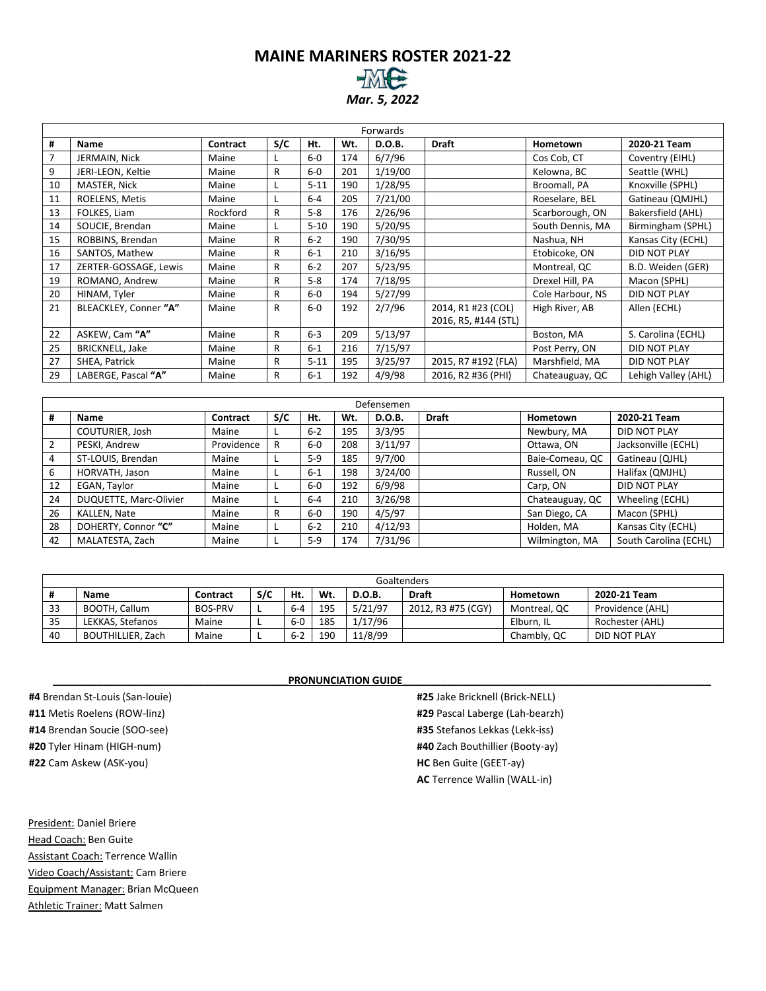### **MAINE MARINERS ROSTER 2021-22** *Mar. 5, 2022*

|    | Forwards               |          |              |          |     |         |                      |                  |                     |  |  |  |  |  |
|----|------------------------|----------|--------------|----------|-----|---------|----------------------|------------------|---------------------|--|--|--|--|--|
| #  | Name                   | Contract | S/C          | Ht.      | Wt. | D.O.B.  | <b>Draft</b>         | Hometown         | 2020-21 Team        |  |  |  |  |  |
| 7  | JERMAIN, Nick          | Maine    |              | $6-0$    | 174 | 6/7/96  |                      | Cos Cob, CT      | Coventry (EIHL)     |  |  |  |  |  |
| 9  | JERI-LEON, Keltie      | Maine    | R            | $6-0$    | 201 | 1/19/00 |                      | Kelowna, BC      | Seattle (WHL)       |  |  |  |  |  |
| 10 | MASTER, Nick           | Maine    |              | $5 - 11$ | 190 | 1/28/95 |                      | Broomall, PA     | Knoxville (SPHL)    |  |  |  |  |  |
| 11 | ROELENS, Metis         | Maine    |              | $6-4$    | 205 | 7/21/00 |                      | Roeselare, BEL   | Gatineau (QMJHL)    |  |  |  |  |  |
| 13 | FOLKES, Liam           | Rockford | R            | $5 - 8$  | 176 | 2/26/96 |                      | Scarborough, ON  | Bakersfield (AHL)   |  |  |  |  |  |
| 14 | SOUCIE, Brendan        | Maine    |              | $5 - 10$ | 190 | 5/20/95 |                      | South Dennis, MA | Birmingham (SPHL)   |  |  |  |  |  |
| 15 | ROBBINS, Brendan       | Maine    | R            | $6 - 2$  | 190 | 7/30/95 |                      | Nashua, NH       | Kansas City (ECHL)  |  |  |  |  |  |
| 16 | SANTOS, Mathew         | Maine    | R            | $6 - 1$  | 210 | 3/16/95 |                      | Etobicoke, ON    | <b>DID NOT PLAY</b> |  |  |  |  |  |
| 17 | ZERTER-GOSSAGE, Lewis  | Maine    | $\mathsf{R}$ | $6 - 2$  | 207 | 5/23/95 |                      | Montreal, QC     | B.D. Weiden (GER)   |  |  |  |  |  |
| 19 | ROMANO, Andrew         | Maine    | R            | $5 - 8$  | 174 | 7/18/95 |                      | Drexel Hill, PA  | Macon (SPHL)        |  |  |  |  |  |
| 20 | HINAM, Tyler           | Maine    | R            | $6-0$    | 194 | 5/27/99 |                      | Cole Harbour, NS | <b>DID NOT PLAY</b> |  |  |  |  |  |
| 21 | BLEACKLEY, Conner "A"  | Maine    | R            | $6-0$    | 192 | 2/7/96  | 2014, R1 #23 (COL)   | High River, AB   | Allen (ECHL)        |  |  |  |  |  |
|    |                        |          |              |          |     |         | 2016, R5, #144 (STL) |                  |                     |  |  |  |  |  |
| 22 | ASKEW, Cam "A"         | Maine    | R            | $6 - 3$  | 209 | 5/13/97 |                      | Boston, MA       | S. Carolina (ECHL)  |  |  |  |  |  |
| 25 | <b>BRICKNELL, Jake</b> | Maine    | R            | $6 - 1$  | 216 | 7/15/97 |                      | Post Perry, ON   | <b>DID NOT PLAY</b> |  |  |  |  |  |
| 27 | SHEA, Patrick          | Maine    | R            | $5 - 11$ | 195 | 3/25/97 | 2015, R7 #192 (FLA)  | Marshfield, MA   | <b>DID NOT PLAY</b> |  |  |  |  |  |
| 29 | LABERGE, Pascal "A"    | Maine    | R            | $6 - 1$  | 192 | 4/9/98  | 2016, R2 #36 (PHI)   | Chateauguay, QC  | Lehigh Valley (AHL) |  |  |  |  |  |

|    | Defensemen                                                                                                |            |   |         |     |         |  |                 |                       |  |  |  |  |  |
|----|-----------------------------------------------------------------------------------------------------------|------------|---|---------|-----|---------|--|-----------------|-----------------------|--|--|--|--|--|
| #  | S/C<br><b>Draft</b><br>2020-21 Team<br>Contract<br>Ht.<br>Wt.<br><b>D.O.B.</b><br>Hometown<br><b>Name</b> |            |   |         |     |         |  |                 |                       |  |  |  |  |  |
|    | COUTURIER, Josh                                                                                           | Maine      |   | $6 - 2$ | 195 | 3/3/95  |  | Newbury, MA     | DID NOT PLAY          |  |  |  |  |  |
| 2  | PESKI, Andrew                                                                                             | Providence | R | $6-0$   | 208 | 3/11/97 |  | Ottawa, ON      | Jacksonville (ECHL)   |  |  |  |  |  |
| 4  | ST-LOUIS, Brendan                                                                                         | Maine      |   | $5-9$   | 185 | 9/7/00  |  | Baie-Comeau, QC | Gatineau (QJHL)       |  |  |  |  |  |
| 6  | HORVATH, Jason                                                                                            | Maine      |   | $6 - 1$ | 198 | 3/24/00 |  | Russell, ON     | Halifax (QMJHL)       |  |  |  |  |  |
| 12 | EGAN, Taylor                                                                                              | Maine      |   | $6-0$   | 192 | 6/9/98  |  | Carp, ON        | DID NOT PLAY          |  |  |  |  |  |
| 24 | DUQUETTE, Marc-Olivier                                                                                    | Maine      |   | $6 - 4$ | 210 | 3/26/98 |  | Chateauguay, QC | Wheeling (ECHL)       |  |  |  |  |  |
| 26 | KALLEN, Nate                                                                                              | Maine      | R | $6-0$   | 190 | 4/5/97  |  | San Diego, CA   | Macon (SPHL)          |  |  |  |  |  |
| 28 | DOHERTY, Connor "C"                                                                                       | Maine      |   | $6 - 2$ | 210 | 4/12/93 |  | Holden, MA      | Kansas City (ECHL)    |  |  |  |  |  |
| 42 | MALATESTA, Zach                                                                                           | Maine      |   | $5-9$   | 174 | 7/31/96 |  | Wilmington, MA  | South Carolina (ECHL) |  |  |  |  |  |

|    | Goaltenders       |                |     |         |     |               |                    |              |                  |  |  |  |  |  |
|----|-------------------|----------------|-----|---------|-----|---------------|--------------------|--------------|------------------|--|--|--|--|--|
|    | Name              | Contract       | S/C | Ht.     | Wt. | <b>D.O.B.</b> | <b>Draft</b>       | Hometown     | 2020-21 Team     |  |  |  |  |  |
| 33 | BOOTH, Callum     | <b>BOS-PRV</b> |     | $6 - 4$ | 195 | 5/21/97       | 2012, R3 #75 (CGY) | Montreal, QC | Providence (AHL) |  |  |  |  |  |
| 35 | LEKKAS, Stefanos  | Maine          |     | $6-0$   | 185 | 1/17/96       |                    | Elburn. IL   | Rochester (AHL)  |  |  |  |  |  |
| 40 | BOUTHILLIER, Zach | Maine          |     | $6 - 2$ | 190 | 11/8/99       |                    | Chambly, QC  | DID NOT PLAY     |  |  |  |  |  |

PRONUNCIATION GUIDE

**#25** Jake Bricknell (Brick-NELL) **#29** Pascal Laberge (Lah-bearzh) **#35** Stefanos Lekkas (Lekk-iss) **#40** Zach Bouthillier (Booty-ay) **HC** Ben Guite (GEET-ay) **AC** Terrence Wallin (WALL-in)

**#22** Cam Askew (ASK-you) President: Daniel Briere Head Coach: Ben Guite Assistant Coach: Terrence Wallin Video Coach/Assistant: Cam Briere

Equipment Manager: Brian McQueen Athletic Trainer: Matt Salmen

**#4** Brendan St-Louis (San-louie) **#11** Metis Roelens (ROW-linz) **#14** Brendan Soucie (SOO-see) **#20** Tyler Hinam (HIGH-num)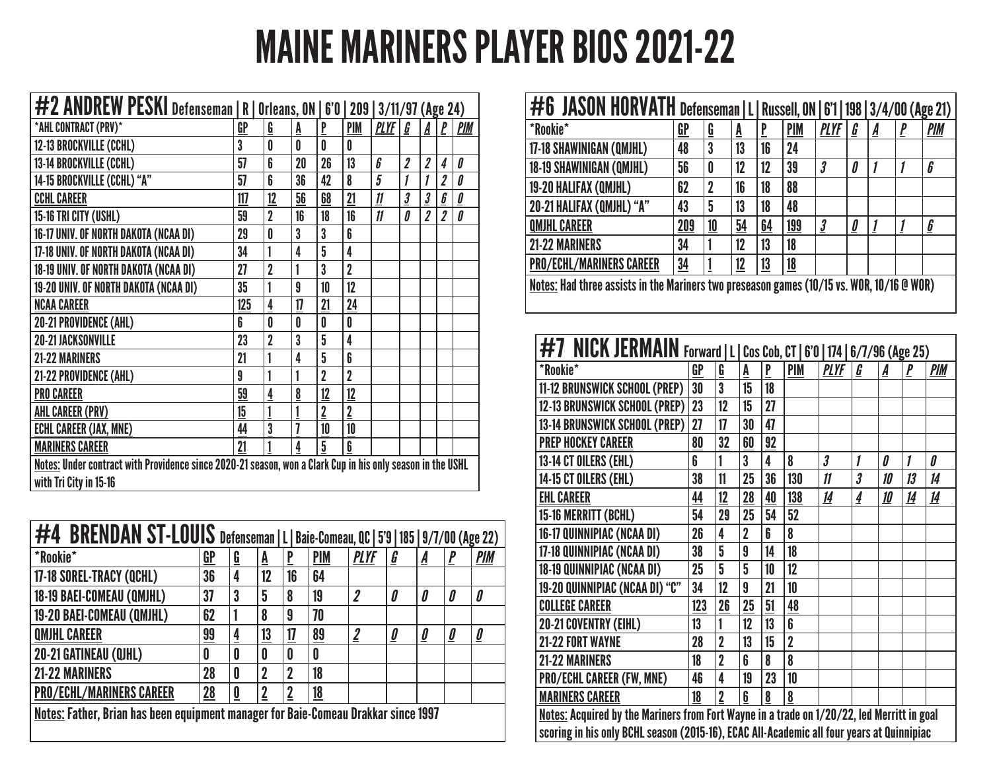# MAINE MARINERS PLAYER BIOS 2021-22

| #2 ANDREW PESKI Defenseman   R   Orleans, ON   6'0   209   3/11/97 (Age 24)                                                          |     |                         |    |                |                |               |                         |                         |                         |                                            |
|--------------------------------------------------------------------------------------------------------------------------------------|-----|-------------------------|----|----------------|----------------|---------------|-------------------------|-------------------------|-------------------------|--------------------------------------------|
| *AHL CONTRACT (PRV)*                                                                                                                 | GP  | $\overline{\mathbf{G}}$ | A  | P              | PIM            | <b>PLYF</b>   | G                       | A                       | P                       | <b>PIM</b>                                 |
| 12-13 BROCKVILLE (CCHL)                                                                                                              | 3   | 0                       | 0  | 0              | 0              |               |                         |                         |                         |                                            |
| 13-14 BROCKVILLE (CCHL)                                                                                                              | 57  | 6                       | 20 | 26             | 13             | 6             | 2                       | $\overline{\mathbf{2}}$ | 4                       | 0                                          |
| 14-15 BROCKVILLE (CCHL) "A"                                                                                                          | 57  | 6                       | 36 | 42             | 8              | 5             | 1                       | 1                       | $\overline{2}$          | 0                                          |
| <b>CCHL CAREER</b>                                                                                                                   | 117 | 12                      | 56 | 68             | 21             | 11            | $\overline{\mathbf{3}}$ | $\mathbf{3}$            | $\boldsymbol{6}$        | $\mathbf{\underline{\boldsymbol{\theta}}}$ |
| 15-16 TRI CITY (USHL)                                                                                                                | 59  | $\overline{2}$          | 16 | 18             | 16             | $\mathfrak n$ | 0                       | $\overline{\mathbf{2}}$ | $\overline{\mathbf{2}}$ | 0                                          |
| 16-17 UNIV. OF NORTH DAKOTA (NCAA DI)                                                                                                | 29  | 0                       | 3  | 3              | 6              |               |                         |                         |                         |                                            |
| 17-18 UNIV. OF NORTH DAKOTA (NCAA DI)                                                                                                | 34  | 1                       | 4  | 5              | 4              |               |                         |                         |                         |                                            |
| 18-19 UNIV. OF NORTH DAKOTA (NCAA DI)                                                                                                | 27  | $\overline{2}$          |    | 3              | $\overline{2}$ |               |                         |                         |                         |                                            |
| 19-20 UNIV. OF NORTH DAKOTA (NCAA DI)                                                                                                | 35  | 1                       | 9  | 10             | 12             |               |                         |                         |                         |                                            |
| <b>NCAA CAREER</b>                                                                                                                   | 125 | $\overline{4}$          | 17 | 21             | 24             |               |                         |                         |                         |                                            |
| 20-21 PROVIDENCE (AHL)                                                                                                               | 6   | 0                       | 0  | 0              | 0              |               |                         |                         |                         |                                            |
| <b>20-21 JACKSONVILLE</b>                                                                                                            | 23  | $\overline{2}$          | 3  | 5              | 4              |               |                         |                         |                         |                                            |
| 21-22 MARINERS                                                                                                                       | 21  | 1                       | 4  | 5              | 6              |               |                         |                         |                         |                                            |
| 21-22 PROVIDENCE (AHL)                                                                                                               | 9   | 1                       |    | $\overline{2}$ | $\overline{2}$ |               |                         |                         |                         |                                            |
| <b>PRO CAREER</b>                                                                                                                    | 59  | $\frac{4}{1}$           | 8  | 12             | 12             |               |                         |                         |                         |                                            |
| <b>AHL CAREER (PRV)</b>                                                                                                              | 15  | 1                       |    | $\overline{2}$ | $\overline{2}$ |               |                         |                         |                         |                                            |
| <b>ECHL CAREER (JAX, MNE)</b>                                                                                                        | 44  | $\overline{3}$          | 7  | 10             | 10             |               |                         |                         |                         |                                            |
| <b>MARINERS CAREER</b>                                                                                                               | 21  | 1                       | 4  | 5              | 6              |               |                         |                         |                         |                                            |
| Notes: Under contract with Providence since 2020-21 season, won a Clark Cup in his only season in the USHL<br>with Tri City in 15-16 |     |                         |    |                |                |               |                         |                         |                         |                                            |

| #4 BRENDAN ST-LOUIS Defenseman   L   Baie-Comeau, QC   5'9   185   9/7/00 (Age 22)                                                 |    |                         |             |    |    |                |   |                                            |                                            |                                            |  |  |
|------------------------------------------------------------------------------------------------------------------------------------|----|-------------------------|-------------|----|----|----------------|---|--------------------------------------------|--------------------------------------------|--------------------------------------------|--|--|
| <i><b>*Rookie*</b></i><br><b>PIM</b><br>$\underline{\mathsf{GP}}$<br><b>PLYF</b><br><b>PIM</b><br>$\mathbf{P}$<br>G<br>G<br>Ā<br>A |    |                         |             |    |    |                |   |                                            |                                            |                                            |  |  |
| 17-18 SOREL-TRACY (QCHL)                                                                                                           | 36 | 4                       | 12          | 16 | 64 |                |   |                                            |                                            |                                            |  |  |
| 18-19 BAEI-COMEAU (QMJHL)                                                                                                          | 37 | 3                       | 5           | 8  | 19 | $\overline{2}$ | 0 | 0                                          | 0                                          | 0                                          |  |  |
| 19-20 BAEI-COMEAU (QMJHL)                                                                                                          | 62 |                         | 8           | 9  | 70 |                |   |                                            |                                            |                                            |  |  |
| <b>QMJHL CAREER</b>                                                                                                                | 99 | 4                       | 13          | 17 | 89 | $\overline{2}$ | 0 | $\mathbf{\underline{\boldsymbol{\theta}}}$ | $\mathbf{\underline{\boldsymbol{\theta}}}$ | $\mathbf{\underline{\boldsymbol{\theta}}}$ |  |  |
| 20-21 GATINEAU (QJHL)                                                                                                              | 0  | 0                       | 0           | 0  | 0  |                |   |                                            |                                            |                                            |  |  |
| <b>21-22 MARINERS</b>                                                                                                              | 28 | 0                       | $\mathbf 2$ | 2  | 18 |                |   |                                            |                                            |                                            |  |  |
| <b>PRO/ECHL/MARINERS CAREER</b>                                                                                                    | 28 | $\overline{\mathbf{0}}$ | 2           | 2  | 18 |                |   |                                            |                                            |                                            |  |  |
| Notes: Father, Brian has been equipment manager for Baie-Comeau Drakkar since 1997                                                 |    |                         |             |    |    |                |   |                                            |                                            |                                            |  |  |

| #6 JASON HORVATH Defenseman   L   Russell, ON   6'1   198   3/4/00 (Age 21)               |                |    |    |                |            |              |                                            |   |  |                                      |  |  |  |
|-------------------------------------------------------------------------------------------|----------------|----|----|----------------|------------|--------------|--------------------------------------------|---|--|--------------------------------------|--|--|--|
| <i><b>*Rookie*</b></i>                                                                    | GP             | G  | A  | $\overline{P}$ | <b>PIM</b> | <b>PLYF</b>  | G                                          | A |  | <b>PIM</b>                           |  |  |  |
| 17-18 SHAWINIGAN (QMJHL)                                                                  | 48             | 3  | 13 | 16             | 24         |              |                                            |   |  |                                      |  |  |  |
| 18-19 SHAWINIGAN (QMJHL)<br>39<br>56<br>12<br>6<br>12<br>0<br>$\boldsymbol{\beta}$<br>0   |                |    |    |                |            |              |                                            |   |  |                                      |  |  |  |
| 19-20 HALIFAX (QMJHL)<br>62<br>88<br>18<br>2<br>16                                        |                |    |    |                |            |              |                                            |   |  |                                      |  |  |  |
| 20-21 HALIFAX (QMJHL) "A"                                                                 | 43             | 5  | 13 | 18             | 48         |              |                                            |   |  |                                      |  |  |  |
| <b>QMJHL CAREER</b>                                                                       | 209            | 10 | 54 | 64             | 199        | $\mathbf{3}$ | $\mathbf{\underline{\boldsymbol{\theta}}}$ |   |  | $\underline{\underline{\mathbf{b}}}$ |  |  |  |
| 21-22 MARINERS                                                                            | 34             |    | 12 | 13             | 18         |              |                                            |   |  |                                      |  |  |  |
| <b>PRO/ECHL/MARINERS CAREER</b>                                                           | $\frac{34}{5}$ |    | 12 | <u> 13</u>     | <u>18</u>  |              |                                            |   |  |                                      |  |  |  |
| Notes: Had three assists in the Mariners two preseason games (10/15 vs. WOR, 10/16 @ WOR) |                |    |    |                |            |              |                                            |   |  |                                      |  |  |  |

| <b>#7 NICK JERMAIN</b> Forward   L   Cos Cob, CT   6'0   174   6/7/96 (Age 25)             |           |                |                |    |                |                      |   |    |           |            |  |
|--------------------------------------------------------------------------------------------|-----------|----------------|----------------|----|----------------|----------------------|---|----|-----------|------------|--|
| *Rookie*                                                                                   | <b>GP</b> | G              | A              | P  | <b>PIM</b>     | <b>PLYF</b>          | G | А  | P         | <b>PIM</b> |  |
| 11-12 BRUNSWICK SCHOOL (PREP)                                                              | 30        | 3              | 15             | 18 |                |                      |   |    |           |            |  |
| <b>12-13 BRUNSWICK SCHOOL (PREP)</b>                                                       | 23        | 12             | 15             | 27 |                |                      |   |    |           |            |  |
| 13-14 BRUNSWICK SCHOOL (PREP)                                                              | 27        | 17             | 30             | 47 |                |                      |   |    |           |            |  |
| <b>PREP HOCKEY CAREER</b>                                                                  | 80        | 32             | 60             | 92 |                |                      |   |    |           |            |  |
| 13-14 CT OILERS (EHL)                                                                      | 6         |                | 3              | 4  | 8              | $\boldsymbol{\beta}$ | 1 | 0  | 1         | О          |  |
| 14-15 CT OILERS (EHL)                                                                      | 38        | 11             | 25             | 36 | 130            | $\boldsymbol{\eta}$  | 3 | 10 | 13        | 14         |  |
| <b>EHL CAREER</b>                                                                          | 44        | 12             | 28             | 40 | 138            | 14                   | 4 | 10 | <u>14</u> | 14         |  |
| 15-16 MERRITT (BCHL)                                                                       | 54        | 29             | 25             | 54 | 52             |                      |   |    |           |            |  |
| 16-17 QUINNIPIAC (NCAA DI)                                                                 | 26        | 4              | $\overline{2}$ | 6  | 8              |                      |   |    |           |            |  |
| 17-18 QUINNIPIAC (NCAA DI)                                                                 | 38        | 5              | 9              | 14 | 18             |                      |   |    |           |            |  |
| 18-19 QUINNIPIAC (NCAA DI)                                                                 | 25        | 5              | 5              | 10 | 12             |                      |   |    |           |            |  |
| 19-20 QUINNIPIAC (NCAA DI) "C"                                                             | 34        | 12             | 9              | 21 | 10             |                      |   |    |           |            |  |
| <b>COLLEGE CAREER</b>                                                                      | 123       | 26             | 25             | 51 | 48             |                      |   |    |           |            |  |
| 20-21 COVENTRY (EIHL)                                                                      | 13        | 1              | 12             | 13 | 6              |                      |   |    |           |            |  |
| <b>21-22 FORT WAYNE</b>                                                                    | 28        | $\overline{2}$ | 13             | 15 | $\overline{2}$ |                      |   |    |           |            |  |
| <b>21-22 MARINERS</b>                                                                      | 18        | $\overline{2}$ | 6              | 8  | 8              |                      |   |    |           |            |  |
| PRO/ECHL CAREER (FW, MNE)                                                                  | 46        | 4              | 19             | 23 | 10             |                      |   |    |           |            |  |
| <b>MARINERS CAREER</b>                                                                     | 18        | $\overline{2}$ | 6              | 8  | 8              |                      |   |    |           |            |  |
| Notes: Acquired by the Mariners from Fort Wayne in a trade on 1/20/22, led Merritt in goal |           |                |                |    |                |                      |   |    |           |            |  |
| scoring in his only BCHL season (2015-16), ECAC All-Academic all four years at Quinnipiac  |           |                |                |    |                |                      |   |    |           |            |  |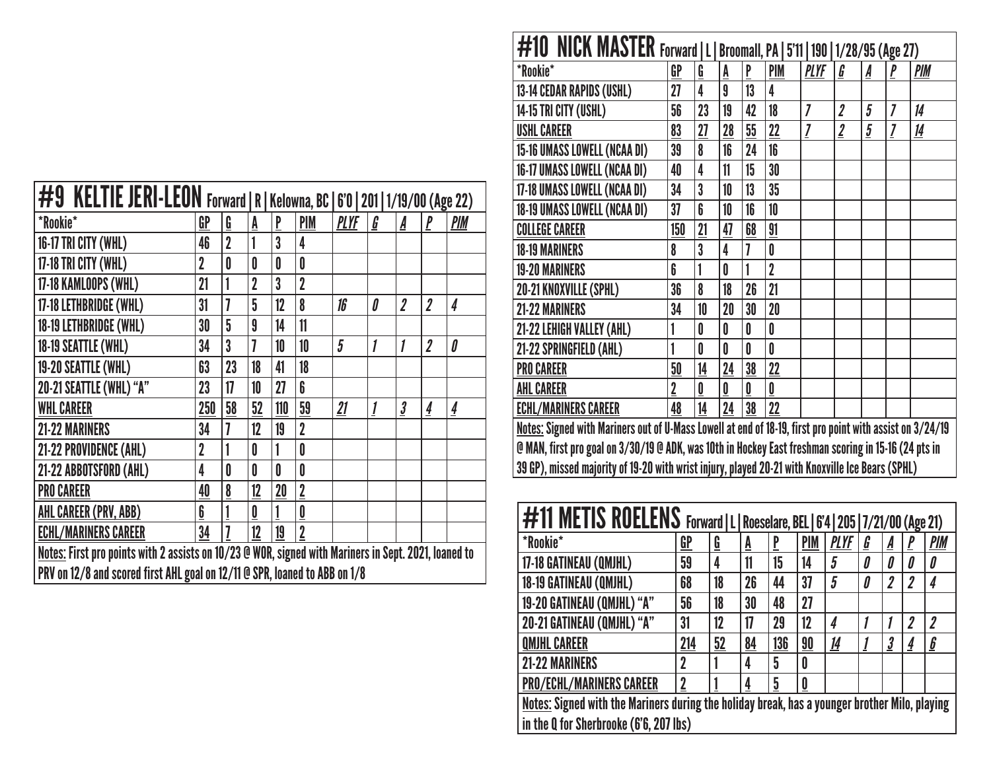| #9 KELTIE JERI-LEON Forward   R   Kelowna, BC   6'0   201   1/19/00 (Age 22)                         |                |                |                |                |                          |             |   |                      |                         |               |  |  |  |
|------------------------------------------------------------------------------------------------------|----------------|----------------|----------------|----------------|--------------------------|-------------|---|----------------------|-------------------------|---------------|--|--|--|
| *Rookie*                                                                                             | GP             | G              | A              | $\overline{P}$ | PIM                      | <b>PLYF</b> | G | A                    |                         | <b>PIM</b>    |  |  |  |
| 16-17 TRI CITY (WHL)                                                                                 | 46             | $\overline{2}$ | 1              | 3              | 4                        |             |   |                      |                         |               |  |  |  |
| 17-18 TRI CITY (WHL)                                                                                 | $\overline{2}$ | 0              | 0              | 0              | 0                        |             |   |                      |                         |               |  |  |  |
| 17-18 KAMLOOPS (WHL)                                                                                 | 21             | 1              | $\overline{2}$ | 3              | $\overline{2}$           |             |   |                      |                         |               |  |  |  |
| 17-18 LETHBRIDGE (WHL)                                                                               | 31             | 7              | 5              | 12             | 8                        | 16          | 0 | 2                    | 2                       | 4             |  |  |  |
| 18-19 LETHBRIDGE (WHL)                                                                               | 30             | 5              | 9              | 14             | 11                       |             |   |                      |                         |               |  |  |  |
| 18-19 SEATTLE (WHL)                                                                                  | 34             | 3              | 7              | 10             | 10                       | 5           | 1 |                      | $\overline{\mathbf{2}}$ | 0             |  |  |  |
| 19-20 SEATTLE (WHL)                                                                                  | 63             | 23             | 18             | 41             | 18                       |             |   |                      |                         |               |  |  |  |
| 20-21 SEATTLE (WHL) "A"                                                                              | 23             | 17             | 10             | 27             | 6                        |             |   |                      |                         |               |  |  |  |
| <b>WHL CAREER</b>                                                                                    | 250            | 58             | 52             | 110            | 59                       | 21          | 1 | $\boldsymbol{\beta}$ | 4                       | $\frac{4}{1}$ |  |  |  |
| 21-22 MARINERS                                                                                       | 34             | 7              | 12             | 19             | $\overline{2}$           |             |   |                      |                         |               |  |  |  |
| 21-22 PROVIDENCE (AHL)                                                                               | $\overline{2}$ |                | 0              | 1              | 0                        |             |   |                      |                         |               |  |  |  |
| 21-22 ABBOTSFORD (AHL)                                                                               | 4              | 0              | 0              | 0              | 0                        |             |   |                      |                         |               |  |  |  |
| <b>PRO CAREER</b>                                                                                    | 40             | 8              | 12             | 20             | $\overline{2}$           |             |   |                      |                         |               |  |  |  |
| AHL CAREER (PRV, ABB)                                                                                | 6              |                | 0              | 1              | $\underline{\mathbf{0}}$ |             |   |                      |                         |               |  |  |  |
| <b>ECHL/MARINERS CAREER</b>                                                                          | 34             | 7              | 12             | 19             | $\overline{2}$           |             |   |                      |                         |               |  |  |  |
| Notes: First pro points with 2 assists on 10/23 @ WOR, signed with Mariners in Sept. 2021, loaned to |                |                |                |                |                          |             |   |                      |                         |               |  |  |  |
| PRV on 12/8 and scored first AHL goal on 12/11 @ SPR, loaned to ABB on 1/8                           |                |                |                |                |                          |             |   |                      |                         |               |  |  |  |

| <b>#10 NICK MASTER</b> Forward   L   Broomall, PA   5'11   190   1/28/95 (Age 27)                        |                |    |    |    |                |                |                  |                |                |           |  |  |
|----------------------------------------------------------------------------------------------------------|----------------|----|----|----|----------------|----------------|------------------|----------------|----------------|-----------|--|--|
| <i><b>*Rookie*</b></i>                                                                                   | GP             | G  | A  | P  | <b>PIM</b>     | <b>PLYF</b>    | <u>G</u>         | A              | P              | PIM       |  |  |
| 13-14 CEDAR RAPIDS (USHL)                                                                                | 27             | 4  | 9  | 13 | 4              |                |                  |                |                |           |  |  |
| 14-15 TRI CITY (USHL)                                                                                    | 56             | 23 | 19 | 42 | 18             | $\overline{I}$ | $\boldsymbol{2}$ | 5              | 7              | 14        |  |  |
| <b>USHL CAREER</b>                                                                                       | 83             | 27 | 28 | 55 | 22             | 7              | $\overline{2}$   | $\overline{5}$ | $\overline{I}$ | <u>14</u> |  |  |
| 15-16 UMASS LOWELL (NCAA DI)                                                                             | 39             | 8  | 16 | 24 | 16             |                |                  |                |                |           |  |  |
| 16-17 UMASS LOWELL (NCAA DI)                                                                             | 40             | 4  | 11 | 15 | 30             |                |                  |                |                |           |  |  |
| 17-18 UMASS LOWELL (NCAA DI)                                                                             | 34             | 3  | 10 | 13 | 35             |                |                  |                |                |           |  |  |
| 18-19 UMASS LOWELL (NCAA DI)                                                                             | 37             | 6  | 10 | 16 | 10             |                |                  |                |                |           |  |  |
| <b>COLLEGE CAREER</b>                                                                                    | 150            | 21 | 47 | 68 | 91             |                |                  |                |                |           |  |  |
| <b>18-19 MARINERS</b>                                                                                    | 8              | 3  | 4  | 7  | 0              |                |                  |                |                |           |  |  |
| <b>19-20 MARINERS</b>                                                                                    | 6              | 1  | 0  |    | $\overline{2}$ |                |                  |                |                |           |  |  |
| 20-21 KNOXVILLE (SPHL)                                                                                   | 36             | 8  | 18 | 26 | 21             |                |                  |                |                |           |  |  |
| 21-22 MARINERS                                                                                           | 34             | 10 | 20 | 30 | 20             |                |                  |                |                |           |  |  |
| 21-22 LEHIGH VALLEY (AHL)                                                                                | 1              | 0  | 0  | 0  | 0              |                |                  |                |                |           |  |  |
| 21-22 SPRINGFIELD (AHL)                                                                                  | 1              | 0  | 0  | 0  | 0              |                |                  |                |                |           |  |  |
| <b>PRO CAREER</b>                                                                                        | 50             | 14 | 24 | 38 | 22             |                |                  |                |                |           |  |  |
| <b>AHL CAREER</b>                                                                                        | $\overline{2}$ | 0  | 0  | 0  | $\mathbf{0}$   |                |                  |                |                |           |  |  |
| <b>ECHL/MARINERS CAREER</b>                                                                              | 48             | 14 | 24 | 38 | 22             |                |                  |                |                |           |  |  |
| Notes: Signed with Mariners out of U-Mass Lowell at end of 18-19, first pro point with assist on 3/24/19 |                |    |    |    |                |                |                  |                |                |           |  |  |
| @ MAN, first pro goal on 3/30/19 @ ADK, was 10th in Hockey East freshman scoring in 15-16 (24 pts in     |                |    |    |    |                |                |                  |                |                |           |  |  |
| 39 GP), missed majority of 19-20 with wrist injury, played 20-21 with Knoxville Ice Bears (SPHL)         |                |    |    |    |                |                |                  |                |                |           |  |  |

| #11 METIS ROELENS Forward   L   Roeselare, BEL   6'4   205   7/21/00 (Age 21)                 |             |    |    |     |            |             |   |                         |   |                       |  |  |
|-----------------------------------------------------------------------------------------------|-------------|----|----|-----|------------|-------------|---|-------------------------|---|-----------------------|--|--|
| *Rookie*                                                                                      | GP          | G  | Ā  | P   | <b>PIM</b> | <b>PLYF</b> | G | A                       |   | <b>PIM</b>            |  |  |
| 17-18 GATINEAU (QMJHL)                                                                        | 59          | 4  | 11 | 15  | 14         | 5           | 0 | 0                       |   | 0                     |  |  |
| 18-19 GATINEAU (QMJHL)                                                                        | 68          | 18 | 26 | 44  | 37         | 5           | 0 | $\boldsymbol{2}$        | 2 | 4                     |  |  |
| 19-20 GATINEAU (QMJHL) "A"<br>56<br>27<br>30<br>48<br>18                                      |             |    |    |     |            |             |   |                         |   |                       |  |  |
| 20-21 GATINEAU (QMJHL) "A"                                                                    | 31          | 12 | 17 | 29  | 12         | 4           |   |                         | 7 | $\boldsymbol{\eta}$   |  |  |
| <b>QMJHL CAREER</b>                                                                           | 214         | 52 | 84 | 136 | 90         | <u>14</u>   |   | $\overline{\mathbf{3}}$ | 4 | $\underline{\pmb{b}}$ |  |  |
| <b>21-22 MARINERS</b>                                                                         | $\mathbf 2$ |    | 4  | 5   | 0          |             |   |                         |   |                       |  |  |
| <b>PRO/ECHL/MARINERS CAREER</b>                                                               | $\mathbf 2$ |    | 4  | 5   | 0          |             |   |                         |   |                       |  |  |
| Notes: Signed with the Mariners during the holiday break, has a younger brother Milo, playing |             |    |    |     |            |             |   |                         |   |                       |  |  |
| in the Q for Sherbrooke (6'6, 207 lbs)                                                        |             |    |    |     |            |             |   |                         |   |                       |  |  |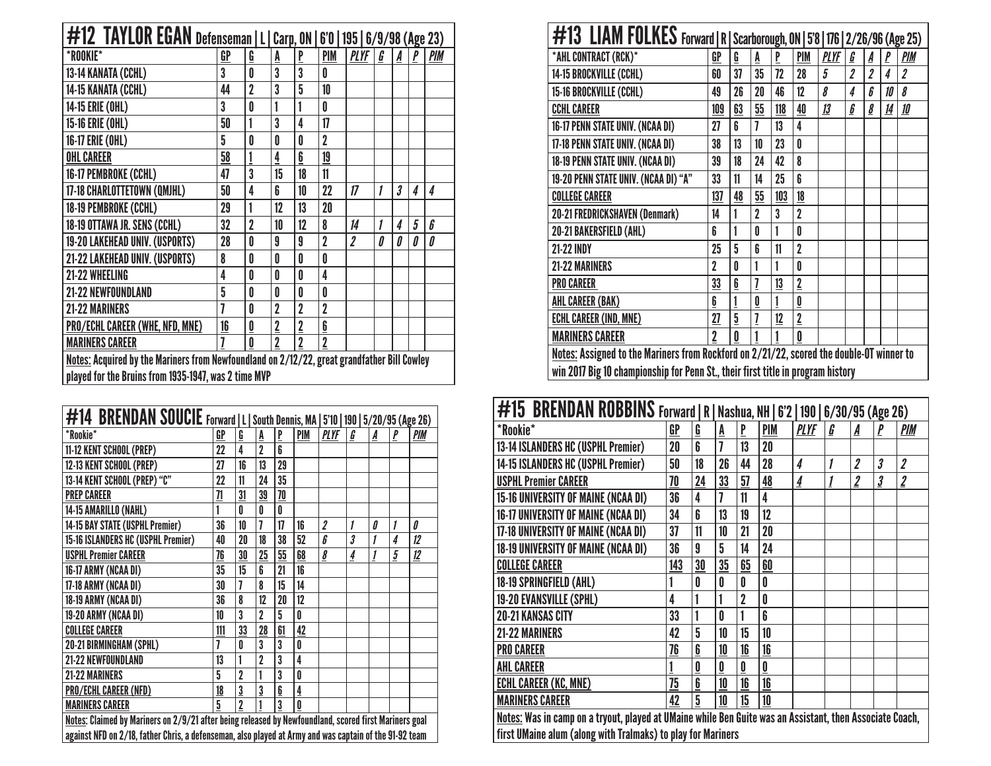| #12 TAYLOR EGAN Defenseman   L   Carp, ON  <br>$6'0$   195   $6/9/98$ (Age 23)              |    |                          |                |                |                         |                         |   |   |   |            |  |
|---------------------------------------------------------------------------------------------|----|--------------------------|----------------|----------------|-------------------------|-------------------------|---|---|---|------------|--|
| *ROOKIE*                                                                                    | GP | <u>G</u>                 | A              | $\mathbf{P}$   | PIM                     | <b>PLYF</b>             | G | A |   | <b>PIM</b> |  |
| 13-14 KANATA (CCHL)                                                                         | 3  | 0                        | $\overline{3}$ | 3              | O                       |                         |   |   |   |            |  |
| 14-15 KANATA (CCHL)                                                                         | 44 | $\overline{2}$           | 3              | 5              | 10                      |                         |   |   |   |            |  |
| 14-15 ERIE (OHL)                                                                            | 3  | 0                        | 1              |                | 0                       |                         |   |   |   |            |  |
| 15-16 ERIE (OHL)                                                                            | 50 | 1                        | 3              | 4              | 17                      |                         |   |   |   |            |  |
| 16-17 ERIE (OHL)                                                                            | 5  | 0                        | 0              | 0              | $\overline{2}$          |                         |   |   |   |            |  |
| <b>OHL CAREER</b>                                                                           | 58 |                          | 4              | 6              | 19                      |                         |   |   |   |            |  |
| 16-17 PEMBROKE (CCHL)                                                                       | 47 | 3                        | 15             | 18             | 11                      |                         |   |   |   |            |  |
| 17-18 CHARLOTTETOWN (QMJHL)                                                                 | 50 | 4                        | 6              | 10             | 22                      | 17                      | 1 | 3 | 4 | 4          |  |
| 18-19 PEMBROKE (CCHL)                                                                       | 29 | 1                        | 12             | 13             | 20                      |                         |   |   |   |            |  |
| 18-19 OTTAWA JR. SENS (CCHL)                                                                | 32 | $\overline{2}$           | 10             | 12             | 8                       | 14                      | 1 | 4 | 5 | 6          |  |
| 19-20 LAKEHEAD UNIV. (USPORTS)                                                              | 28 | 0                        | 9              | 9              | $\overline{2}$          | $\overline{\mathbf{2}}$ | Л | 0 | Л | 0          |  |
| 21-22 LAKEHEAD UNIV. (USPORTS)                                                              | 8  | 0                        | 0              | 0              | 0                       |                         |   |   |   |            |  |
| 21-22 WHEELING                                                                              | 4  | 0                        | 0              | 0              | 4                       |                         |   |   |   |            |  |
| 21-22 NEWFOUNDLAND                                                                          | 5  | 0                        | 0              | 0              | 0                       |                         |   |   |   |            |  |
| <b>21-22 MARINERS</b>                                                                       | 7  | 0                        | $\overline{2}$ | $\overline{2}$ | $\overline{2}$          |                         |   |   |   |            |  |
| <b>PRO/ECHL CAREER (WHE, NFD, MNE)</b>                                                      | 16 | $\underline{\mathbf{0}}$ | $\mathbf 2$    | $\mathbf 2$    | $\overline{\mathbf{b}}$ |                         |   |   |   |            |  |
| <b>MARINERS CAREER</b>                                                                      | 7  | 0                        | $\overline{2}$ | $\overline{2}$ | $\overline{2}$          |                         |   |   |   |            |  |
| Notes: Acquired by the Mariners from Newfoundland on 2/12/22, great grandfather Bill Cowley |    |                          |                |                |                         |                         |   |   |   |            |  |
| played for the Bruins from 1935-1947, was 2 time MVP                                        |    |                          |                |                |                         |                         |   |   |   |            |  |

| #14 BRENDAN SOUCIE Forward   L   South Dennis, MA   5'10   190   5/20/95 (Age 26)                      |     |                |                |    |              |                         |   |   |              |     |
|--------------------------------------------------------------------------------------------------------|-----|----------------|----------------|----|--------------|-------------------------|---|---|--------------|-----|
| *Rookie*                                                                                               | GP  | Ģ              | A              | P  | <b>PIM</b>   | <b>PLYF</b>             | G | A | $\mathbf{P}$ | PIM |
| 11-12 KENT SCHOOL (PREP)                                                                               | 22  | 4              | $\overline{2}$ | 6  |              |                         |   |   |              |     |
| 12-13 KENT SCHOOL (PREP)                                                                               | 27  | 16             | 13             | 29 |              |                         |   |   |              |     |
| 13-14 KENT SCHOOL (PREP) "C"                                                                           | 22  | 11             | 24             | 35 |              |                         |   |   |              |     |
| <b>PREP CAREER</b>                                                                                     | 71  | 31             | 39             | 70 |              |                         |   |   |              |     |
| 14-15 AMARILLO (NAHL)                                                                                  |     | Û              | 0              | Û  |              |                         |   |   |              |     |
| 14-15 BAY STATE (USPHL Premier)                                                                        | 36  | 10             | 7              | 17 | 16           | $\boldsymbol{2}$        | 1 | 0 | 1            | 0   |
| 15-16 ISLANDERS HC (USPHL Premier)                                                                     | 40  | 20             | 18             | 38 | 52           | 6                       | 3 | 1 | 4            | 12  |
| <b>USPHL Premier CAREER</b>                                                                            | 76  | 30             | 25             | 55 | 68           | $\overline{\mathbf{g}}$ | 4 | 1 | 5            | 12  |
| 16-17 ARMY (NCAA DI)                                                                                   | 35  | 15             | 6              | 21 | 16           |                         |   |   |              |     |
| 17-18 ARMY (NCAA DI)                                                                                   | 30  | 7              | 8              | 15 | 14           |                         |   |   |              |     |
| 18-19 ARMY (NCAA DI)                                                                                   | 36  | 8              | 12             | 20 | 12           |                         |   |   |              |     |
| 19-20 ARMY (NCAA DI)                                                                                   | 10  | 3              | 2              | 5  | $\mathbf{0}$ |                         |   |   |              |     |
| <b>COLLEGE CAREER</b>                                                                                  | 111 | 33             | 28             | 61 | 42           |                         |   |   |              |     |
| 20-21 BIRMINGHAM (SPHL)                                                                                | 7   | 0              | 3              | 3  | 0            |                         |   |   |              |     |
| 21-22 NEWFOUNDLAND                                                                                     | 13  |                | $\overline{2}$ | 3  | 4            |                         |   |   |              |     |
| 21-22 MARINERS                                                                                         | 5   | $\overline{2}$ |                | 3  | 0            |                         |   |   |              |     |
| PRO/ECHL CAREER (NFD)                                                                                  | 18  | 3              | 3              | 6  | 4            |                         |   |   |              |     |
| <b>MARINERS CAREER</b>                                                                                 | 5   | 2              |                | 3  | $\mathbf{0}$ |                         |   |   |              |     |
| Notes: Claimed by Mariners on 2/9/21 after being released by Newfoundland, scored first Mariners goal  |     |                |                |    |              |                         |   |   |              |     |
| against NFD on 2/18, father Chris, a defenseman, also played at Army and was captain of the 91-92 team |     |                |                |    |              |                         |   |   |              |     |

| #13 LIAM FOLKES Forward   R   Scarborough, ON   5'8   176   2/26/96 (Age 25)             |                  |                 |                |     |                         |             |                         |                         |           |            |  |  |
|------------------------------------------------------------------------------------------|------------------|-----------------|----------------|-----|-------------------------|-------------|-------------------------|-------------------------|-----------|------------|--|--|
| *AHL CONTRACT (RCK)*                                                                     | GP               | Ģ               | A              | P   | <b>PIM</b>              | <b>PLYF</b> | G                       | A                       | P         | <b>PIM</b> |  |  |
| 14-15 BROCKVILLE (CCHL)                                                                  | 60               | 37              | 35             | 72  | 28                      | 5           | $\overline{\mathbf{2}}$ | $\overline{\mathbf{2}}$ | 4         | 2          |  |  |
| 15-16 BROCKVILLE (CCHL)                                                                  | 49               | 26              | 20             | 46  | 12                      | 8           | 4                       | ĥ                       | 10        | 8          |  |  |
| <b>CCHL CAREER</b>                                                                       | 109              | 63              | 55             | 118 | 40                      | 13          | 6                       | 8                       | <u>14</u> | 10         |  |  |
| 16-17 PENN STATE UNIV. (NCAA DI)                                                         | 27               | ĥ               | 7              | 13  | 4                       |             |                         |                         |           |            |  |  |
| 17-18 PENN STATE UNIV. (NCAA DI)                                                         | 38               | 13              | 10             | 23  | Λ                       |             |                         |                         |           |            |  |  |
| 18-19 PENN STATE UNIV. (NCAA DI)                                                         | 39               | 18              | 24             | 42  | 8                       |             |                         |                         |           |            |  |  |
| 19-20 PENN STATE UNIV. (NCAA DI) "A"                                                     | 33               | 11              | 14             | 25  | 6                       |             |                         |                         |           |            |  |  |
| <b>COLLEGE CAREER</b>                                                                    | 137              | 48              | 55             | 103 | 18                      |             |                         |                         |           |            |  |  |
| <b>20-21 FREDRICKSHAVEN (Denmark)</b>                                                    | 14               | 1               | $\overline{2}$ | 3   | $\overline{2}$          |             |                         |                         |           |            |  |  |
| 20-21 BAKERSFIELD (AHL)                                                                  | 6                | 1               | Û              | 1   | O                       |             |                         |                         |           |            |  |  |
| <b>21-22 INDY</b>                                                                        | 25               | 5               | ĥ              | 11  | $\overline{2}$          |             |                         |                         |           |            |  |  |
| <b>21-22 MARINERS</b>                                                                    | 2                | 0               |                | 1   | 0                       |             |                         |                         |           |            |  |  |
| <b>PRO CAREER</b>                                                                        | 33               | $6\overline{6}$ |                | 13  | $\overline{2}$          |             |                         |                         |           |            |  |  |
| <b>AHL CAREER (BAK)</b>                                                                  | $6 \overline{6}$ |                 | 0              | 1   | $\overline{\mathbf{0}}$ |             |                         |                         |           |            |  |  |
| <b>ECHL CAREER (IND, MNE)</b>                                                            | 27               | 5               |                | 12  | $\overline{2}$          |             |                         |                         |           |            |  |  |
| <b>MARINERS CAREER</b>                                                                   | $\overline{2}$   | 0               |                |     | 0                       |             |                         |                         |           |            |  |  |
| Notes: Assigned to the Mariners from Rockford on 2/21/22, scored the double-OT winner to |                  |                 |                |     |                         |             |                         |                         |           |            |  |  |
| win 2017 Big 10 championship for Penn St., their first title in program history          |                  |                 |                |     |                         |             |                         |                         |           |            |  |  |

| <b>#15 BRENDAN ROBBINS</b> Forward   R   Nashua, NH   6'2   190   6/30/95 (Age 26)                       |     |    |    |    |            |                |   |                         |                         |                         |
|----------------------------------------------------------------------------------------------------------|-----|----|----|----|------------|----------------|---|-------------------------|-------------------------|-------------------------|
| *Rookie*                                                                                                 | GP  | G  | A  | P  | <b>PIM</b> | <b>PLYF</b>    | G | A                       | P                       | <b>PIM</b>              |
| 13-14 ISLANDERS HC (USPHL Premier)                                                                       | 20  | 6  |    | 13 | 20         |                |   |                         |                         |                         |
| 14-15 ISLANDERS HC (USPHL Premier)                                                                       | 50  | 18 | 26 | 44 | 28         | 4              | 1 | $\overline{\mathbf{2}}$ | $\boldsymbol{\beta}$    | $\overline{\mathbf{2}}$ |
| <b>USPHL Premier CAREER</b>                                                                              | 70  | 24 | 33 | 57 | 48         | $\overline{4}$ |   | $\overline{2}$          | $\overline{\mathbf{3}}$ | $\overline{2}$          |
| 15-16 UNIVERSITY OF MAINE (NCAA DI)                                                                      | 36  | 4  |    | 11 | 4          |                |   |                         |                         |                         |
| 16-17 UNIVERSITY OF MAINE (NCAA DI)                                                                      | 34  | ĥ  | 13 | 19 | 12         |                |   |                         |                         |                         |
| 17-18 UNIVERSITY OF MAINE (NCAA DI)                                                                      | 37  | 11 | 10 | 21 | 20         |                |   |                         |                         |                         |
| 18-19 UNIVERSITY OF MAINE (NCAA DI)                                                                      | 36  | 9  | 5  | 14 | 24         |                |   |                         |                         |                         |
| <b>COLLEGE CAREER</b>                                                                                    | 143 | 30 | 35 | 65 | 60         |                |   |                         |                         |                         |
| 18-19 SPRINGFIELD (AHL)                                                                                  |     | 0  | 0  | 0  | 0          |                |   |                         |                         |                         |
| 19-20 EVANSVILLE (SPHL)                                                                                  | 4   |    |    | 2  | O          |                |   |                         |                         |                         |
| <b>20-21 KANSAS CITY</b>                                                                                 | 33  |    | O  |    | ĥ          |                |   |                         |                         |                         |
| <b>21-22 MARINERS</b>                                                                                    | 42  | 5  | 10 | 15 | 10         |                |   |                         |                         |                         |
| <b>PRO CAREER</b>                                                                                        | 76  | 6  | 10 | 16 | 16         |                |   |                         |                         |                         |
| <b>AHL CAREER</b>                                                                                        |     | 0  | 0  | 0  | 0          |                |   |                         |                         |                         |
| <b>ECHL CAREER (KC, MNE)</b>                                                                             | 75  | 6  | 10 | 16 | 16         |                |   |                         |                         |                         |
| <b>MARINERS CAREER</b>                                                                                   | 42  | 5  | 10 | 15 | 10         |                |   |                         |                         |                         |
| Notes: Was in camp on a tryout, played at UMaine while Ben Guite was an Assistant, then Associate Coach, |     |    |    |    |            |                |   |                         |                         |                         |

first UMaine alum (along with Tralmaks) to play for Mariners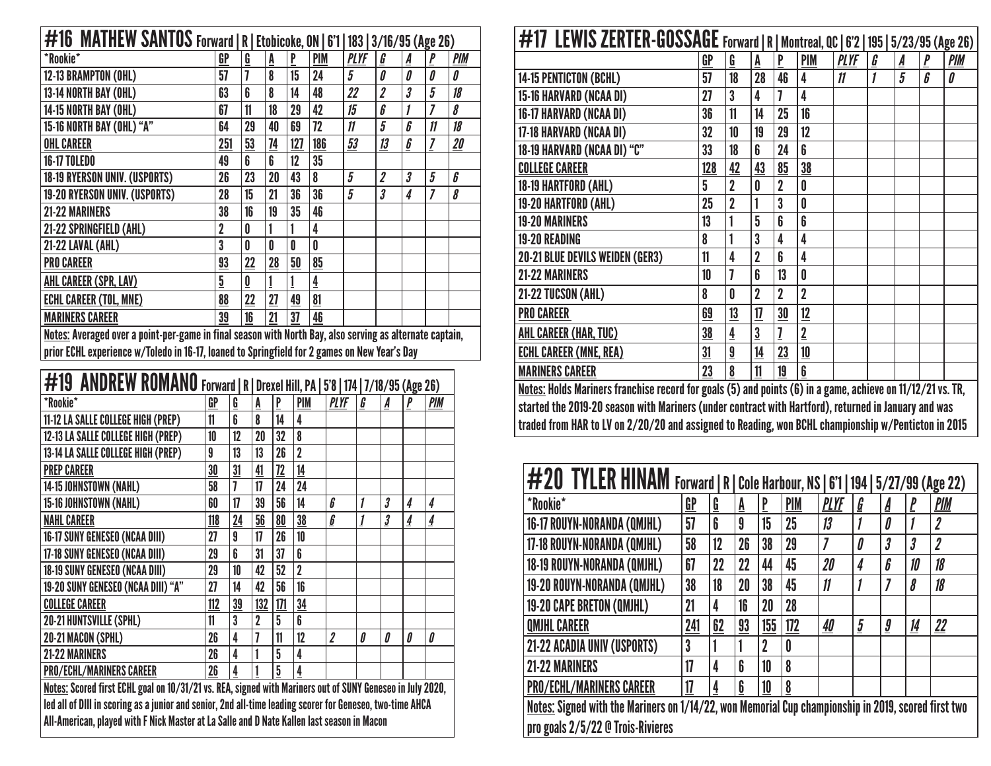| #16 MATHEW SANTOS Forward   R   Etobicoke, ON   6'1   183   3/16/95 (Age 26)                            |                |                          |    |     |            |             |                         |                       |                     |            |  |  |  |
|---------------------------------------------------------------------------------------------------------|----------------|--------------------------|----|-----|------------|-------------|-------------------------|-----------------------|---------------------|------------|--|--|--|
| *Rookie*                                                                                                | GP             | G                        | A  | P   | <b>PIM</b> | <b>PLYF</b> | G                       | A                     |                     | <b>PIM</b> |  |  |  |
| 12-13 BRAMPTON (OHL)                                                                                    | 57             |                          | 8  | 15  | 24         | 5           | 0                       | 0                     | Л                   | Л          |  |  |  |
| 13-14 NORTH BAY (OHL)                                                                                   | 63             | 6                        | 8  | 14  | 48         | 22          | $\overline{\mathbf{2}}$ | 3                     | 5                   | 18         |  |  |  |
| 14-15 NORTH BAY (OHL)                                                                                   | 67             | 11                       | 18 | 29  | 42         | 15          | 6                       |                       |                     | 8          |  |  |  |
| 15-16 NORTH BAY (OHL) "A"                                                                               | 64             | 29                       | 40 | 69  | 72         | 11          | 5                       | 6                     | $\boldsymbol{\eta}$ | 18         |  |  |  |
| <b>OHL CAREER</b>                                                                                       | 251            | 53                       | 74 | 127 | 186        | 53          | 13                      | $\underline{\pmb{b}}$ |                     | 20         |  |  |  |
| <b>16-17 TOLEDO</b>                                                                                     | 49             | 6                        | 6  | 12  | 35         |             |                         |                       |                     |            |  |  |  |
| <b>18-19 RYERSON UNIV. (USPORTS)</b>                                                                    | 26             | 23                       | 20 | 43  | 8          | 5           | $\overline{\mathbf{2}}$ | $\boldsymbol{\beta}$  | 5                   | 6          |  |  |  |
| 19-20 RYERSON UNIV. (USPORTS)                                                                           | 28             | 15                       | 21 | 36  | 36         | 5           | 3                       | 4                     |                     | 8          |  |  |  |
| 21-22 MARINERS                                                                                          | 38             | 16                       | 19 | 35  | 46         |             |                         |                       |                     |            |  |  |  |
| 21-22 SPRINGFIELD (AHL)                                                                                 | $\overline{2}$ | 0                        |    |     | 4          |             |                         |                       |                     |            |  |  |  |
| 21-22 LAVAL (AHL)                                                                                       | 3              | 0                        | 0  | Λ   | 0          |             |                         |                       |                     |            |  |  |  |
| <b>PRO CAREER</b>                                                                                       | 93             | 22                       | 28 | 50  | 85         |             |                         |                       |                     |            |  |  |  |
| AHL CAREER (SPR, LAV)                                                                                   | $\overline{5}$ | $\underline{\mathbf{0}}$ |    |     | 4          |             |                         |                       |                     |            |  |  |  |
| <b>ECHL CAREER (TOL, MNE)</b>                                                                           | 88             | 22                       | 27 | 49  | 81         |             |                         |                       |                     |            |  |  |  |
| <b>MARINERS CAREER</b>                                                                                  | 39             | 16                       | 21 | 37  | 46         |             |                         |                       |                     |            |  |  |  |
| Notae: Averaged ever a noint nor game in final coopen with North Dev. else carving as elternate contain |                |                          |    |     |            |             |                         |                       |                     |            |  |  |  |

Notes: Averaged over a point-per-game in final season with North Bay, also serving as alternate captain, prior ECHL experience w/Toledo in 16-17, loaned to Springfield for 2 games on New Year's Day

| #19 ANDREW ROMANO Forward   R   Drexel Hill, PA   5'8   174   7/18/95 (Age 26)                            |     |                |                |                 |                         |                         |   |                         |                |                |
|-----------------------------------------------------------------------------------------------------------|-----|----------------|----------------|-----------------|-------------------------|-------------------------|---|-------------------------|----------------|----------------|
| *Rookie*                                                                                                  | GP  | $\mathbf{G}$   | A              | P               | <b>PIM</b>              | <b>PLYF</b>             | G | A                       | P              | PIM            |
| 11-12 LA SALLE COLLEGE HIGH (PREP)                                                                        | 11  | 6              | 8              | 14              | $\overline{\mathbf{4}}$ |                         |   |                         |                |                |
| 12-13 LA SALLE COLLEGE HIGH (PREP)                                                                        | 10  | 12             | 20             | 32              | 8                       |                         |   |                         |                |                |
| 13-14 LA SALLE COLLEGE HIGH (PREP)                                                                        | 9   | 13             | 13             | 26              | $\overline{2}$          |                         |   |                         |                |                |
| <b>PREP CAREER</b>                                                                                        | 30  | 31             | 41             | 72              | 14                      |                         |   |                         |                |                |
| 14-15 JOHNSTOWN (NAHL)                                                                                    | 58  | $\overline{1}$ | 17             | 24              | 24                      |                         |   |                         |                |                |
| 15-16 JOHNSTOWN (NAHL)                                                                                    | 60  | 17             | 39             | 56              | 14                      | ĥ                       | 1 | $\boldsymbol{\beta}$    | 4              | 4              |
| <b>NAHL CAREER</b>                                                                                        | 118 | 24             | 56             | 80              | 38                      | $\boldsymbol{6}$        | 1 | $\overline{\mathbf{3}}$ | $\overline{4}$ | $\overline{4}$ |
| 16-17 SUNY GENESEO (NCAA DIII)                                                                            | 27  | 9              | 17             | 26              | 10                      |                         |   |                         |                |                |
| 17-18 SUNY GENESEO (NCAA DIII)                                                                            | 29  | 6              | 31             | 37              | 6                       |                         |   |                         |                |                |
| <b>18-19 SUNY GENESEO (NCAA DIII)</b>                                                                     | 29  | 10             | 42             | 52              | $\overline{2}$          |                         |   |                         |                |                |
| 19-20 SUNY GENESEO (NCAA DIII) "A"                                                                        | 27  | 14             | 42             | 56              | 16                      |                         |   |                         |                |                |
| <b>COLLEGE CAREER</b>                                                                                     | 112 | 39             | 132            | 171             | 34                      |                         |   |                         |                |                |
| <b>20-21 HUNTSVILLE (SPHL)</b>                                                                            | 11  | 3              | $\overline{2}$ | 5               | 6                       |                         |   |                         |                |                |
| 20-21 MACON (SPHL)                                                                                        | 26  | 4              |                | 11              | 12                      | $\overline{\mathbf{2}}$ | Л | 0                       | 0              | 0              |
| <b>21-22 MARINERS</b>                                                                                     | 26  | 4              |                | $5\phantom{.0}$ | 4                       |                         |   |                         |                |                |
| <b>PRO/ECHL/MARINERS CAREER</b>                                                                           | 26  | 4              |                | 5               | 4                       |                         |   |                         |                |                |
| Notes: Scored first ECHL goal on 10/31/21 vs. REA, signed with Mariners out of SUNY Geneseo in July 2020, |     |                |                |                 |                         |                         |   |                         |                |                |
| led all of DIII in scoring as a junior and senior, 2nd all-time leading scorer for Geneseo, two-time AHCA |     |                |                |                 |                         |                         |   |                         |                |                |
| All-American, played with F Nick Master at La Salle and D Nate Kallen last season in Macon                |     |                |                |                 |                         |                         |   |                         |                |                |

| #17 LEWIS ZERTER-GOSSAGE Forward   R   Montreal, QC   6'2   195   5/23/95 (Age 26)                  |                                                                                                            |                          |                |                |                |             |   |   |              |            |  |  |
|-----------------------------------------------------------------------------------------------------|------------------------------------------------------------------------------------------------------------|--------------------------|----------------|----------------|----------------|-------------|---|---|--------------|------------|--|--|
|                                                                                                     | GP                                                                                                         | $\underline{\mathbf{G}}$ | A              | P              | <b>PIM</b>     | <u>PLYF</u> | G | A | $\mathbf{P}$ | <b>PIM</b> |  |  |
| 14-15 PENTICTON (BCHL)                                                                              | 57                                                                                                         | 18                       | 28             | 46             | 4              | 11          | 1 | 5 | $\pmb{b}$    | 0          |  |  |
| 15-16 HARVARD (NCAA DI)                                                                             | 27                                                                                                         | 3                        | 4              | 7              | 4              |             |   |   |              |            |  |  |
| 16-17 HARVARD (NCAA DI)                                                                             | 36                                                                                                         | 11                       | 14             | 25             | 16             |             |   |   |              |            |  |  |
| 17-18 HARVARD (NCAA DI)                                                                             | 32                                                                                                         | 10                       | 19             | 29             | 12             |             |   |   |              |            |  |  |
| 18-19 HARVARD (NCAA DI) "C"                                                                         | 33                                                                                                         | 18                       | 6              | 24             | 6              |             |   |   |              |            |  |  |
| <b>COLLEGE CAREER</b>                                                                               | 128                                                                                                        | 42                       | 43             | 85             | 38             |             |   |   |              |            |  |  |
| 18-19 HARTFORD (AHL)                                                                                | 5                                                                                                          | $\overline{2}$           | 0              | $\overline{2}$ | 0              |             |   |   |              |            |  |  |
| 19-20 HARTFORD (AHL)                                                                                | 25                                                                                                         | $\overline{2}$           |                | 3              | 0              |             |   |   |              |            |  |  |
| <b>19-20 MARINERS</b>                                                                               | 13                                                                                                         |                          | 5              | 6              | 6              |             |   |   |              |            |  |  |
| <b>19-20 READING</b>                                                                                | 8                                                                                                          | 1                        | 3              | 4              | 4              |             |   |   |              |            |  |  |
| <b>20-21 BLUE DEVILS WEIDEN (GER3)</b>                                                              | 11                                                                                                         | 4                        | $\overline{2}$ | 6              | 4              |             |   |   |              |            |  |  |
| <b>21-22 MARINERS</b>                                                                               | 10                                                                                                         | 7                        | 6              | 13             | 0              |             |   |   |              |            |  |  |
| 21-22 TUCSON (AHL)                                                                                  | 8                                                                                                          | 0                        | $\overline{2}$ | $\overline{2}$ | $\overline{2}$ |             |   |   |              |            |  |  |
| <b>PRO CAREER</b>                                                                                   | 69                                                                                                         | 13                       | 17             | 30             | 12             |             |   |   |              |            |  |  |
| AHL CAREER (HAR, TUC)                                                                               | 38                                                                                                         | 4                        | $\overline{3}$ | 7              | $\overline{2}$ |             |   |   |              |            |  |  |
| <b>ECHL CAREER (MNE, REA)</b>                                                                       | 31                                                                                                         | $\overline{\mathbf{a}}$  | 14             | 23             | 10             |             |   |   |              |            |  |  |
| <b>MARINERS CAREER</b>                                                                              | 23                                                                                                         | 8                        | 11             | 19             | 6              |             |   |   |              |            |  |  |
|                                                                                                     | Notes: Holds Mariners franchise record for goals (5) and points (6) in a game, achieve on 11/12/21 vs. TR, |                          |                |                |                |             |   |   |              |            |  |  |
|                                                                                                     | started the 2019-20 season with Mariners (under contract with Hartford), returned in January and was       |                          |                |                |                |             |   |   |              |            |  |  |
| traded from HAR to LV on 2/20/20 and assigned to Reading, won BCHL championship w/Penticton in 2015 |                                                                                                            |                          |                |                |                |             |   |   |              |            |  |  |

| #20 TYLER HINAM Forward   R   Cole Harbour, NS   6'1   194   5/27/99 (Age 22)                       |     |    |    |             |            |                     |                       |                      |          |                         |
|-----------------------------------------------------------------------------------------------------|-----|----|----|-------------|------------|---------------------|-----------------------|----------------------|----------|-------------------------|
| *Rookie*                                                                                            | GP  | G  | Ā  | P           | <b>PIM</b> | <b>PLYF</b>         | $\underline{\pmb{G}}$ | A                    | <u>p</u> | <b>PIM</b>              |
| 16-17 ROUYN-NORANDA (QMJHL)                                                                         | 57  | 6  | 9  | 15          | 25         | 13                  |                       | Û                    |          | $\overline{\mathbf{2}}$ |
| 17-18 ROUYN-NORANDA (QMJHL)                                                                         | 58  | 12 | 26 | 38          | 29         | $\overline{I}$      | 0                     | 3                    | 3        | $\boldsymbol{2}$        |
| 18-19 ROUYN-NORANDA (QMJHL)                                                                         | 67  | 22 | 22 | 44          | 45         | 20                  | 4                     | 6                    | 10       | 18                      |
| 19-20 ROUYN-NORANDA (QMJHL)                                                                         | 38  | 18 | 20 | 38          | 45         | $\boldsymbol{\eta}$ |                       |                      | 8        | 18                      |
| 19-20 CAPE BRETON (QMJHL)                                                                           | 21  | 4  | 16 | 20          | 28         |                     |                       |                      |          |                         |
| <b>QMJHL CAREER</b>                                                                                 | 241 | 62 | 93 | 155         | 172        | 40                  | $\overline{5}$        | $\boldsymbol{\it g}$ | 14       | $\mathbf{22}$           |
| 21-22 ACADIA UNIV (USPORTS)                                                                         | 3   |    |    | $\mathbf 2$ | 0          |                     |                       |                      |          |                         |
| <b>21-22 MARINERS</b>                                                                               | 17  | 4  | 6  | 10          | 8          |                     |                       |                      |          |                         |
| <b>PRO/ECHL/MARINERS CAREER</b>                                                                     | 17  | 4  | 6  | 10          | 8          |                     |                       |                      |          |                         |
| Notes: Signed with the Mariners on 1/14/22, won Memorial Cup championship in 2019, scored first two |     |    |    |             |            |                     |                       |                      |          |                         |
| pro goals 2/5/22 @ Trois-Rivieres                                                                   |     |    |    |             |            |                     |                       |                      |          |                         |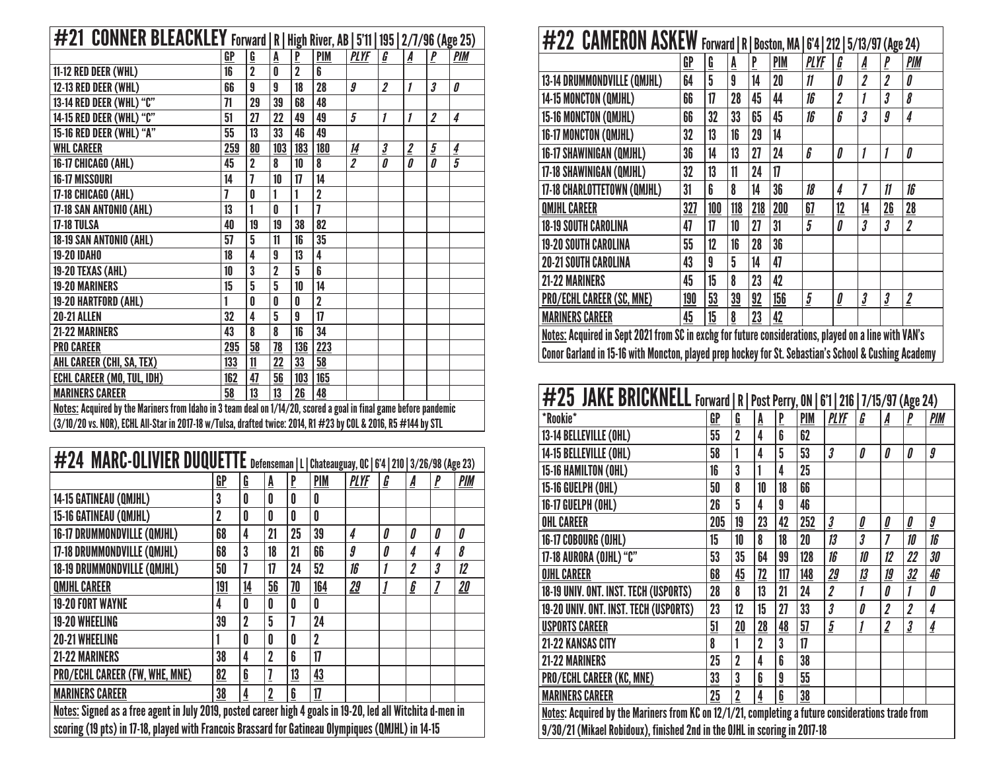|                                                                                                                   | #21 CONNER BLEACKLEY Forward   R   High River, AB   5'11   195   2/7/96 (Age 25) |                |                |                |                         |                         |                         |                |                      |                |  |  |  |  |
|-------------------------------------------------------------------------------------------------------------------|----------------------------------------------------------------------------------|----------------|----------------|----------------|-------------------------|-------------------------|-------------------------|----------------|----------------------|----------------|--|--|--|--|
|                                                                                                                   | GP                                                                               | G              | A              | P              | <b>PIM</b>              | <b>PLYF</b>             | G                       | A              | P                    | <b>PIM</b>     |  |  |  |  |
| 11-12 RED DEER (WHL)                                                                                              | 16                                                                               | $\overline{2}$ | 0              | $\overline{2}$ | 6                       |                         |                         |                |                      |                |  |  |  |  |
| 12-13 RED DEER (WHL)                                                                                              | 66                                                                               | 9              | 9              | 18             | 28                      | $\boldsymbol{g}$        | $\overline{\mathbf{2}}$ | 1              | $\boldsymbol{\beta}$ | 0              |  |  |  |  |
| 13-14 RED DEER (WHL) "C"                                                                                          | 71                                                                               | 29             | 39             | 68             | 48                      |                         |                         |                |                      |                |  |  |  |  |
| 14-15 RED DEER (WHL) "C"                                                                                          | 51                                                                               | 27             | 22             | 49             | 49                      | $\overline{5}$          | 1                       | 1              | $\boldsymbol{2}$     | 4              |  |  |  |  |
| 15-16 RED DEER (WHL) "A"                                                                                          | 55                                                                               | 13             | 33             | 46             | 49                      |                         |                         |                |                      |                |  |  |  |  |
| <b>WHL CAREER</b>                                                                                                 | 259                                                                              | 80             | 103            | 183            | 180                     | <u>14</u>               | $\overline{\mathbf{3}}$ | $\overline{2}$ | $\overline{5}$       | $\overline{4}$ |  |  |  |  |
| 16-17 CHICAGO (AHL)                                                                                               | 45                                                                               | $\overline{2}$ | 8              | 10             | 8                       | $\overline{\mathbf{2}}$ | 0                       | 0              | 0                    | $\overline{5}$ |  |  |  |  |
| <b>16-17 MISSOURI</b>                                                                                             | 14                                                                               | $\overline{1}$ | 10             | 17             | 14                      |                         |                         |                |                      |                |  |  |  |  |
| 17-18 CHICAGO (AHL)                                                                                               | 7                                                                                | 0              | 1              |                | $\overline{2}$          |                         |                         |                |                      |                |  |  |  |  |
| 17-18 SAN ANTONIO (AHL)                                                                                           | 13                                                                               | 1              | 0              | 1              | $\overline{1}$          |                         |                         |                |                      |                |  |  |  |  |
| 17-18 TULSA                                                                                                       | 40                                                                               | 19             | 19             | 38             | 82                      |                         |                         |                |                      |                |  |  |  |  |
| 18-19 SAN ANTONIO (AHL)                                                                                           | 57                                                                               | 5              | 11             | 16             | 35                      |                         |                         |                |                      |                |  |  |  |  |
| <b>19-20 IDAHO</b>                                                                                                | 18                                                                               | 4              | 9              | 13             | 4                       |                         |                         |                |                      |                |  |  |  |  |
| 19-20 TEXAS (AHL)                                                                                                 | 10                                                                               | 3              | $\overline{2}$ | 5              | $\overline{\mathbf{6}}$ |                         |                         |                |                      |                |  |  |  |  |
| <b>19-20 MARINERS</b>                                                                                             | 15                                                                               | 5              | 5              | 10             | 14                      |                         |                         |                |                      |                |  |  |  |  |
| 19-20 HARTFORD (AHL)                                                                                              | 1                                                                                | Û              | 0              | 0              | $\overline{2}$          |                         |                         |                |                      |                |  |  |  |  |
| <b>20-21 ALLEN</b>                                                                                                | 32                                                                               | 4              | 5              | 9              | 17                      |                         |                         |                |                      |                |  |  |  |  |
| <b>21-22 MARINERS</b>                                                                                             | 43                                                                               | 8              | 8              | 16             | 34                      |                         |                         |                |                      |                |  |  |  |  |
| <b>PRO CAREER</b>                                                                                                 | 295                                                                              | 58             | 78             | 136            | 223                     |                         |                         |                |                      |                |  |  |  |  |
| AHL CAREER (CHI, SA, TEX)                                                                                         | 133                                                                              | 11             | 22             | 33             | 58                      |                         |                         |                |                      |                |  |  |  |  |
| <b>ECHL CAREER (MO, TUL, IDH)</b>                                                                                 | 162                                                                              | 47             | 56             | 103            | 165                     |                         |                         |                |                      |                |  |  |  |  |
| <b>MARINERS CAREER</b>                                                                                            | 58                                                                               | 13             | 13             | 26             | 48                      |                         |                         |                |                      |                |  |  |  |  |
| Notes: Acquired by the Mariners from Idaho in 3 team deal on 1/14/20, scored a goal in final game before pandemic |                                                                                  |                |                |                |                         |                         |                         |                |                      |                |  |  |  |  |
| (3/10/20 vs. NOR), ECHL All-Star in 2017-18 w/Tulsa, drafted twice: 2014, R1 #23 by COL & 2016, R5 #144 by STL    |                                                                                  |                |                |                |                         |                         |                         |                |                      |                |  |  |  |  |

|                                                                                                            | #24 MARC-OLIVIER DUQUETTE Defenseman   L   Chateauguay, QC   6'4   210   3/26/98 (Age 23) |                |                |    |                |                  |          |   |   |            |  |  |  |
|------------------------------------------------------------------------------------------------------------|-------------------------------------------------------------------------------------------|----------------|----------------|----|----------------|------------------|----------|---|---|------------|--|--|--|
|                                                                                                            | GP                                                                                        | Ģ              | A              | P  | <b>PIM</b>     | <b>PLYF</b>      | <u>G</u> | A | P | <b>PIM</b> |  |  |  |
| 14-15 GATINEAU (QMJHL)                                                                                     | 3                                                                                         | 0              | 0              | 0  | 0              |                  |          |   |   |            |  |  |  |
| 15-16 GATINEAU (QMJHL)                                                                                     | 2                                                                                         | 0              | 0              | 0  | 0              |                  |          |   |   |            |  |  |  |
| 16-17 DRUMMONDVILLE (QMJHL)                                                                                | 68                                                                                        | 4              | 21             | 25 | 39             | 4                | 0        | 0 | Л | 0          |  |  |  |
| 17-18 DRUMMONDVILLE (QMJHL)                                                                                | 68                                                                                        | 3              | 18             | 21 | 66             | $\boldsymbol{g}$ | 0        | 4 | 4 | 8          |  |  |  |
| 18-19 DRUMMONDVILLE (QMJHL)                                                                                | 50                                                                                        | 7              | 17             | 24 | 52             | 16               |          | 2 | 3 | 12         |  |  |  |
| <b>QMJHL CAREER</b>                                                                                        | 191                                                                                       | 14             | 56             | 70 | 164            | 29               |          | 6 |   | 20         |  |  |  |
| <b>19-20 FORT WAYNE</b>                                                                                    | 4                                                                                         | 0              | 0              | 0  | 0              |                  |          |   |   |            |  |  |  |
| <b>19-20 WHEELING</b>                                                                                      | 39                                                                                        | $\overline{2}$ | 5              | 7  | 24             |                  |          |   |   |            |  |  |  |
| <b>20-21 WHEELING</b>                                                                                      |                                                                                           | O              | 0              | 0  | $\overline{2}$ |                  |          |   |   |            |  |  |  |
| <b>21-22 MARINERS</b>                                                                                      | 38                                                                                        | 4              | $\overline{2}$ | 6  | 17             |                  |          |   |   |            |  |  |  |
| <b>PRO/ECHL CAREER (FW, WHE, MNE)</b>                                                                      | 82                                                                                        | 6              | 1              | 13 | 43             |                  |          |   |   |            |  |  |  |
| <b>MARINERS CAREER</b>                                                                                     | 38                                                                                        | 4              | $\mathbf 2$    | 6  | 17             |                  |          |   |   |            |  |  |  |
| Notes: Signed as a free agent in July 2019, posted career high 4 goals in 19-20, led all Witchita d-men in |                                                                                           |                |                |    |                |                  |          |   |   |            |  |  |  |
| scoring (19 pts) in 17-18, played with Francois Brassard for Gatineau Olympiques (QMJHL) in 14-15          |                                                                                           |                |                |    |                |                  |          |   |   |            |  |  |  |

| #22 CAMERON ASKEW Forward   R   Boston, MA   6'4   212   5/13/97 (Age 24)                            |     |     |     |     |            |                |                                  |                |                         |                         |  |  |  |
|------------------------------------------------------------------------------------------------------|-----|-----|-----|-----|------------|----------------|----------------------------------|----------------|-------------------------|-------------------------|--|--|--|
|                                                                                                      | GP  | G   | A   | P   | <b>PIM</b> | <b>PLYF</b>    | G                                | A              | $\mathbf{P}$            | <b>PIM</b>              |  |  |  |
| 13-14 DRUMMONDVILLE (QMJHL)                                                                          | 64  | 5   | 9   | 14  | 20         | 11             | 0                                | $\overline{2}$ | $\overline{\mathbf{2}}$ | 0                       |  |  |  |
| 14-15 MONCTON (QMJHL)                                                                                | 66  | 17  | 28  | 45  | 44         | 16             | $\overline{2}$                   | 1              | 3                       | 8                       |  |  |  |
| 15-16 MONCTON (QMJHL)                                                                                | 66  | 32  | 33  | 65  | 45         | 16             | ĥ                                | 3              | $\boldsymbol{g}$        | 4                       |  |  |  |
| 16-17 MONCTON (QMJHL)                                                                                | 32  | 13  | 16  | 29  | 14         |                |                                  |                |                         |                         |  |  |  |
| 16-17 SHAWINIGAN (QMJHL)                                                                             | 36  | 14  | 13  | 27  | 24         | 6              | 0                                | 1              | 1                       | 0                       |  |  |  |
| 17-18 SHAWINIGAN (QMJHL)                                                                             | 32  | 13  | 11  | 24  | 17         |                |                                  |                |                         |                         |  |  |  |
| 17-18 CHARLOTTETOWN (QMJHL)                                                                          | 31  | 6   | 8   | 14  | 36         | 18             | 4                                | 7              | 11                      | 16                      |  |  |  |
| <b>QMJHL CAREER</b>                                                                                  | 327 | 100 | 118 | 218 | 200        | 67             | 12                               | <u>14</u>      | 26                      | 28                      |  |  |  |
| <b>18-19 SOUTH CAROLINA</b>                                                                          | 47  | 17  | 10  | 27  | 31         | 5              | 0                                | 3              | 3                       | $\overline{\mathbf{2}}$ |  |  |  |
| <b>19-20 SOUTH CAROLINA</b>                                                                          | 55  | 12  | 16  | 28  | 36         |                |                                  |                |                         |                         |  |  |  |
| <b>20-21 SOUTH CAROLINA</b>                                                                          | 43  | 9   | 5   | 14  | 47         |                |                                  |                |                         |                         |  |  |  |
| <b>21-22 MARINERS</b>                                                                                | 45  | 15  | 8   | 23  | 42         |                |                                  |                |                         |                         |  |  |  |
| PRO/ECHL CAREER (SC, MNE)                                                                            | 190 | 53  | 39  | 92  | 156        | $\overline{5}$ | $\underline{\underline{\theta}}$ | $\mathbf{3}$   | $\mathbf{3}$            | $\mathbf{2}$            |  |  |  |
| <b>MARINERS CAREER</b>                                                                               | 45  | 15  | 8   | 23  | 42         |                |                                  |                |                         |                         |  |  |  |
| Notes: Acquired in Sept 2021 from SC in exchg for future considerations, played on a line with VAN's |     |     |     |     |            |                |                                  |                |                         |                         |  |  |  |
| Conor Garland in 15-16 with Moncton, played prep hockey for St. Sebastian's School & Cushing Academy |     |     |     |     |            |                |                                  |                |                         |                         |  |  |  |

| #25 JAKE BRICKNELL Forward   R   Post Perry, 0N   6'1   216   7/15/97 (Age 24)                    |     |                |                          |                         |            |                         |                                            |                                            |                         |                  |  |
|---------------------------------------------------------------------------------------------------|-----|----------------|--------------------------|-------------------------|------------|-------------------------|--------------------------------------------|--------------------------------------------|-------------------------|------------------|--|
| *Rookie*                                                                                          | GP  | $\mathbf{G}$   | A                        | P                       | <b>PIM</b> | <b>PLYF</b>             | G                                          | ₫                                          | P                       | <b>PIM</b>       |  |
| 13-14 BELLEVILLE (OHL)                                                                            | 55  | $\overline{2}$ | 4                        | 6                       | 62         |                         |                                            |                                            |                         |                  |  |
| 14-15 BELLEVILLE (OHL)                                                                            | 58  | 1              | 4                        | 5                       | 53         | $\boldsymbol{\beta}$    | 0                                          | 0                                          | 0                       | $\boldsymbol{g}$ |  |
| 15-16 HAMILTON (OHL)                                                                              | 16  | 3              | 1                        | 4                       | 25         |                         |                                            |                                            |                         |                  |  |
| <b>15-16 GUELPH (OHL)</b>                                                                         | 50  | 8              | 10                       | 18                      | 66         |                         |                                            |                                            |                         |                  |  |
| 16-17 GUELPH (OHL)                                                                                | 26  | 5              | 4                        | 9                       | 46         |                         |                                            |                                            |                         |                  |  |
| <b>OHL CAREER</b>                                                                                 | 205 | 19             | 23                       | 42                      | 252        | $\mathbf{3}$            | $\mathbf{\underline{\boldsymbol{\theta}}}$ | $\mathbf{\underline{\boldsymbol{\theta}}}$ | <u>0</u>                | $\underline{g}$  |  |
| 16-17 COBOURG (OJHL)                                                                              | 15  | 10             | 8                        | 18                      | 20         | 13                      | $\overline{\mathfrak{z}}$                  | $\overline{I}$                             | 10                      | 16               |  |
| 17-18 AURORA (OJHL) "C"                                                                           | 53  | 35             | 64                       | 99                      | 128        | 16                      | 10                                         | 12                                         | 22                      | 30               |  |
| <b>OJHL CAREER</b>                                                                                | 68  | 45             | 72                       | 117                     | 148        | 29                      | 13                                         | 19                                         | 32                      | 46               |  |
| 18-19 UNIV. ONT. INST. TECH (USPORTS)                                                             | 28  | 8              | 13                       | 21                      | 24         | $\overline{\mathbf{2}}$ | 1                                          | 0                                          | 1                       | 0                |  |
| 19-20 UNIV. ONT. INST. TECH (USPORTS)                                                             | 23  | 12             | 15                       | 27                      | 33         | $\boldsymbol{\beta}$    | 0                                          | $\overline{\mathbf{2}}$                    | $\overline{\mathbf{2}}$ | 4                |  |
| <b>USPORTS CAREER</b>                                                                             | 51  | 20             | 28                       | 48                      | 57         | $\overline{5}$          | 1                                          | $\overline{2}$                             | $\overline{\mathbf{3}}$ | $\overline{4}$   |  |
| <b>21-22 KANSAS CITY</b>                                                                          | 8   |                | $\overline{2}$           | 3                       | 17         |                         |                                            |                                            |                         |                  |  |
| 21-22 MARINERS                                                                                    | 25  | $\overline{2}$ | 4                        | 6                       | 38         |                         |                                            |                                            |                         |                  |  |
| PRO/ECHL CAREER (KC, MNE)                                                                         | 33  | $\overline{3}$ | $\underline{\mathbf{6}}$ | $\overline{\mathbf{a}}$ | 55         |                         |                                            |                                            |                         |                  |  |
| <b>MARINERS CAREER</b>                                                                            | 25  | $\overline{2}$ | 4                        | 6                       | 38         |                         |                                            |                                            |                         |                  |  |
| Notes: Acquired by the Mariners from KC on 12/1/21, completing a future considerations trade from |     |                |                          |                         |            |                         |                                            |                                            |                         |                  |  |
| 9/30/21 (Mikael Robidoux), finished 2nd in the OJHL in scoring in 2017-18                         |     |                |                          |                         |            |                         |                                            |                                            |                         |                  |  |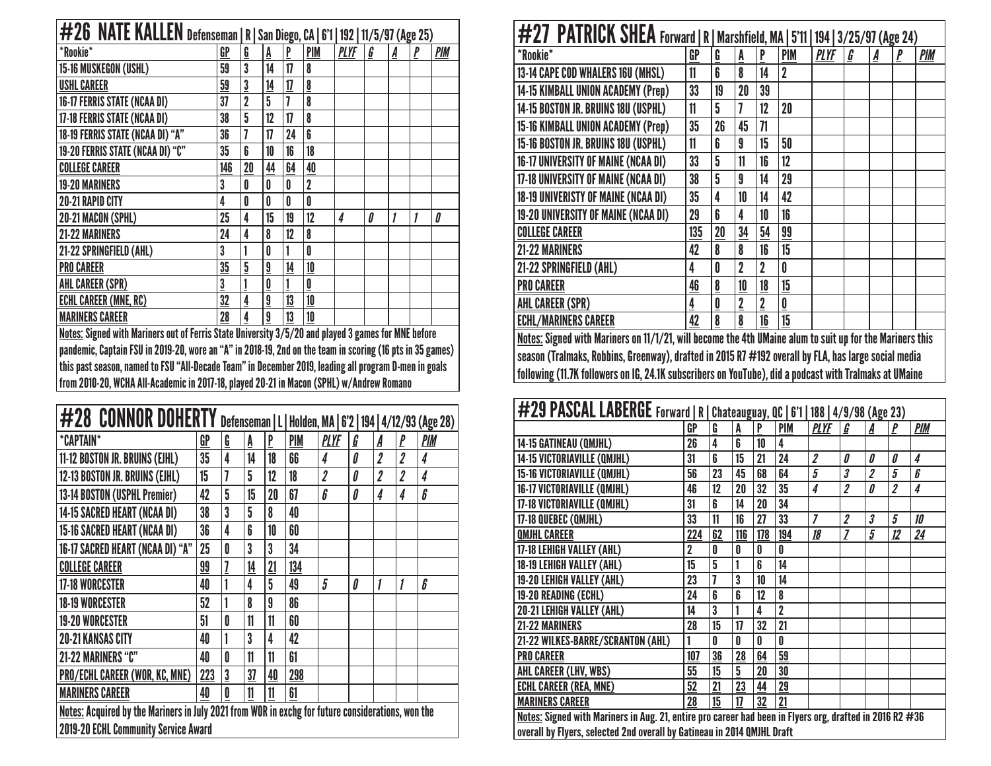| #26 NATE KALLEN Defenseman   R   San Diego, CA   6'1   192   11/5/97 (Age 25)                       |     |                |                          |    |                |             |   |   |   |            |  |  |
|-----------------------------------------------------------------------------------------------------|-----|----------------|--------------------------|----|----------------|-------------|---|---|---|------------|--|--|
| *Rookie*                                                                                            | GP  | Ģ              | A                        | P  | <b>PIM</b>     | <b>PLYF</b> | G | A | P | <b>PIM</b> |  |  |
| 15-16 MUSKEGON (USHL)                                                                               | 59  | 3              | 14                       | 17 | 8              |             |   |   |   |            |  |  |
| <b>USHL CAREER</b>                                                                                  | 59  | 3              | 14                       | 17 | $\overline{8}$ |             |   |   |   |            |  |  |
| 16-17 FERRIS STATE (NCAA DI)                                                                        | 37  | $\overline{2}$ | 5                        | 7  | 8              |             |   |   |   |            |  |  |
| 17-18 FERRIS STATE (NCAA DI)                                                                        | 38  | 5              | 12                       | 17 | 8              |             |   |   |   |            |  |  |
| 18-19 FERRIS STATE (NCAA DI) "A"                                                                    | 36  |                | 17                       | 24 | 6              |             |   |   |   |            |  |  |
| 19-20 FERRIS STATE (NCAA DI) "C"                                                                    | 35  | ĥ              | 10                       | 16 | 18             |             |   |   |   |            |  |  |
| <b>COLLEGE CAREER</b>                                                                               | 146 | 20             | 44                       | 64 | 40             |             |   |   |   |            |  |  |
| <b>19-20 MARINERS</b>                                                                               | 3   | O              | O                        | Λ  | $\overline{2}$ |             |   |   |   |            |  |  |
| 20-21 RAPID CITY                                                                                    | 4   | 0              | 0                        | Λ  | Û              |             |   |   |   |            |  |  |
| 20-21 MACON (SPHL)                                                                                  | 25  | 4              | 15                       | 19 | 12             | 4           | 0 | 1 |   | 0          |  |  |
| <b>21-22 MARINERS</b>                                                                               | 24  | 4              | 8                        | 12 | 8              |             |   |   |   |            |  |  |
| 21-22 SPRINGFIELD (AHL)                                                                             | 3   |                | 0                        |    | N              |             |   |   |   |            |  |  |
| <b>PRO CAREER</b>                                                                                   | 35  | 5              | 9                        | 14 | 10             |             |   |   |   |            |  |  |
| AHL CAREER (SPR)                                                                                    | 3   |                | $\underline{\mathbf{0}}$ |    | 0              |             |   |   |   |            |  |  |
| <b>ECHL CAREER (MNE, RC)</b>                                                                        | 32  | 4              | $\overline{\mathbf{a}}$  | 13 | 10             |             |   |   |   |            |  |  |
| <b>MARINERS CAREER</b>                                                                              | 28  | 4              | 9                        | 13 | 10             |             |   |   |   |            |  |  |
| Notes: Signed with Mariners out of Ferris State University 3/5/20 and played 3 games for MNF hefore |     |                |                          |    |                |             |   |   |   |            |  |  |

| <u>Notes:</u> Signed with Mariners out of Ferris State University 3/5/20 and played 3 games for MNE before pandemic, Captain FSU in 2019-20, wore an "A" in 2018-19, 2nd on the team in scoring (16 pts in 35 games) this past season, named to FSU "All-Decade Team" in December 2019, leading all program D-men in goals from 2010-20, WCHA All-Academic in 2017-18, played 20-21 in Macon (SPHL) w/Andrew Romano

| #28 CONNOR DOHERTY                                                                                |     |                |    |    |            |                           |   |                |                         | Defenseman   L   Holden, MA   6'2   194   4/12/93 (Age 28) |
|---------------------------------------------------------------------------------------------------|-----|----------------|----|----|------------|---------------------------|---|----------------|-------------------------|------------------------------------------------------------|
| *CAPTAIN*                                                                                         | GP  | G              | A  | P  | <b>PIM</b> | <b>PLYF</b>               | G | A              | P                       | PIM                                                        |
| 11-12 BOSTON JR. BRUINS (EJHL)                                                                    | 35  | 4              | 14 | 18 | 66         | 4                         | 0 | $\overline{2}$ | $\overline{2}$          | 4                                                          |
| 12-13 BOSTON JR. BRUINS (EJHL)                                                                    | 15  | 7              | 5  | 12 | 18         | $\overline{\mathbf{2}}$   | 0 | $\overline{2}$ | $\overline{\mathbf{2}}$ | $\overline{\mathbf{4}}$                                    |
| 13-14 BOSTON (USPHL Premier)                                                                      | 42  | 5              | 15 | 20 | 67         | $\boldsymbol{\mathit{b}}$ | 0 | 4              | 4                       | 6                                                          |
| 14-15 SACRED HEART (NCAA DI)                                                                      | 38  | 3              | 5  | 8  | 40         |                           |   |                |                         |                                                            |
| 15-16 SACRED HEART (NCAA DI)                                                                      | 36  | 4              | 6  | 10 | 60         |                           |   |                |                         |                                                            |
| 16-17 SACRED HEART (NCAA DI) "A"                                                                  | 25  | 0              | 3  | 3  | 34         |                           |   |                |                         |                                                            |
| <b>COLLEGE CAREER</b>                                                                             | 99  | $\overline{1}$ | 14 | 21 | 134        |                           |   |                |                         |                                                            |
| <b>17-18 WORCESTER</b>                                                                            | 40  | 1              | 4  | 5  | 49         | 5                         | 0 | 1              | 1                       | 6                                                          |
| <b>18-19 WORCESTER</b>                                                                            | 52  | 1              | 8  | 9  | 86         |                           |   |                |                         |                                                            |
| <b>19-20 WORCESTER</b>                                                                            | 51  | 0              | 11 | 11 | 60         |                           |   |                |                         |                                                            |
| <b>20-21 KANSAS CITY</b>                                                                          | 40  |                | 3  | 4  | 42         |                           |   |                |                         |                                                            |
| 21-22 MARINERS "C"                                                                                | 40  | 0              | 11 | 11 | 61         |                           |   |                |                         |                                                            |
| PRO/ECHL CAREER (WOR, KC, MNE)                                                                    | 223 | $\overline{3}$ | 37 | 40 | 298        |                           |   |                |                         |                                                            |
| <b>MARINERS CAREER</b>                                                                            | 40  | $\pmb{0}$      | 11 | 11 | 61         |                           |   |                |                         |                                                            |
| Notes: Acquired by the Mariners in July 2021 from WOR in exchg for future considerations, won the |     |                |    |    |            |                           |   |                |                         |                                                            |
| 2019-20 ECHL Community Service Award                                                              |     |                |    |    |            |                           |   |                |                         |                                                            |

| #27 PATRICK SHEA Forward   R   Marshfield, MA   5'11   194   3/25/97 (Age 24)                            |     |                          |                |                |                          |             |   |   |              |            |  |  |
|----------------------------------------------------------------------------------------------------------|-----|--------------------------|----------------|----------------|--------------------------|-------------|---|---|--------------|------------|--|--|
| *Rookie*                                                                                                 | GP  | G                        | Ā              | P              | <b>PIM</b>               | <b>PLYF</b> | G | A | $\mathbf{P}$ | <b>PIM</b> |  |  |
| 13-14 CAPE COD WHALERS 16U (MHSL)                                                                        | 11  | 6                        | 8              | 14             | $\overline{2}$           |             |   |   |              |            |  |  |
| <b>14-15 KIMBALL UNION ACADEMY (Prep)</b>                                                                | 33  | 19                       | 20             | 39             |                          |             |   |   |              |            |  |  |
| 14-15 BOSTON JR. BRUINS 18U (USPHL)                                                                      | 11  | 5                        | 7              | 12             | 20                       |             |   |   |              |            |  |  |
| 15-16 KIMBALL UNION ACADEMY (Prep)                                                                       | 35  | 26                       | 45             | 71             |                          |             |   |   |              |            |  |  |
| 15-16 BOSTON JR. BRUINS 18U (USPHL)                                                                      | 11  | 6                        | 9              | 15             | 50                       |             |   |   |              |            |  |  |
| <b>16-17 UNIVERSITY OF MAINE (NCAA DI)</b>                                                               | 33  | 5                        | 11             | 16             | 12                       |             |   |   |              |            |  |  |
| 17-18 UNIVERSITY OF MAINE (NCAA DI)                                                                      | 38  | 5                        | 9              | 14             | 29                       |             |   |   |              |            |  |  |
| 18-19 UNIVERISTY OF MAINE (NCAA DI)                                                                      | 35  | 4                        | 10             | 14             | 42                       |             |   |   |              |            |  |  |
| 19-20 UNIVERSITY OF MAINE (NCAA DI)                                                                      | 29  | 6                        | 4              | 10             | 16                       |             |   |   |              |            |  |  |
| <b>COLLEGE CAREER</b>                                                                                    | 135 | 20                       | 34             | 54             | 99                       |             |   |   |              |            |  |  |
| 21-22 MARINERS                                                                                           | 42  | 8                        | 8              | 16             | 15                       |             |   |   |              |            |  |  |
| 21-22 SPRINGFIELD (AHL)                                                                                  | 4   | 0                        | $\overline{2}$ | 2              | 0                        |             |   |   |              |            |  |  |
| <b>PRO CAREER</b>                                                                                        | 46  | $\underline{\mathbf{8}}$ | 10             | 18             | 15                       |             |   |   |              |            |  |  |
| <b>AHL CAREER (SPR)</b>                                                                                  | 4   | 0                        | $\overline{2}$ | $\overline{2}$ | $\underline{\mathbf{0}}$ |             |   |   |              |            |  |  |
| <b>ECHL/MARINERS CAREER</b>                                                                              | 42  | 8                        | 8              | 16             | 15                       |             |   |   |              |            |  |  |
| Notos: Signed with Mariners on 11/1/91 will hecome the Ath IIMaine alum to suit un for the Mariners this |     |                          |                |                |                          |             |   |   |              |            |  |  |

| <u>Notes:</u> Signed with Mariners on 11/1/21, will become the 4th UMaine alum to suit up for the Mariners this |  $\vert$  season (Tralmaks, Robbins, Greenway), drafted in 2015 R7 #192 overall by FLA, has large social media following (11.7K followers on IG, 24.1K subscribers on YouTube), did a podcast with Tralmaks at UMaine

| #29 PASCAL LABERGE Forward   R   Chateauguay, QC   6'1   188   4/9/98 (Age 23) |                                                                                                          |                          |     |     |                |                         |   |                         |    |                |  |
|--------------------------------------------------------------------------------|----------------------------------------------------------------------------------------------------------|--------------------------|-----|-----|----------------|-------------------------|---|-------------------------|----|----------------|--|
|                                                                                | GP                                                                                                       | $\underline{\mathbf{G}}$ | A   | P   | <b>PIM</b>     | <b>PLYF</b>             | G |                         | P  | <b>PIM</b>     |  |
| 14-15 GATINEAU (QMJHL)                                                         | 26                                                                                                       | 4                        | 6   | 10  | 4              |                         |   |                         |    |                |  |
| 14-15 VICTORIAVILLE (QMJHL)                                                    | 31                                                                                                       | 6                        | 15  | 21  | 24             | $\overline{\mathbf{z}}$ | 0 | 0                       | 0  | 4              |  |
| 15-16 VICTORIAVILLE (QMJHL)                                                    | 56                                                                                                       | 23                       | 45  | 68  | 64             | 5                       | 3 | $\overline{\mathbf{2}}$ | 5  | 6              |  |
| 16-17 VICTORIAVILLE (QMJHL)                                                    | 46                                                                                                       | 12                       | 20  | 32  | 35             | 4                       | 2 | 0                       | 2  | 4              |  |
| 17-18 VICTORIAVILLE (QMJHL)                                                    | 31                                                                                                       | 6                        | 14  | 20  | 34             |                         |   |                         |    |                |  |
| 17-18 QUEBEC (QMJHL)                                                           | 33                                                                                                       | 11                       | 16  | 27  | 33             | $\overline{z}$          | 2 | 3                       | 5  | 10             |  |
| <b>QMJHL CAREER</b>                                                            | 224                                                                                                      | 62                       | 116 | 178 | 194            | 18                      | 7 | 5                       | 12 | $\frac{24}{5}$ |  |
| 17-18 LEHIGH VALLEY (AHL)                                                      | $\overline{2}$                                                                                           | 0                        | 0   | 0   | 0              |                         |   |                         |    |                |  |
| 18-19 LEHIGH VALLEY (AHL)                                                      | 15                                                                                                       | $\overline{5}$           | 1   | 6   | 14             |                         |   |                         |    |                |  |
| 19-20 LEHIGH VALLEY (AHL)                                                      | 23                                                                                                       | 7                        | 3   | 10  | 14             |                         |   |                         |    |                |  |
| 19-20 READING (ECHL)                                                           | 24                                                                                                       | 6                        | 6   | 12  | 8              |                         |   |                         |    |                |  |
| 20-21 LEHIGH VALLEY (AHL)                                                      | 14                                                                                                       | 3                        | 1   | 4   | $\overline{2}$ |                         |   |                         |    |                |  |
| <b>21-22 MARINERS</b>                                                          | 28                                                                                                       | 15                       | 17  | 32  | 21             |                         |   |                         |    |                |  |
| 21-22 WILKES-BARRE/SCRANTON (AHL)                                              |                                                                                                          | U                        | U   | U   | 0              |                         |   |                         |    |                |  |
| <b>PRO CAREER</b>                                                              | 107                                                                                                      | 36                       | 28  | 64  | 59             |                         |   |                         |    |                |  |
| AHL CAREER (LHV, WBS)                                                          | 55                                                                                                       | 15                       | 5   | 20  | 30             |                         |   |                         |    |                |  |
| <b>ECHL CAREER (REA, MNE)</b>                                                  | 52                                                                                                       | 21                       | 23  | 44  | 29             |                         |   |                         |    |                |  |
| <b>MARINERS CAREER</b>                                                         | 28                                                                                                       | 15                       | 17  | 32  | 21             |                         |   |                         |    |                |  |
|                                                                                | Notes: Signed with Mariners in Aug. 21, entire pro career had been in Flyers org, drafted in 2016 R2 #36 |                          |     |     |                |                         |   |                         |    |                |  |
| overall by Flyers, selected 2nd overall by Gatineau in 2014 QMJHL Draft        |                                                                                                          |                          |     |     |                |                         |   |                         |    |                |  |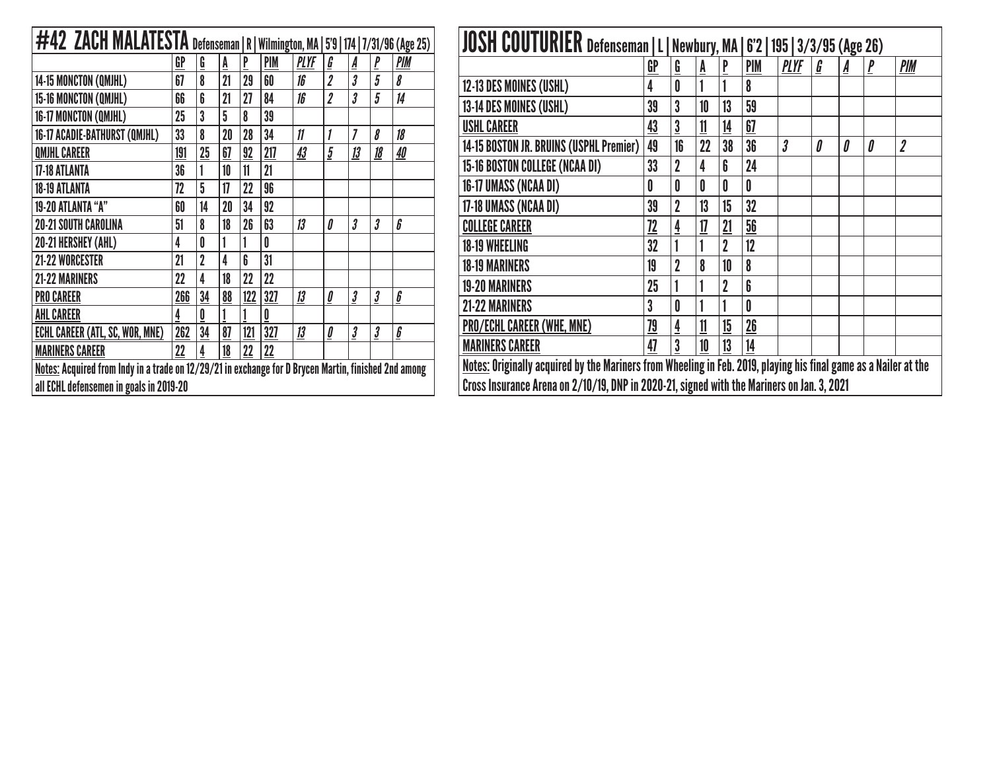| #42 ZACH MALATESTA Defenseman   R                                                                    |     |                |    |     |            |             |                                   |                      |                      | Wilmington, MA   5'9   174   7/31/96 (Age 25) |
|------------------------------------------------------------------------------------------------------|-----|----------------|----|-----|------------|-------------|-----------------------------------|----------------------|----------------------|-----------------------------------------------|
|                                                                                                      | GP  | $\mathbf{G}$   | A  | P   | <b>PIM</b> | <b>PLYF</b> | G                                 | A                    | P                    | PIM                                           |
| 14-15 MONCTON (QMJHL)                                                                                | 67  | 8              | 21 | 29  | 60         | 16          | $\overline{2}$                    | 3                    | 5                    | 8                                             |
| 15-16 MONCTON (QMJHL)                                                                                | 66  | 6              | 21 | 27  | 84         | 16          | $\overline{2}$                    | 3                    | 5                    | 14                                            |
| 16-17 MONCTON (QMJHL)                                                                                | 25  | 3              | 5  | 8   | 39         |             |                                   |                      |                      |                                               |
| 16-17 ACADIE-BATHURST (QMJHL)                                                                        | 33  | 8              | 20 | 28  | 34         | 11          | 1                                 | 7                    | 8                    | 18                                            |
| <b>QMJHL CAREER</b>                                                                                  | 191 | 25             | 67 | 92  | 217        | 43          | 5                                 | 13                   | 18                   | <u>40</u>                                     |
| <b>17-18 ATLANTA</b>                                                                                 | 36  | 1              | 10 | 11  | 21         |             |                                   |                      |                      |                                               |
| <b>18-19 ATLANTA</b>                                                                                 | 72  | 5              | 17 | 22  | 96         |             |                                   |                      |                      |                                               |
| 19-20 ATLANTA "A"                                                                                    | 60  | 14             | 20 | 34  | 92         |             |                                   |                      |                      |                                               |
| <b>20-21 SOUTH CAROLINA</b>                                                                          | 51  | 8              | 18 | 26  | 63         | 13          | 0                                 | 3                    | 3                    | 6                                             |
| 20-21 HERSHEY (AHL)                                                                                  | 4   | 0              | 1  | 1   | 0          |             |                                   |                      |                      |                                               |
| <b>21-22 WORCESTER</b>                                                                               | 21  | $\overline{2}$ | 4  | 6   | 31         |             |                                   |                      |                      |                                               |
| <b>21-22 MARINERS</b>                                                                                | 22  | 4              | 18 | 22  | 22         |             |                                   |                      |                      |                                               |
| <b>PRO CAREER</b>                                                                                    | 266 | 34             | 88 | 122 | 327        | 13          | $\underline{\boldsymbol{\theta}}$ | $\boldsymbol{\beta}$ | $\boldsymbol{\beta}$ | $\underline{6}$                               |
| <b>AHL CAREER</b>                                                                                    | 4   | 0              |    |     | 0          |             |                                   |                      |                      |                                               |
| <b>ECHL CAREER (ATL, SC, WOR, MNE)</b>                                                               | 262 | 34             | 87 | 121 | 327        | 13          | $\underline{\underline{\theta}}$  | $\boldsymbol{\beta}$ | $\boldsymbol{\beta}$ | $\underline{\pmb{b}}$                         |
| <b>MARINERS CAREER</b>                                                                               | 22  | 4              | 18 | 22  | 22         |             |                                   |                      |                      |                                               |
| Notes: Acquired from Indy in a trade on 12/29/21 in exchange for D Brycen Martin, finished 2nd among |     |                |    |     |            |             |                                   |                      |                      |                                               |
| all ECHL defensemen in goals in 2019-20                                                              |     |                |    |     |            |             |                                   |                      |                      |                                               |

| JOSH COUTURIER Defenseman   L   Newbury, MA   6'2   195   3/3/95 (Age 26)                  |                                                                                                                  |                |    |                |     |                           |   |   |   |                  |  |
|--------------------------------------------------------------------------------------------|------------------------------------------------------------------------------------------------------------------|----------------|----|----------------|-----|---------------------------|---|---|---|------------------|--|
|                                                                                            | GP                                                                                                               | G              | A  | P              | PIM | <b>PLYF</b>               | G | A |   | PIM              |  |
| 12-13 DES MOINES (USHL)                                                                    | 4                                                                                                                | 0              |    |                | 8   |                           |   |   |   |                  |  |
| 13-14 DES MOINES (USHL)                                                                    | 39                                                                                                               | 3              | 10 | 13             | 59  |                           |   |   |   |                  |  |
| <b>USHL CAREER</b>                                                                         | 43                                                                                                               | 3              | 11 | 14             | 67  |                           |   |   |   |                  |  |
| 14-15 BOSTON JR. BRUINS (USPHL Premier)                                                    | 49                                                                                                               | 16             | 22 | 38             | 36  | $\overline{\mathfrak{z}}$ | Л | Л | 0 | $\boldsymbol{2}$ |  |
| <b>15-16 BOSTON COLLEGE (NCAA DI)</b>                                                      | 33                                                                                                               | $\overline{2}$ | 4  | 6              | 24  |                           |   |   |   |                  |  |
| 16-17 UMASS (NCAA DI)                                                                      | 0                                                                                                                | 0              | 0  | 0              | 0   |                           |   |   |   |                  |  |
| 17-18 UMASS (NCAA DI)                                                                      | 39                                                                                                               | $\overline{2}$ | 13 | 15             | 32  |                           |   |   |   |                  |  |
| <b>COLLEGE CAREER</b>                                                                      | 72                                                                                                               |                | 17 | 21             | 56  |                           |   |   |   |                  |  |
| <b>18-19 WHEELING</b>                                                                      | 32                                                                                                               |                |    | $\overline{2}$ | 12  |                           |   |   |   |                  |  |
| <b>18-19 MARINERS</b>                                                                      | 19                                                                                                               |                | 8  | 10             | 8   |                           |   |   |   |                  |  |
| <b>19-20 MARINERS</b>                                                                      | 25                                                                                                               |                |    | $\overline{2}$ | 6   |                           |   |   |   |                  |  |
| <b>21-22 MARINERS</b>                                                                      | 3                                                                                                                |                |    |                | 0   |                           |   |   |   |                  |  |
| PRO/ECHL CAREER (WHE, MNE)                                                                 | 79                                                                                                               | 4              | 11 | 15             | 26  |                           |   |   |   |                  |  |
| <b>MARINERS CAREER</b>                                                                     | 47                                                                                                               | 3              | 10 | 13             | 14  |                           |   |   |   |                  |  |
|                                                                                            | Notes: Originally acquired by the Mariners from Wheeling in Feb. 2019, playing his final game as a Nailer at the |                |    |                |     |                           |   |   |   |                  |  |
| Cross Insurance Arena on 2/10/19, DNP in 2020-21, signed with the Mariners on Jan. 3, 2021 |                                                                                                                  |                |    |                |     |                           |   |   |   |                  |  |